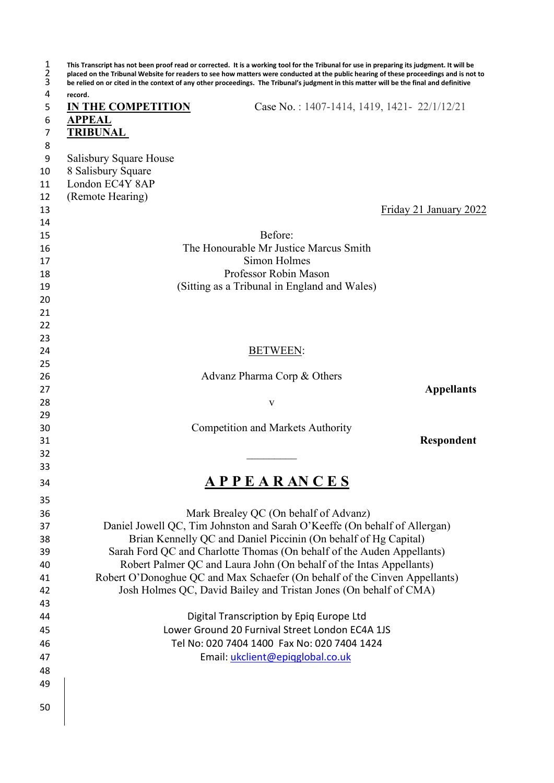| record.                   | be relied on or cited in the context of any other proceedings. The Tribunal's judgment in this matter will be the final and definitive |
|---------------------------|----------------------------------------------------------------------------------------------------------------------------------------|
| <b>IN THE COMPETITION</b> | Case No.: 1407-1414, 1419, 1421-22/1/12/21                                                                                             |
| <b>APPEAL</b>             |                                                                                                                                        |
| <u>TRIBUNAL</u>           |                                                                                                                                        |
|                           |                                                                                                                                        |
| Salisbury Square House    |                                                                                                                                        |
| 8 Salisbury Square        |                                                                                                                                        |
| London EC4Y 8AP           |                                                                                                                                        |
| (Remote Hearing)          |                                                                                                                                        |
|                           | Friday 21 January 2022                                                                                                                 |
|                           | Before:                                                                                                                                |
|                           | The Honourable Mr Justice Marcus Smith                                                                                                 |
|                           | Simon Holmes                                                                                                                           |
|                           | Professor Robin Mason                                                                                                                  |
|                           | (Sitting as a Tribunal in England and Wales)                                                                                           |
|                           |                                                                                                                                        |
|                           |                                                                                                                                        |
|                           |                                                                                                                                        |
|                           |                                                                                                                                        |
|                           | <b>BETWEEN:</b>                                                                                                                        |
|                           |                                                                                                                                        |
|                           | Advanz Pharma Corp & Others                                                                                                            |
|                           | <b>Appellants</b>                                                                                                                      |
|                           | V                                                                                                                                      |
|                           |                                                                                                                                        |
|                           | <b>Competition and Markets Authority</b>                                                                                               |
|                           | Respondent                                                                                                                             |
|                           |                                                                                                                                        |
|                           |                                                                                                                                        |
|                           | A P P E A R AN C E S                                                                                                                   |
|                           |                                                                                                                                        |
|                           | Mark Brealey QC (On behalf of Advanz)                                                                                                  |
|                           | Daniel Jowell QC, Tim Johnston and Sarah O'Keeffe (On behalf of Allergan)                                                              |
|                           | Brian Kennelly QC and Daniel Piccinin (On behalf of Hg Capital)                                                                        |
|                           | Sarah Ford QC and Charlotte Thomas (On behalf of the Auden Appellants)                                                                 |
|                           | Robert Palmer QC and Laura John (On behalf of the Intas Appellants)                                                                    |
|                           | Robert O'Donoghue QC and Max Schaefer (On behalf of the Cinven Appellants)                                                             |
|                           | Josh Holmes QC, David Bailey and Tristan Jones (On behalf of CMA)                                                                      |
|                           |                                                                                                                                        |
|                           | Digital Transcription by Epiq Europe Ltd                                                                                               |
|                           | Lower Ground 20 Furnival Street London EC4A 1JS                                                                                        |
|                           | Tel No: 020 7404 1400 Fax No: 020 7404 1424                                                                                            |
|                           | Email: ukclient@epigglobal.co.uk                                                                                                       |
|                           |                                                                                                                                        |
|                           |                                                                                                                                        |
|                           |                                                                                                                                        |
|                           |                                                                                                                                        |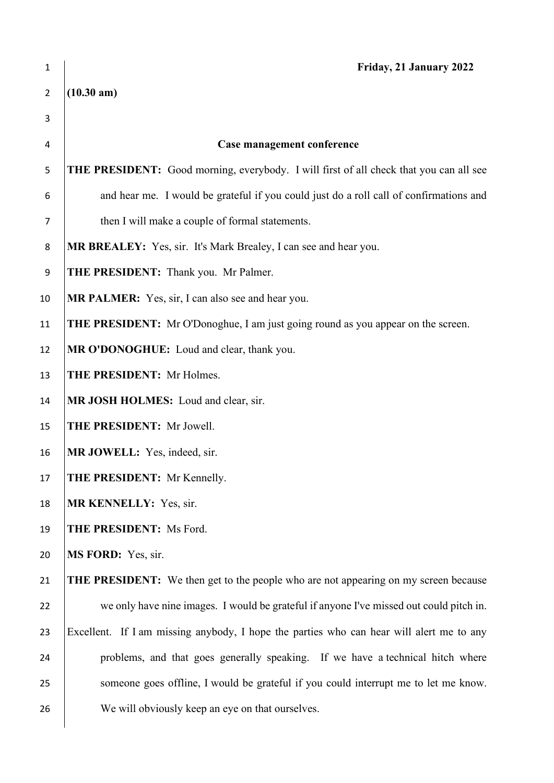| $\mathbf 1$    | Friday, 21 January 2022                                                                    |
|----------------|--------------------------------------------------------------------------------------------|
| $\overline{2}$ | $(10.30 \text{ am})$                                                                       |
| 3              |                                                                                            |
| 4              | Case management conference                                                                 |
| 5              | THE PRESIDENT: Good morning, everybody. I will first of all check that you can all see     |
| 6              | and hear me. I would be grateful if you could just do a roll call of confirmations and     |
| $\overline{7}$ | then I will make a couple of formal statements.                                            |
| 8              | MR BREALEY: Yes, sir. It's Mark Brealey, I can see and hear you.                           |
| 9              | THE PRESIDENT: Thank you. Mr Palmer.                                                       |
| 10             | MR PALMER: Yes, sir, I can also see and hear you.                                          |
| 11             | <b>THE PRESIDENT:</b> Mr O'Donoghue, I am just going round as you appear on the screen.    |
| 12             | MR O'DONOGHUE: Loud and clear, thank you.                                                  |
| 13             | THE PRESIDENT: Mr Holmes.                                                                  |
| 14             | MR JOSH HOLMES: Loud and clear, sir.                                                       |
| 15             | THE PRESIDENT: Mr Jowell.                                                                  |
| 16             | MR JOWELL: Yes, indeed, sir.                                                               |
| 17             | THE PRESIDENT: Mr Kennelly.                                                                |
| 18             | MR KENNELLY: Yes, sir.                                                                     |
| 19             | THE PRESIDENT: Ms Ford.                                                                    |
| 20             | MS FORD: Yes, sir.                                                                         |
| 21             | <b>THE PRESIDENT:</b> We then get to the people who are not appearing on my screen because |
| 22             | we only have nine images. I would be grateful if anyone I've missed out could pitch in.    |
| 23             | Excellent. If I am missing anybody, I hope the parties who can hear will alert me to any   |
| 24             | problems, and that goes generally speaking. If we have a technical hitch where             |
| 25             | someone goes offline, I would be grateful if you could interrupt me to let me know.        |
| 26             | We will obviously keep an eye on that ourselves.                                           |
|                |                                                                                            |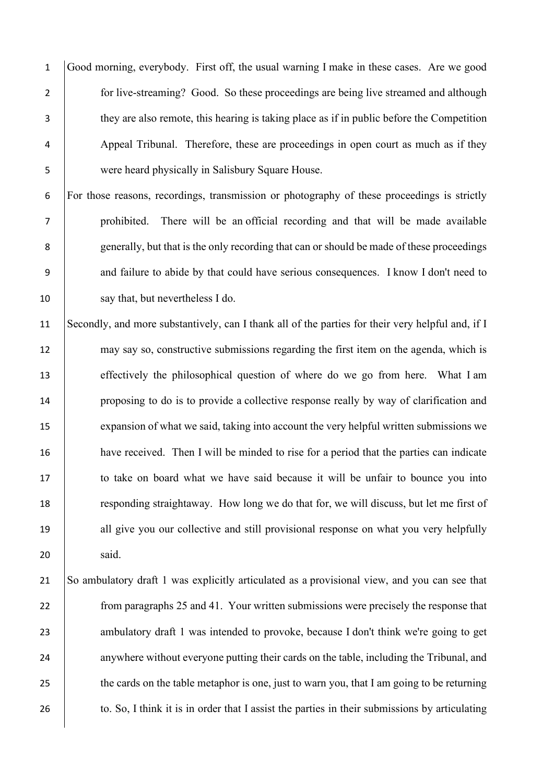Good morning, everybody. First off, the usual warning I make in these cases. Are we good 2 for live-streaming? Good. So these proceedings are being live streamed and although they are also remote, this hearing is taking place as if in public before the Competition Appeal Tribunal. Therefore, these are proceedings in open court as much as if they were heard physically in Salisbury Square House.

 For those reasons, recordings, transmission or photography of these proceedings is strictly prohibited. There will be an official recording and that will be made available generally, but that is the only recording that can or should be made of these proceedings and failure to abide by that could have serious consequences. I know I don't need to say that, but nevertheless I do.

 Secondly, and more substantively, can I thank all of the parties for their very helpful and, if I 12 may say so, constructive submissions regarding the first item on the agenda, which is effectively the philosophical question of where do we go from here. What I am 14 proposing to do is to provide a collective response really by way of clarification and 15 expansion of what we said, taking into account the very helpful written submissions we have received. Then I will be minded to rise for a period that the parties can indicate to take on board what we have said because it will be unfair to bounce you into responding straightaway. How long we do that for, we will discuss, but let me first of 19 all give you our collective and still provisional response on what you very helpfully said.

 So ambulatory draft 1 was explicitly articulated as a provisional view, and you can see that 22 from paragraphs 25 and 41. Your written submissions were precisely the response that 23 ambulatory draft 1 was intended to provoke, because I don't think we're going to get 24 anywhere without everyone putting their cards on the table, including the Tribunal, and 25 the cards on the table metaphor is one, just to warn you, that I am going to be returning 26 to. So, I think it is in order that I assist the parties in their submissions by articulating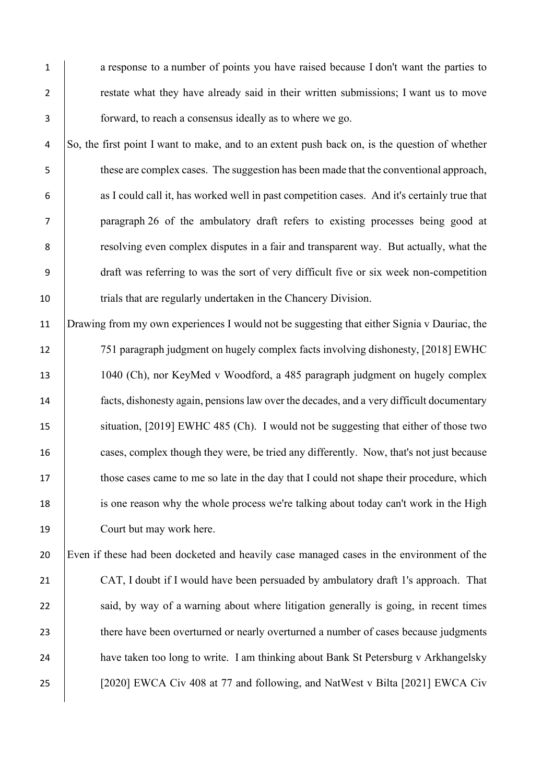1 a response to a number of points you have raised because I don't want the parties to 2 restate what they have already said in their written submissions; I want us to move 3 forward, to reach a consensus ideally as to where we go.

 So, the first point I want to make, and to an extent push back on, is the question of whether these are complex cases. The suggestion has been made that the conventional approach, 6 as I could call it, has worked well in past competition cases. And it's certainly true that paragraph 26 of the ambulatory draft refers to existing processes being good at **8** resolving even complex disputes in a fair and transparent way. But actually, what the draft was referring to was the sort of very difficult five or six week non-competition 10 trials that are regularly undertaken in the Chancery Division.

 Drawing from my own experiences I would not be suggesting that either Signia v Dauriac, the 751 paragraph judgment on hugely complex facts involving dishonesty, [2018] EWHC 1040 (Ch), nor KeyMed v Woodford, a 485 paragraph judgment on hugely complex facts, dishonesty again, pensions law over the decades, and a very difficult documentary 15 situation, [2019] EWHC 485 (Ch). I would not be suggesting that either of those two cases, complex though they were, be tried any differently. Now, that's not just because 17 those cases came to me so late in the day that I could not shape their procedure, which is one reason why the whole process we're talking about today can't work in the High Court but may work here.

20 Even if these had been docketed and heavily case managed cases in the environment of the 21 CAT, I doubt if I would have been persuaded by ambulatory draft 1's approach. That 22 said, by way of a warning about where litigation generally is going, in recent times 23 there have been overturned or nearly overturned a number of cases because judgments 24 have taken too long to write. I am thinking about Bank St Petersburg v Arkhangelsky 25 [2020] EWCA Civ 408 at 77 and following, and NatWest v Bilta [2021] EWCA Civ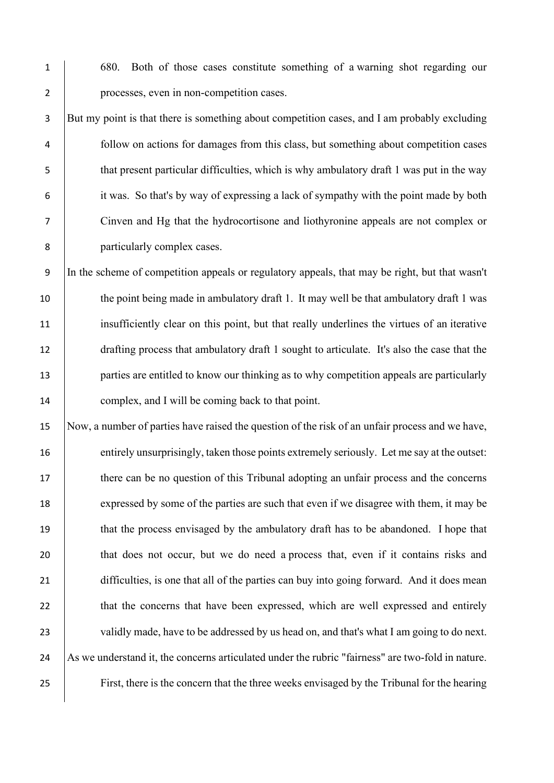1 680. Both of those cases constitute something of a warning shot regarding our 2 processes, even in non-competition cases.

3 But my point is that there is something about competition cases, and I am probably excluding follow on actions for damages from this class, but something about competition cases that present particular difficulties, which is why ambulatory draft 1 was put in the way it was. So that's by way of expressing a lack of sympathy with the point made by both Cinven and Hg that the hydrocortisone and liothyronine appeals are not complex or particularly complex cases.

9 In the scheme of competition appeals or regulatory appeals, that may be right, but that wasn't 10 the point being made in ambulatory draft 1. It may well be that ambulatory draft 1 was 11 insufficiently clear on this point, but that really underlines the virtues of an iterative 12 drafting process that ambulatory draft 1 sought to articulate. It's also the case that the 13 **parties are entitled to know our thinking as to why competition appeals are particularly** 14 complex, and I will be coming back to that point.

15 Now, a number of parties have raised the question of the risk of an unfair process and we have, 16 entirely unsurprisingly, taken those points extremely seriously. Let me say at the outset: 17 there can be no question of this Tribunal adopting an unfair process and the concerns 18 expressed by some of the parties are such that even if we disagree with them, it may be 19 that the process envisaged by the ambulatory draft has to be abandoned. I hope that 20 that does not occur, but we do need a process that, even if it contains risks and 21 difficulties, is one that all of the parties can buy into going forward. And it does mean 22 that the concerns that have been expressed, which are well expressed and entirely 23 validly made, have to be addressed by us head on, and that's what I am going to do next. 24 As we understand it, the concerns articulated under the rubric "fairness" are two-fold in nature. 25 First, there is the concern that the three weeks envisaged by the Tribunal for the hearing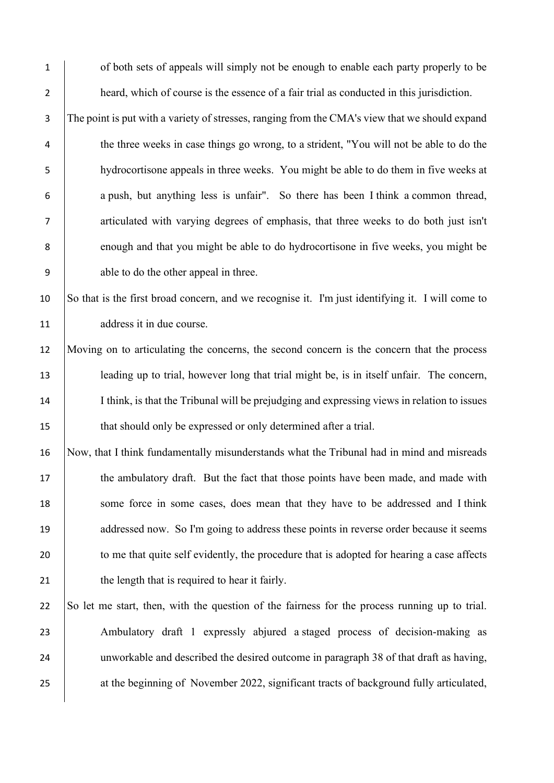1 of both sets of appeals will simply not be enough to enable each party properly to be 2 heard, which of course is the essence of a fair trial as conducted in this jurisdiction. 3 The point is put with a variety of stresses, ranging from the CMA's view that we should expand 4 the three weeks in case things go wrong, to a strident, "You will not be able to do the 5 hydrocortisone appeals in three weeks. You might be able to do them in five weeks at 6 a push, but anything less is unfair". So there has been I think a common thread, 7 articulated with varying degrees of emphasis, that three weeks to do both just isn't 8 enough and that you might be able to do hydrocortisone in five weeks, you might be 9 able to do the other appeal in three. 10 So that is the first broad concern, and we recognise it. I'm just identifying it. I will come to 11 address it in due course. 12 Moving on to articulating the concerns, the second concern is the concern that the process 13 leading up to trial, however long that trial might be, is in itself unfair. The concern, 14 I think, is that the Tribunal will be prejudging and expressing views in relation to issues 15 that should only be expressed or only determined after a trial. 16 Now, that I think fundamentally misunderstands what the Tribunal had in mind and misreads 17 the ambulatory draft. But the fact that those points have been made, and made with 18 some force in some cases, does mean that they have to be addressed and I think 19 addressed now. So I'm going to address these points in reverse order because it seems

20 to me that quite self evidently, the procedure that is adopted for hearing a case affects 21 b the length that is required to hear it fairly.

22 So let me start, then, with the question of the fairness for the process running up to trial. 23 Ambulatory draft 1 expressly abjured a staged process of decision-making as 24 unworkable and described the desired outcome in paragraph 38 of that draft as having, 25 at the beginning of November 2022, significant tracts of background fully articulated,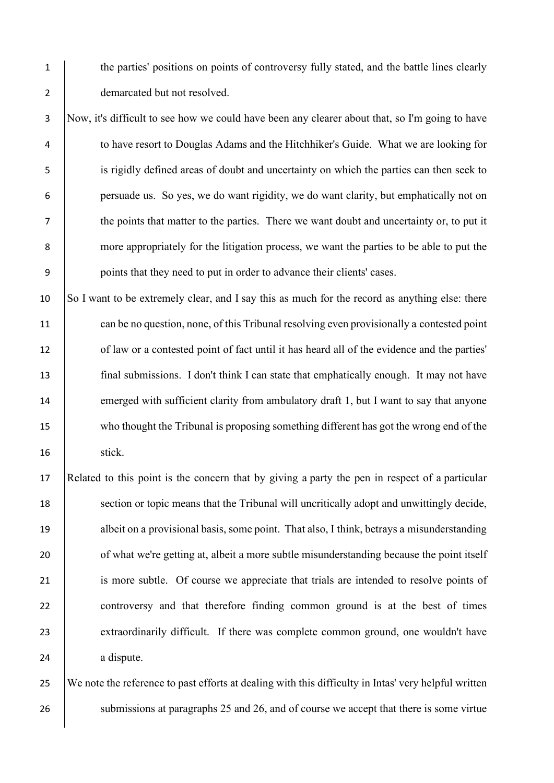1 the parties' positions on points of controversy fully stated, and the battle lines clearly 2 demarcated but not resolved.

 Now, it's difficult to see how we could have been any clearer about that, so I'm going to have to have resort to Douglas Adams and the Hitchhiker's Guide. What we are looking for is rigidly defined areas of doubt and uncertainty on which the parties can then seek to persuade us. So yes, we do want rigidity, we do want clarity, but emphatically not on the points that matter to the parties. There we want doubt and uncertainty or, to put it more appropriately for the litigation process, we want the parties to be able to put the 9 points that they need to put in order to advance their clients' cases.

10 So I want to be extremely clear, and I say this as much for the record as anything else: there 11 can be no question, none, of this Tribunal resolving even provisionally a contested point 12 of law or a contested point of fact until it has heard all of the evidence and the parties' 13 final submissions. I don't think I can state that emphatically enough. It may not have 14 emerged with sufficient clarity from ambulatory draft 1, but I want to say that anyone 15 who thought the Tribunal is proposing something different has got the wrong end of the 16 | stick.

17 Related to this point is the concern that by giving a party the pen in respect of a particular 18 section or topic means that the Tribunal will uncritically adopt and unwittingly decide, 19 albeit on a provisional basis, some point. That also, I think, betrays a misunderstanding 20 of what we're getting at, albeit a more subtle misunderstanding because the point itself 21 is more subtle. Of course we appreciate that trials are intended to resolve points of 22 controversy and that therefore finding common ground is at the best of times 23 extraordinarily difficult. If there was complete common ground, one wouldn't have 24 a dispute.

25 We note the reference to past efforts at dealing with this difficulty in Intas' very helpful written 26 submissions at paragraphs 25 and 26, and of course we accept that there is some virtue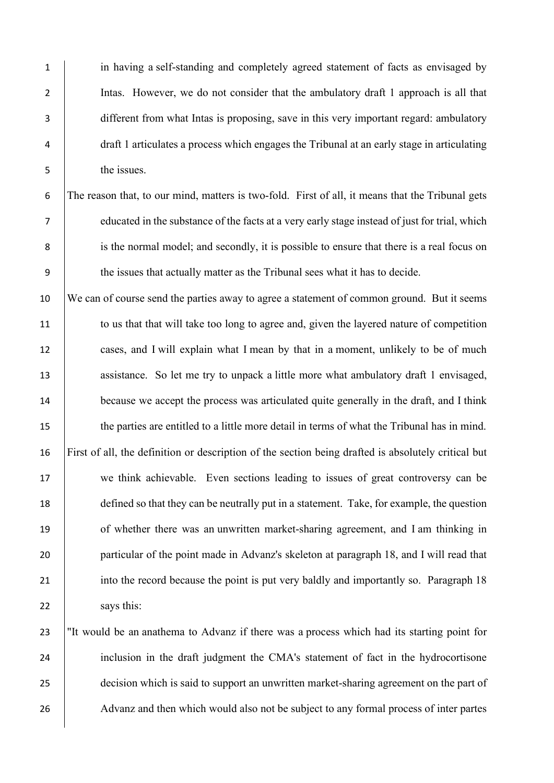in having a self-standing and completely agreed statement of facts as envisaged by Intas. However, we do not consider that the ambulatory draft 1 approach is all that different from what Intas is proposing, save in this very important regard: ambulatory draft 1 articulates a process which engages the Tribunal at an early stage in articulating the issues.

 The reason that, to our mind, matters is two-fold. First of all, it means that the Tribunal gets educated in the substance of the facts at a very early stage instead of just for trial, which 8 is the normal model; and secondly, it is possible to ensure that there is a real focus on the issues that actually matter as the Tribunal sees what it has to decide.

10 We can of course send the parties away to agree a statement of common ground. But it seems 11 to us that that will take too long to agree and, given the layered nature of competition 12 cases, and I will explain what I mean by that in a moment, unlikely to be of much 13 assistance. So let me try to unpack a little more what ambulatory draft 1 envisaged, 14 because we accept the process was articulated quite generally in the draft, and I think 15 the parties are entitled to a little more detail in terms of what the Tribunal has in mind. 16 First of all, the definition or description of the section being drafted is absolutely critical but 17 we think achievable. Even sections leading to issues of great controversy can be 18 defined so that they can be neutrally put in a statement. Take, for example, the question 19 of whether there was an unwritten market-sharing agreement, and I am thinking in 20 particular of the point made in Advanz's skeleton at paragraph 18, and I will read that 21 into the record because the point is put very baldly and importantly so. Paragraph 18 22 says this:

23 "It would be an anathema to Advanz if there was a process which had its starting point for 24 inclusion in the draft judgment the CMA's statement of fact in the hydrocortisone 25 decision which is said to support an unwritten market-sharing agreement on the part of 26 Advanz and then which would also not be subject to any formal process of inter partes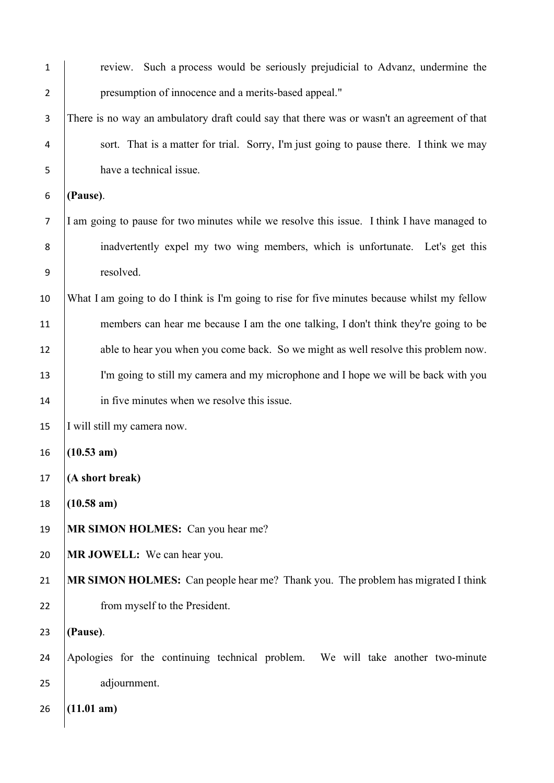| $\mathbf{1}$   | review. Such a process would be seriously prejudicial to Advanz, undermine the               |
|----------------|----------------------------------------------------------------------------------------------|
| $\overline{2}$ | presumption of innocence and a merits-based appeal."                                         |
| $\mathsf 3$    | There is no way an ambulatory draft could say that there was or wasn't an agreement of that  |
| 4              | sort. That is a matter for trial. Sorry, I'm just going to pause there. I think we may       |
| 5              | have a technical issue.                                                                      |
| 6              | (Pause).                                                                                     |
| $\overline{7}$ | I am going to pause for two minutes while we resolve this issue. I think I have managed to   |
| 8              | inadvertently expel my two wing members, which is unfortunate. Let's get this                |
| 9              | resolved.                                                                                    |
| 10             | What I am going to do I think is I'm going to rise for five minutes because whilst my fellow |
| 11             | members can hear me because I am the one talking, I don't think they're going to be          |
| 12             | able to hear you when you come back. So we might as well resolve this problem now.           |
| 13             | I'm going to still my camera and my microphone and I hope we will be back with you           |
| 14             | in five minutes when we resolve this issue.                                                  |
| 15             | I will still my camera now.                                                                  |
| 16             | $(10.53 \text{ am})$                                                                         |
| 17             | (A short break)                                                                              |
| 18             | $(10.58 \text{ am})$                                                                         |
| 19             | MR SIMON HOLMES: Can you hear me?                                                            |
| 20             | MR JOWELL: We can hear you.                                                                  |
| 21             | MR SIMON HOLMES: Can people hear me? Thank you. The problem has migrated I think             |
| 22             | from myself to the President.                                                                |
| 23             | (Pause).                                                                                     |
| 24             | Apologies for the continuing technical problem. We will take another two-minute              |
| 25             | adjournment.                                                                                 |
| 26             | (11.01 am)                                                                                   |
|                |                                                                                              |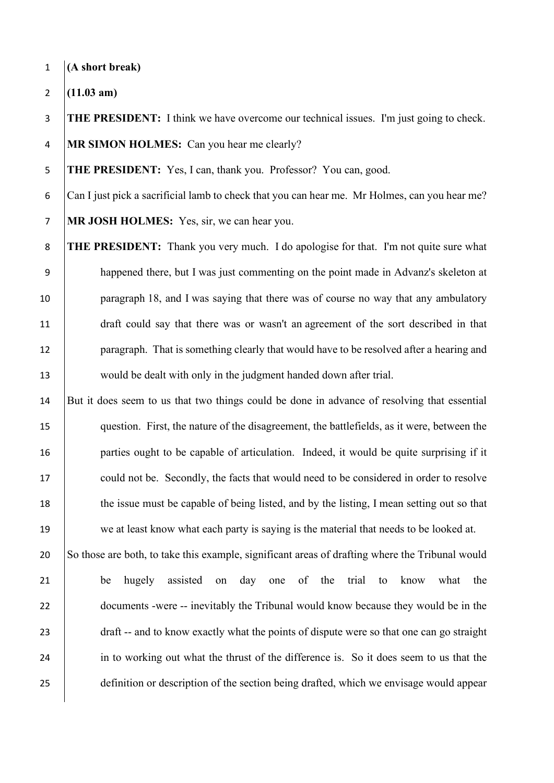**(A short break)** 

**(11.03 am)**

 **THE PRESIDENT:** I think we have overcome our technical issues. I'm just going to check. **MR SIMON HOLMES:** Can you hear me clearly?

**THE PRESIDENT:** Yes, I can, thank you. Professor? You can, good.

 Can I just pick a sacrificial lamb to check that you can hear me. Mr Holmes, can you hear me? **MR JOSH HOLMES:** Yes, sir, we can hear you.

 **THE PRESIDENT:** Thank you very much. I do apologise for that. I'm not quite sure what happened there, but I was just commenting on the point made in Advanz's skeleton at 10 paragraph 18, and I was saying that there was of course no way that any ambulatory draft could say that there was or wasn't an agreement of the sort described in that **paragraph.** That is something clearly that would have to be resolved after a hearing and 13 would be dealt with only in the judgment handed down after trial.

 But it does seem to us that two things could be done in advance of resolving that essential question. First, the nature of the disagreement, the battlefields, as it were, between the **parties ought to be capable of articulation.** Indeed, it would be quite surprising if it 17 could not be. Secondly, the facts that would need to be considered in order to resolve 18 the issue must be capable of being listed, and by the listing, I mean setting out so that 19 we at least know what each party is saying is the material that needs to be looked at.

20 So those are both, to take this example, significant areas of drafting where the Tribunal would be hugely assisted on day one of the trial to know what the 22 documents -were -- inevitably the Tribunal would know because they would be in the 23 draft -- and to know exactly what the points of dispute were so that one can go straight 24 in to working out what the thrust of the difference is. So it does seem to us that the definition or description of the section being drafted, which we envisage would appear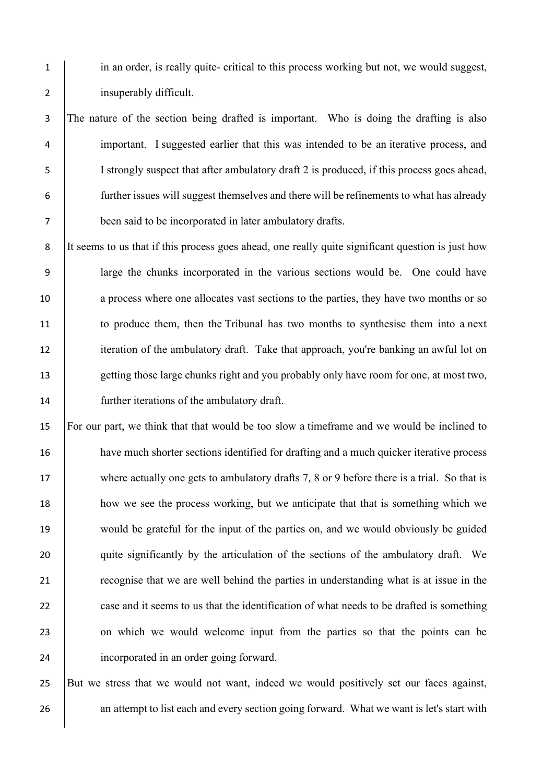1 in an order, is really quite- critical to this process working but not, we would suggest, 2 insuperably difficult.

3 The nature of the section being drafted is important. Who is doing the drafting is also 4 important. I suggested earlier that this was intended to be an iterative process, and 5 I strongly suspect that after ambulatory draft 2 is produced, if this process goes ahead, 6 further issues will suggest themselves and there will be refinements to what has already 7 been said to be incorporated in later ambulatory drafts.

8 It seems to us that if this process goes ahead, one really quite significant question is just how 9 large the chunks incorporated in the various sections would be. One could have 10 a process where one allocates vast sections to the parties, they have two months or so 11 to produce them, then the Tribunal has two months to synthesise them into a next 12 iteration of the ambulatory draft. Take that approach, you're banking an awful lot on 13 getting those large chunks right and you probably only have room for one, at most two, 14 **further iterations of the ambulatory draft.** 

15 For our part, we think that that would be too slow a timeframe and we would be inclined to 16 have much shorter sections identified for drafting and a much quicker iterative process 17 where actually one gets to ambulatory drafts 7, 8 or 9 before there is a trial. So that is 18 how we see the process working, but we anticipate that that is something which we 19 would be grateful for the input of the parties on, and we would obviously be guided 20 quite significantly by the articulation of the sections of the ambulatory draft. We 21 **Property** recognise that we are well behind the parties in understanding what is at issue in the 22 case and it seems to us that the identification of what needs to be drafted is something 23 on which we would welcome input from the parties so that the points can be 24 incorporated in an order going forward.

25 But we stress that we would not want, indeed we would positively set our faces against, 26 an attempt to list each and every section going forward. What we want is let's start with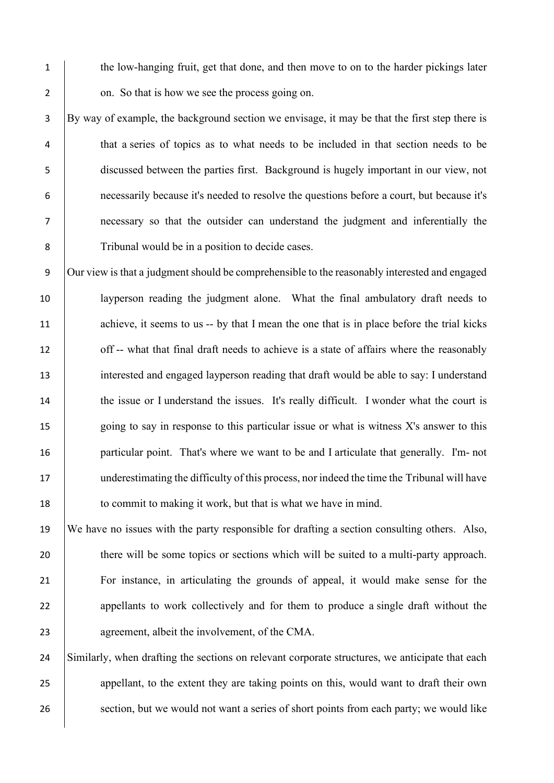1 the low-hanging fruit, get that done, and then move to on to the harder pickings later 2 on. So that is how we see the process going on.

 By way of example, the background section we envisage, it may be that the first step there is that a series of topics as to what needs to be included in that section needs to be discussed between the parties first. Background is hugely important in our view, not necessarily because it's needed to resolve the questions before a court, but because it's necessary so that the outsider can understand the judgment and inferentially the 8 Tribunal would be in a position to decide cases.

9 Our view is that a judgment should be comprehensible to the reasonably interested and engaged 10 layperson reading the judgment alone. What the final ambulatory draft needs to 11 achieve, it seems to us -- by that I mean the one that is in place before the trial kicks 12 off -- what that final draft needs to achieve is a state of affairs where the reasonably 13 interested and engaged layperson reading that draft would be able to say: I understand 14 the issue or I understand the issues. It's really difficult. I wonder what the court is 15 going to say in response to this particular issue or what is witness X's answer to this 16 particular point. That's where we want to be and I articulate that generally. I'm- not 17 underestimating the difficulty of this process, nor indeed the time the Tribunal will have 18 to commit to making it work, but that is what we have in mind.

19 We have no issues with the party responsible for drafting a section consulting others. Also, 20 there will be some topics or sections which will be suited to a multi-party approach. 21 For instance, in articulating the grounds of appeal, it would make sense for the 22 appellants to work collectively and for them to produce a single draft without the 23 agreement, albeit the involvement, of the CMA.

24 Similarly, when drafting the sections on relevant corporate structures, we anticipate that each 25 appellant, to the extent they are taking points on this, would want to draft their own 26 section, but we would not want a series of short points from each party; we would like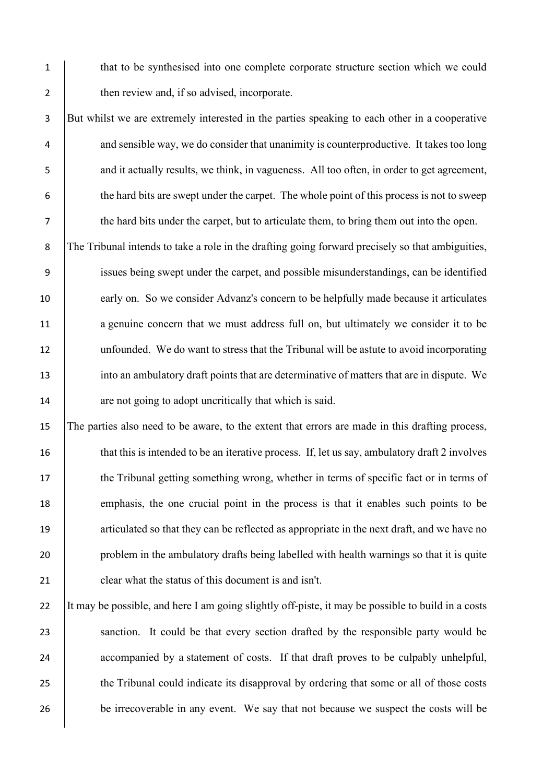1 that to be synthesised into one complete corporate structure section which we could 2 then review and, if so advised, incorporate.

3 But whilst we are extremely interested in the parties speaking to each other in a cooperative 4 and sensible way, we do consider that unanimity is counterproductive. It takes too long 5 and it actually results, we think, in vagueness. All too often, in order to get agreement, 6 the hard bits are swept under the carpet. The whole point of this process is not to sweep 7 the hard bits under the carpet, but to articulate them, to bring them out into the open.

8 The Tribunal intends to take a role in the drafting going forward precisely so that ambiguities, 9 issues being swept under the carpet, and possible misunderstandings, can be identified 10 early on. So we consider Advanz's concern to be helpfully made because it articulates 11 a genuine concern that we must address full on, but ultimately we consider it to be 12 unfounded. We do want to stress that the Tribunal will be astute to avoid incorporating 13 into an ambulatory draft points that are determinative of matters that are in dispute. We 14 are not going to adopt uncritically that which is said.

15 The parties also need to be aware, to the extent that errors are made in this drafting process, 16 that this is intended to be an iterative process. If, let us say, ambulatory draft 2 involves 17 the Tribunal getting something wrong, whether in terms of specific fact or in terms of 18 emphasis, the one crucial point in the process is that it enables such points to be 19 articulated so that they can be reflected as appropriate in the next draft, and we have no 20 problem in the ambulatory drafts being labelled with health warnings so that it is quite 21 clear what the status of this document is and isn't.

22 It may be possible, and here I am going slightly off-piste, it may be possible to build in a costs 23 sanction. It could be that every section drafted by the responsible party would be 24 accompanied by a statement of costs. If that draft proves to be culpably unhelpful, 25 the Tribunal could indicate its disapproval by ordering that some or all of those costs 26 be irrecoverable in any event. We say that not because we suspect the costs will be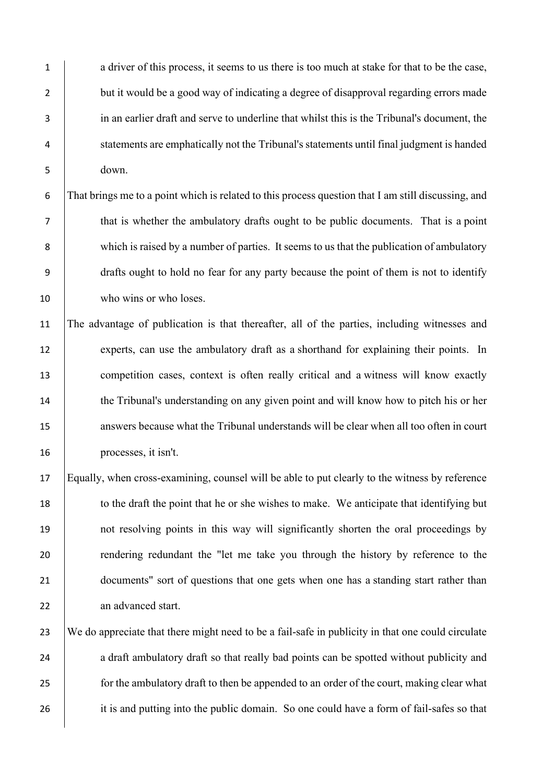1 a driver of this process, it seems to us there is too much at stake for that to be the case, 2 but it would be a good way of indicating a degree of disapproval regarding errors made 3 in an earlier draft and serve to underline that whilst this is the Tribunal's document, the 4 statements are emphatically not the Tribunal's statements until final judgment is handed 5 down.

6 That brings me to a point which is related to this process question that I am still discussing, and 7 that is whether the ambulatory drafts ought to be public documents. That is a point 8 which is raised by a number of parties. It seems to us that the publication of ambulatory 9 drafts ought to hold no fear for any party because the point of them is not to identify 10 who wins or who loses.

11 The advantage of publication is that thereafter, all of the parties, including witnesses and 12 experts, can use the ambulatory draft as a shorthand for explaining their points. In 13 competition cases, context is often really critical and a witness will know exactly 14 the Tribunal's understanding on any given point and will know how to pitch his or her 15 answers because what the Tribunal understands will be clear when all too often in court 16 processes, it isn't.

17 Equally, when cross-examining, counsel will be able to put clearly to the witness by reference 18 to the draft the point that he or she wishes to make. We anticipate that identifying but 19 not resolving points in this way will significantly shorten the oral proceedings by 20 rendering redundant the "let me take you through the history by reference to the 21 documents" sort of questions that one gets when one has a standing start rather than 22 an advanced start.

23 We do appreciate that there might need to be a fail-safe in publicity in that one could circulate 24 a draft ambulatory draft so that really bad points can be spotted without publicity and 25 **for the ambulatory draft to then be appended to an order of the court, making clear what** 26 it is and putting into the public domain. So one could have a form of fail-safes so that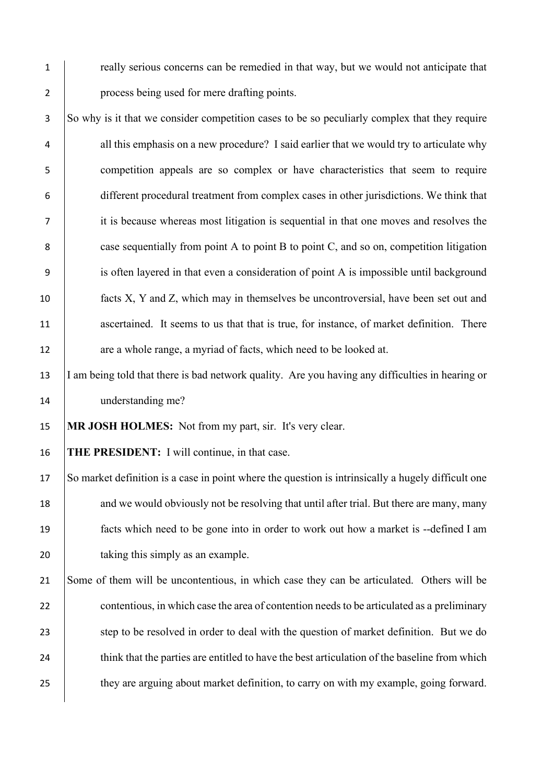1 really serious concerns can be remedied in that way, but we would not anticipate that 2 process being used for mere drafting points.

3 So why is it that we consider competition cases to be so peculiarly complex that they require 4 all this emphasis on a new procedure? I said earlier that we would try to articulate why 5 competition appeals are so complex or have characteristics that seem to require 6 different procedural treatment from complex cases in other jurisdictions. We think that 7 it is because whereas most litigation is sequential in that one moves and resolves the 8 case sequentially from point A to point B to point C, and so on, competition litigation 9 is often layered in that even a consideration of point A is impossible until background 10 facts X, Y and Z, which may in themselves be uncontroversial, have been set out and 11 ascertained. It seems to us that that is true, for instance, of market definition. There 12 are a whole range, a myriad of facts, which need to be looked at.

13 I am being told that there is bad network quality. Are you having any difficulties in hearing or 14 understanding me?

15 **MR JOSH HOLMES:** Not from my part, sir. It's very clear.

16 **THE PRESIDENT:** I will continue, in that case.

17 So market definition is a case in point where the question is intrinsically a hugely difficult one 18 and we would obviously not be resolving that until after trial. But there are many, many 19 facts which need to be gone into in order to work out how a market is --defined I am 20 taking this simply as an example.

21 Some of them will be uncontentious, in which case they can be articulated. Others will be 22 contentious, in which case the area of contention needs to be articulated as a preliminary 23 step to be resolved in order to deal with the question of market definition. But we do 24 think that the parties are entitled to have the best articulation of the baseline from which 25 they are arguing about market definition, to carry on with my example, going forward.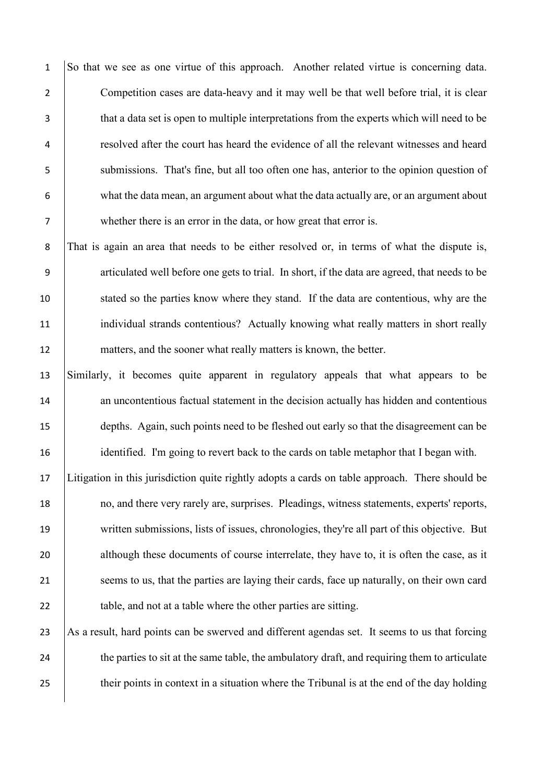1 So that we see as one virtue of this approach. Another related virtue is concerning data. 2 Competition cases are data-heavy and it may well be that well before trial, it is clear 3 that a data set is open to multiple interpretations from the experts which will need to be 4 resolved after the court has heard the evidence of all the relevant witnesses and heard 5 submissions. That's fine, but all too often one has, anterior to the opinion question of 6 what the data mean, an argument about what the data actually are, or an argument about 7 whether there is an error in the data, or how great that error is.

8 That is again an area that needs to be either resolved or, in terms of what the dispute is, 9 articulated well before one gets to trial. In short, if the data are agreed, that needs to be 10 stated so the parties know where they stand. If the data are contentious, why are the 11 | individual strands contentious? Actually knowing what really matters in short really 12 matters, and the sooner what really matters is known, the better.

 Similarly, it becomes quite apparent in regulatory appeals that what appears to be 14 an uncontentious factual statement in the decision actually has hidden and contentious depths. Again, such points need to be fleshed out early so that the disagreement can be identified. I'm going to revert back to the cards on table metaphor that I began with.

17 Litigation in this jurisdiction quite rightly adopts a cards on table approach. There should be 18 no, and there very rarely are, surprises. Pleadings, witness statements, experts' reports, 19 written submissions, lists of issues, chronologies, they're all part of this objective. But 20 although these documents of course interrelate, they have to, it is often the case, as it 21 seems to us, that the parties are laying their cards, face up naturally, on their own card 22 **table, and not at a table where the other parties are sitting.** 

23 As a result, hard points can be swerved and different agendas set. It seems to us that forcing 24 the parties to sit at the same table, the ambulatory draft, and requiring them to articulate 25 their points in context in a situation where the Tribunal is at the end of the day holding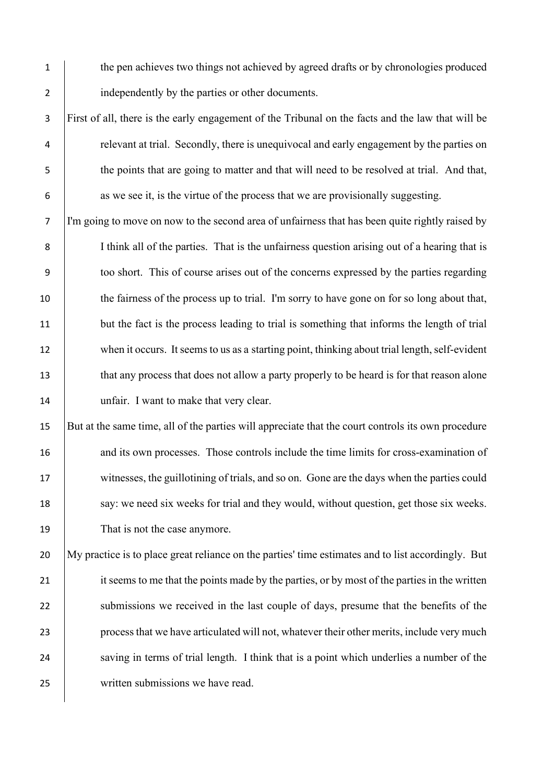- 1 the pen achieves two things not achieved by agreed drafts or by chronologies produced 2 independently by the parties or other documents.
- 3 First of all, there is the early engagement of the Tribunal on the facts and the law that will be 4 relevant at trial. Secondly, there is unequivocal and early engagement by the parties on 5 the points that are going to matter and that will need to be resolved at trial. And that, 6 as we see it, is the virtue of the process that we are provisionally suggesting.

7 I'm going to move on now to the second area of unfairness that has been quite rightly raised by 8 I think all of the parties. That is the unfairness question arising out of a hearing that is 9 too short. This of course arises out of the concerns expressed by the parties regarding 10 the fairness of the process up to trial. I'm sorry to have gone on for so long about that, 11 but the fact is the process leading to trial is something that informs the length of trial 12 when it occurs. It seems to us as a starting point, thinking about trial length, self-evident 13 that any process that does not allow a party properly to be heard is for that reason alone 14 | unfair. I want to make that very clear.

15 But at the same time, all of the parties will appreciate that the court controls its own procedure 16 and its own processes. Those controls include the time limits for cross-examination of 17 witnesses, the guillotining of trials, and so on. Gone are the days when the parties could 18 say: we need six weeks for trial and they would, without question, get those six weeks. 19 That is not the case anymore.

20 My practice is to place great reliance on the parties' time estimates and to list accordingly. But 21 it seems to me that the points made by the parties, or by most of the parties in the written 22 submissions we received in the last couple of days, presume that the benefits of the 23 process that we have articulated will not, whatever their other merits, include very much 24 saving in terms of trial length. I think that is a point which underlies a number of the 25 written submissions we have read.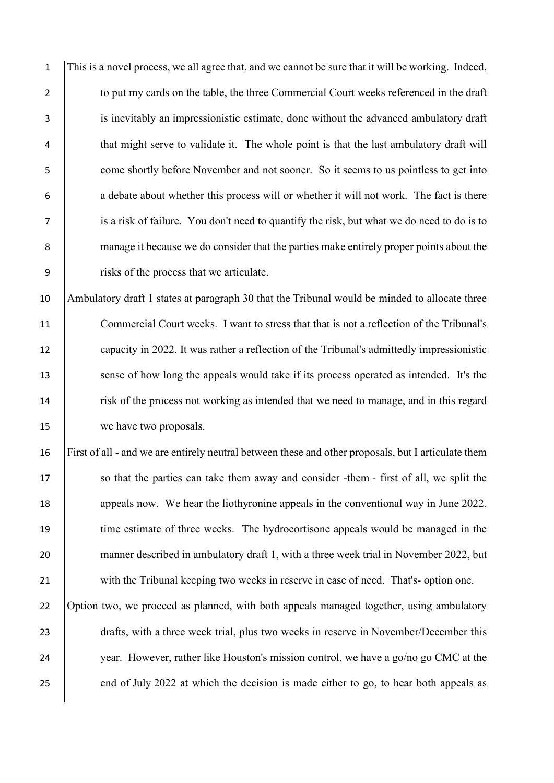1 This is a novel process, we all agree that, and we cannot be sure that it will be working. Indeed, 2 to put my cards on the table, the three Commercial Court weeks referenced in the draft 3 is inevitably an impressionistic estimate, done without the advanced ambulatory draft 4 that might serve to validate it. The whole point is that the last ambulatory draft will 5 come shortly before November and not sooner. So it seems to us pointless to get into 6 a debate about whether this process will or whether it will not work. The fact is there 7 is a risk of failure. You don't need to quantify the risk, but what we do need to do is to 8 manage it because we do consider that the parties make entirely proper points about the 9 risks of the process that we articulate.

10 Ambulatory draft 1 states at paragraph 30 that the Tribunal would be minded to allocate three 11 Commercial Court weeks. I want to stress that that is not a reflection of the Tribunal's 12 capacity in 2022. It was rather a reflection of the Tribunal's admittedly impressionistic 13 sense of how long the appeals would take if its process operated as intended. It's the 14 risk of the process not working as intended that we need to manage, and in this regard 15 we have two proposals.

16 First of all - and we are entirely neutral between these and other proposals, but I articulate them 17 so that the parties can take them away and consider -them - first of all, we split the 18 appeals now. We hear the liothyronine appeals in the conventional way in June 2022, 19 time estimate of three weeks. The hydrocortisone appeals would be managed in the 20 manner described in ambulatory draft 1, with a three week trial in November 2022, but 21 with the Tribunal keeping two weeks in reserve in case of need. That's- option one. 22 Option two, we proceed as planned, with both appeals managed together, using ambulatory 23 drafts, with a three week trial, plus two weeks in reserve in November/December this 24 year. However, rather like Houston's mission control, we have a go/no go CMC at the

25 end of July 2022 at which the decision is made either to go, to hear both appeals as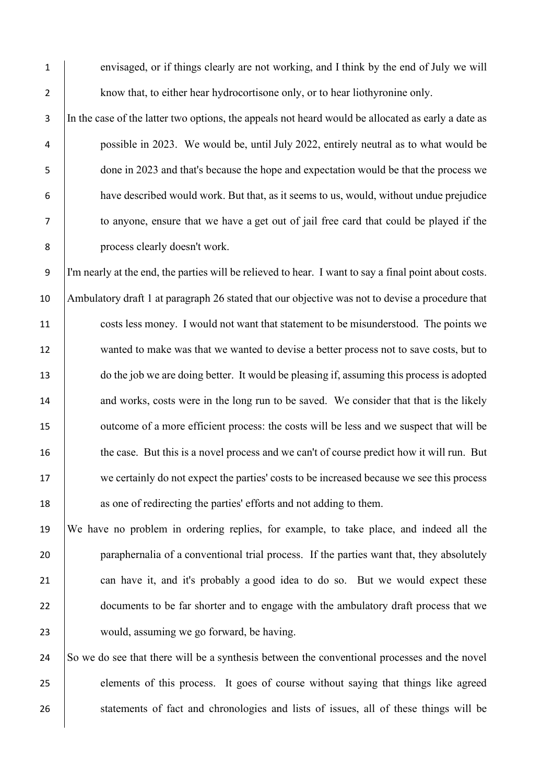1 envisaged, or if things clearly are not working, and I think by the end of July we will 2 know that, to either hear hydrocortisone only, or to hear liothyronine only.

3 In the case of the latter two options, the appeals not heard would be allocated as early a date as possible in 2023. We would be, until July 2022, entirely neutral as to what would be done in 2023 and that's because the hope and expectation would be that the process we have described would work. But that, as it seems to us, would, without undue prejudice to anyone, ensure that we have a get out of jail free card that could be played if the process clearly doesn't work.

9 I'm nearly at the end, the parties will be relieved to hear. I want to say a final point about costs. 10 Ambulatory draft 1 at paragraph 26 stated that our objective was not to devise a procedure that 11 costs less money. I would not want that statement to be misunderstood. The points we 12 wanted to make was that we wanted to devise a better process not to save costs, but to 13 do the job we are doing better. It would be pleasing if, assuming this process is adopted 14 and works, costs were in the long run to be saved. We consider that that is the likely 15 vulcome of a more efficient process: the costs will be less and we suspect that will be 16 the case. But this is a novel process and we can't of course predict how it will run. But 17 we certainly do not expect the parties' costs to be increased because we see this process 18 as one of redirecting the parties' efforts and not adding to them.

19 We have no problem in ordering replies, for example, to take place, and indeed all the 20 paraphernalia of a conventional trial process. If the parties want that, they absolutely 21 can have it, and it's probably a good idea to do so. But we would expect these 22 documents to be far shorter and to engage with the ambulatory draft process that we 23 would, assuming we go forward, be having.

24 So we do see that there will be a synthesis between the conventional processes and the novel 25 elements of this process. It goes of course without saying that things like agreed 26 statements of fact and chronologies and lists of issues, all of these things will be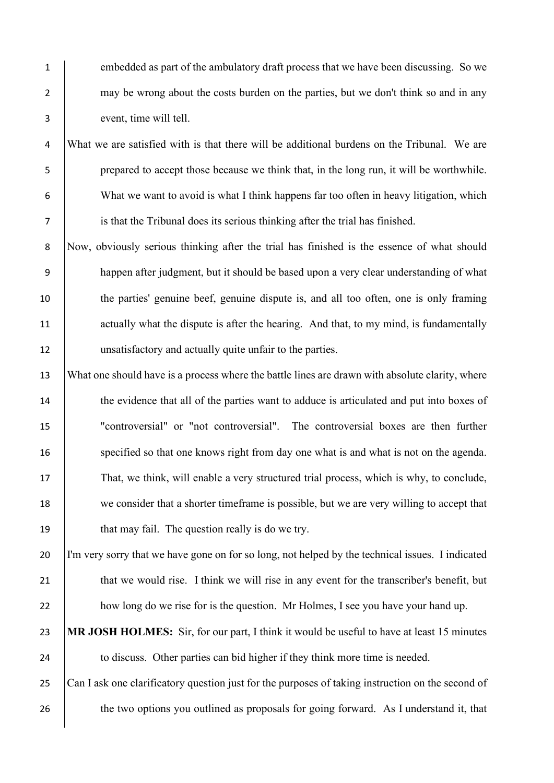1 embedded as part of the ambulatory draft process that we have been discussing. So we 2 may be wrong about the costs burden on the parties, but we don't think so and in any 3 event, time will tell.

 What we are satisfied with is that there will be additional burdens on the Tribunal. We are prepared to accept those because we think that, in the long run, it will be worthwhile. What we want to avoid is what I think happens far too often in heavy litigation, which is that the Tribunal does its serious thinking after the trial has finished.

8 Now, obviously serious thinking after the trial has finished is the essence of what should 9 happen after judgment, but it should be based upon a very clear understanding of what 10 the parties' genuine beef, genuine dispute is, and all too often, one is only framing 11 actually what the dispute is after the hearing. And that, to my mind, is fundamentally 12 unsatisfactory and actually quite unfair to the parties.

13 What one should have is a process where the battle lines are drawn with absolute clarity, where 14 the evidence that all of the parties want to adduce is articulated and put into boxes of 15 "controversial" or "not controversial". The controversial boxes are then further 16 specified so that one knows right from day one what is and what is not on the agenda. 17 That, we think, will enable a very structured trial process, which is why, to conclude, 18 we consider that a shorter timeframe is possible, but we are very willing to accept that 19 **that may fail.** The question really is do we try.

20 I'm very sorry that we have gone on for so long, not helped by the technical issues. I indicated 21 that we would rise. I think we will rise in any event for the transcriber's benefit, but 22 how long do we rise for is the question. Mr Holmes, I see you have your hand up.

23 **MR JOSH HOLMES:** Sir, for our part, I think it would be useful to have at least 15 minutes 24 to discuss. Other parties can bid higher if they think more time is needed.

25 Can I ask one clarificatory question just for the purposes of taking instruction on the second of 26 the two options you outlined as proposals for going forward. As I understand it, that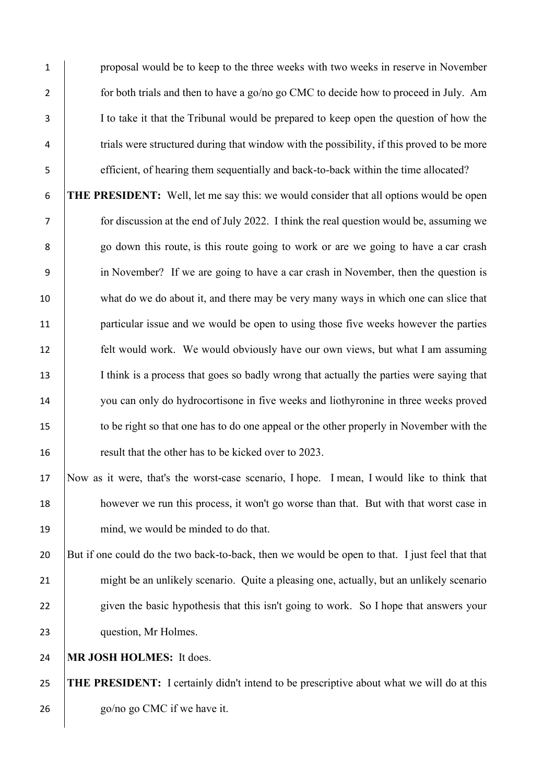proposal would be to keep to the three weeks with two weeks in reserve in November 2 for both trials and then to have a go/no go CMC to decide how to proceed in July. Am I to take it that the Tribunal would be prepared to keep open the question of how the 4 trials were structured during that window with the possibility, if this proved to be more efficient, of hearing them sequentially and back-to-back within the time allocated?

 **THE PRESIDENT:** Well, let me say this: we would consider that all options would be open for discussion at the end of July 2022. I think the real question would be, assuming we 8 | go down this route, is this route going to work or are we going to have a car crash in November? If we are going to have a car crash in November, then the question is 10 what do we do about it, and there may be very many ways in which one can slice that **particular issue and we would be open to using those five weeks however the parties**  felt would work. We would obviously have our own views, but what I am assuming 13 I think is a process that goes so badly wrong that actually the parties were saying that you can only do hydrocortisone in five weeks and liothyronine in three weeks proved to be right so that one has to do one appeal or the other properly in November with the result that the other has to be kicked over to 2023.

 Now as it were, that's the worst-case scenario, I hope. I mean, I would like to think that however we run this process, it won't go worse than that. But with that worst case in 19 mind, we would be minded to do that.

 But if one could do the two back-to-back, then we would be open to that. I just feel that that 21 might be an unlikely scenario. Quite a pleasing one, actually, but an unlikely scenario 22 given the basic hypothesis that this isn't going to work. So I hope that answers your 23 question, Mr Holmes.

**MR JOSH HOLMES:** It does.

 **THE PRESIDENT:** I certainly didn't intend to be prescriptive about what we will do at this 26 go/no go CMC if we have it.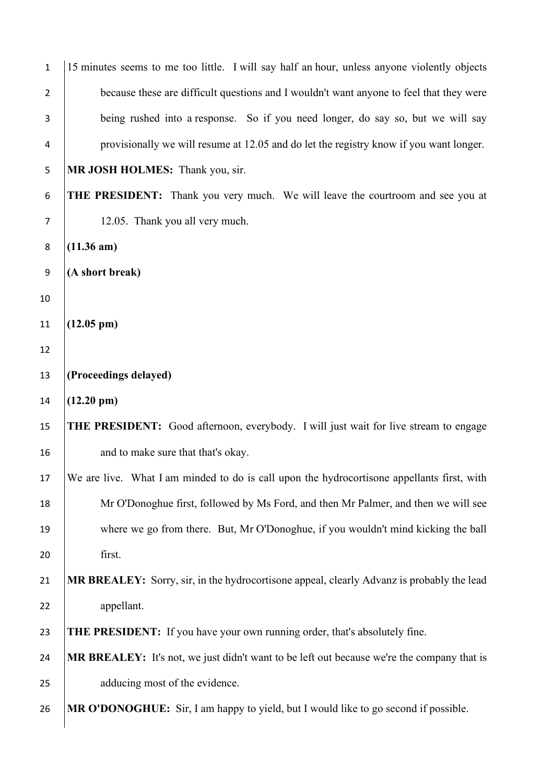| $\mathbf{1}$     | 15 minutes seems to me too little. I will say half an hour, unless anyone violently objects |
|------------------|---------------------------------------------------------------------------------------------|
| $\overline{2}$   | because these are difficult questions and I wouldn't want anyone to feel that they were     |
| 3                | being rushed into a response. So if you need longer, do say so, but we will say             |
| 4                | provisionally we will resume at 12.05 and do let the registry know if you want longer.      |
| 5                | MR JOSH HOLMES: Thank you, sir.                                                             |
| 6                | <b>THE PRESIDENT:</b> Thank you very much. We will leave the courtroom and see you at       |
| $\overline{7}$   | 12.05. Thank you all very much.                                                             |
| 8                | $(11.36 \text{ am})$                                                                        |
| $\boldsymbol{9}$ | (A short break)                                                                             |
| 10               |                                                                                             |
| 11               | $(12.05 \text{ pm})$                                                                        |
| 12               |                                                                                             |
| 13               | (Proceedings delayed)                                                                       |
|                  |                                                                                             |
| 14               | $(12.20 \text{ pm})$                                                                        |
| 15               | THE PRESIDENT: Good afternoon, everybody. I will just wait for live stream to engage        |
| 16               | and to make sure that that's okay.                                                          |
| 17               | We are live. What I am minded to do is call upon the hydrocortisone appellants first, with  |
| 18               | Mr O'Donoghue first, followed by Ms Ford, and then Mr Palmer, and then we will see          |
| 19               | where we go from there. But, Mr O'Donoghue, if you wouldn't mind kicking the ball           |
| 20               | first.                                                                                      |
| 21               | MR BREALEY: Sorry, sir, in the hydrocortisone appeal, clearly Advanz is probably the lead   |
| 22               | appellant.                                                                                  |
| 23               | <b>THE PRESIDENT:</b> If you have your own running order, that's absolutely fine.           |
| 24               | MR BREALEY: It's not, we just didn't want to be left out because we're the company that is  |
| 25               | adducing most of the evidence.                                                              |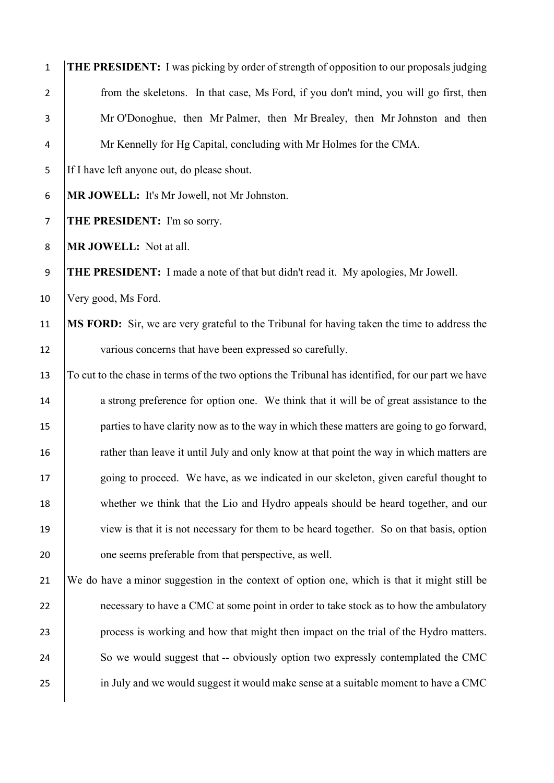| $\mathbf 1$    | THE PRESIDENT: I was picking by order of strength of opposition to our proposals judging          |
|----------------|---------------------------------------------------------------------------------------------------|
| $\overline{2}$ | from the skeletons. In that case, Ms Ford, if you don't mind, you will go first, then             |
| 3              | Mr O'Donoghue, then Mr Palmer, then Mr Brealey, then Mr Johnston and then                         |
| 4              | Mr Kennelly for Hg Capital, concluding with Mr Holmes for the CMA.                                |
| 5              | If I have left anyone out, do please shout.                                                       |
| 6              | MR JOWELL: It's Mr Jowell, not Mr Johnston.                                                       |
| $\overline{7}$ | THE PRESIDENT: I'm so sorry.                                                                      |
| 8              | MR JOWELL: Not at all.                                                                            |
| 9              | THE PRESIDENT: I made a note of that but didn't read it. My apologies, Mr Jowell.                 |
| 10             | Very good, Ms Ford.                                                                               |
| 11             | MS FORD: Sir, we are very grateful to the Tribunal for having taken the time to address the       |
| 12             | various concerns that have been expressed so carefully.                                           |
| 13             | To cut to the chase in terms of the two options the Tribunal has identified, for our part we have |
| 14             | a strong preference for option one. We think that it will be of great assistance to the           |
| 15             | parties to have clarity now as to the way in which these matters are going to go forward,         |
| 16             | rather than leave it until July and only know at that point the way in which matters are          |
| 17             | going to proceed. We have, as we indicated in our skeleton, given careful thought to              |
| 18             | whether we think that the Lio and Hydro appeals should be heard together, and our                 |
| 19             | view is that it is not necessary for them to be heard together. So on that basis, option          |
| 20             | one seems preferable from that perspective, as well.                                              |
| 21             | We do have a minor suggestion in the context of option one, which is that it might still be       |
| 22             | necessary to have a CMC at some point in order to take stock as to how the ambulatory             |
| 23             | process is working and how that might then impact on the trial of the Hydro matters.              |
| 24             | So we would suggest that -- obviously option two expressly contemplated the CMC                   |
| 25             | in July and we would suggest it would make sense at a suitable moment to have a CMC               |
|                |                                                                                                   |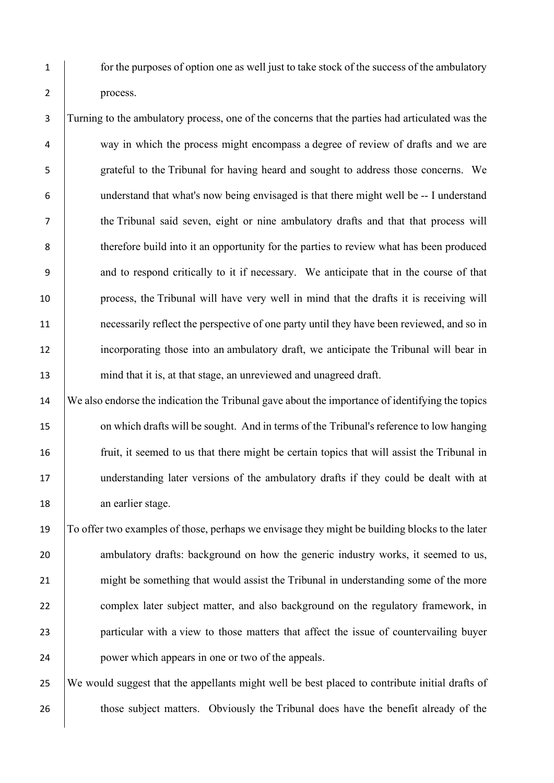1 for the purposes of option one as well just to take stock of the success of the ambulatory 2 process.

 Turning to the ambulatory process, one of the concerns that the parties had articulated was the way in which the process might encompass a degree of review of drafts and we are grateful to the Tribunal for having heard and sought to address those concerns. We understand that what's now being envisaged is that there might well be -- I understand the Tribunal said seven, eight or nine ambulatory drafts and that that process will therefore build into it an opportunity for the parties to review what has been produced 9 and to respond critically to it if necessary. We anticipate that in the course of that process, the Tribunal will have very well in mind that the drafts it is receiving will 11 necessarily reflect the perspective of one party until they have been reviewed, and so in incorporating those into an ambulatory draft, we anticipate the Tribunal will bear in 13 mind that it is, at that stage, an unreviewed and unagreed draft.

14 We also endorse the indication the Tribunal gave about the importance of identifying the topics 15 on which drafts will be sought. And in terms of the Tribunal's reference to low hanging 16 fruit, it seemed to us that there might be certain topics that will assist the Tribunal in 17 understanding later versions of the ambulatory drafts if they could be dealt with at 18 an earlier stage.

19 To offer two examples of those, perhaps we envisage they might be building blocks to the later 20 ambulatory drafts: background on how the generic industry works, it seemed to us, 21 might be something that would assist the Tribunal in understanding some of the more 22 complex later subject matter, and also background on the regulatory framework, in 23 particular with a view to those matters that affect the issue of countervailing buyer 24 power which appears in one or two of the appeals.

25 We would suggest that the appellants might well be best placed to contribute initial drafts of 26 those subject matters. Obviously the Tribunal does have the benefit already of the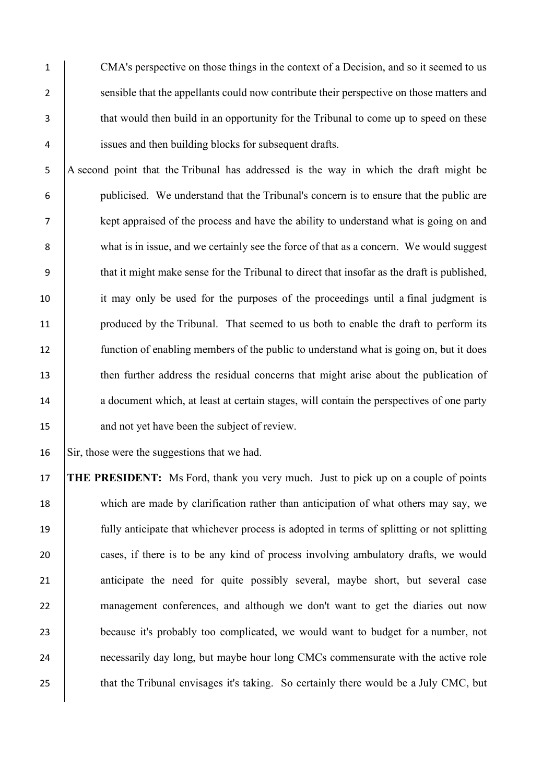1 CMA's perspective on those things in the context of a Decision, and so it seemed to us 2 sensible that the appellants could now contribute their perspective on those matters and 3 that would then build in an opportunity for the Tribunal to come up to speed on these 4 issues and then building blocks for subsequent drafts.

5 A second point that the Tribunal has addressed is the way in which the draft might be 6 publicised. We understand that the Tribunal's concern is to ensure that the public are 7 kept appraised of the process and have the ability to understand what is going on and 8 what is in issue, and we certainly see the force of that as a concern. We would suggest 9 that it might make sense for the Tribunal to direct that insofar as the draft is published, 10 it may only be used for the purposes of the proceedings until a final judgment is 11 produced by the Tribunal. That seemed to us both to enable the draft to perform its 12 function of enabling members of the public to understand what is going on, but it does 13 then further address the residual concerns that might arise about the publication of 14 a document which, at least at certain stages, will contain the perspectives of one party 15 and not yet have been the subject of review.

16 Sir, those were the suggestions that we had.

17 **THE PRESIDENT:** Ms Ford, thank you very much. Just to pick up on a couple of points 18 which are made by clarification rather than anticipation of what others may say, we 19 fully anticipate that whichever process is adopted in terms of splitting or not splitting 20 cases, if there is to be any kind of process involving ambulatory drafts, we would 21 anticipate the need for quite possibly several, maybe short, but several case 22 management conferences, and although we don't want to get the diaries out now 23 because it's probably too complicated, we would want to budget for a number, not 24 necessarily day long, but maybe hour long CMCs commensurate with the active role 25 that the Tribunal envisages it's taking. So certainly there would be a July CMC, but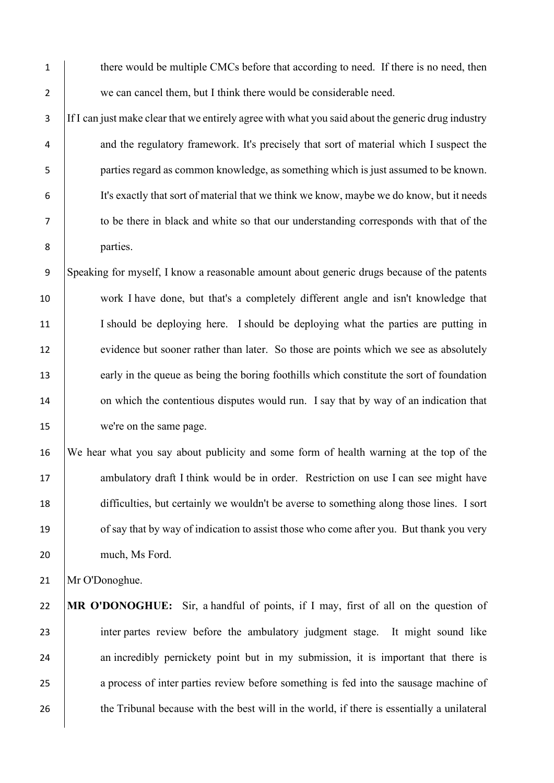1 there would be multiple CMCs before that according to need. If there is no need, then 2 we can cancel them, but I think there would be considerable need.

3 If I can just make clear that we entirely agree with what you said about the generic drug industry 4 and the regulatory framework. It's precisely that sort of material which I suspect the 5 parties regard as common knowledge, as something which is just assumed to be known. 6 It's exactly that sort of material that we think we know, maybe we do know, but it needs 7 to be there in black and white so that our understanding corresponds with that of the 8 parties.

9 Speaking for myself, I know a reasonable amount about generic drugs because of the patents 10 work I have done, but that's a completely different angle and isn't knowledge that 11 I should be deploying here. I should be deploying what the parties are putting in 12 evidence but sooner rather than later. So those are points which we see as absolutely 13 early in the queue as being the boring foothills which constitute the sort of foundation 14 on which the contentious disputes would run. I say that by way of an indication that 15 we're on the same page.

16 We hear what you say about publicity and some form of health warning at the top of the 17 ambulatory draft I think would be in order. Restriction on use I can see might have 18 difficulties, but certainly we wouldn't be averse to something along those lines. I sort 19 of say that by way of indication to assist those who come after you. But thank you very 20 much, Ms Ford.

21 | Mr O'Donoghue.

22 **MR O'DONOGHUE:** Sir, a handful of points, if I may, first of all on the question of 23 inter partes review before the ambulatory judgment stage. It might sound like 24 an incredibly pernickety point but in my submission, it is important that there is 25 a process of inter parties review before something is fed into the sausage machine of 26 the Tribunal because with the best will in the world, if there is essentially a unilateral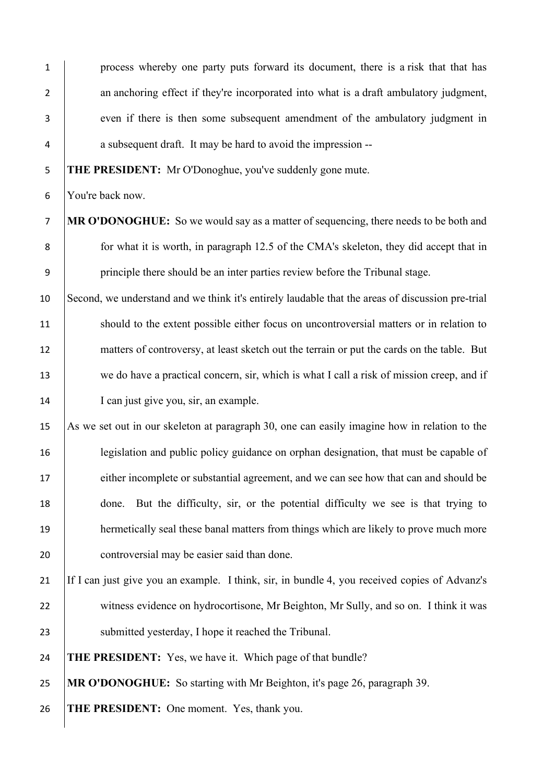1 process whereby one party puts forward its document, there is a risk that that has 2 an anchoring effect if they're incorporated into what is a draft ambulatory judgment, 3 even if there is then some subsequent amendment of the ambulatory judgment in 4 a subsequent draft. It may be hard to avoid the impression --

5 **THE PRESIDENT:** Mr O'Donoghue, you've suddenly gone mute.

6 You're back now.

- 7 **MR O'DONOGHUE:** So we would say as a matter of sequencing, there needs to be both and 8 for what it is worth, in paragraph 12.5 of the CMA's skeleton, they did accept that in 9 principle there should be an inter parties review before the Tribunal stage.
- 10 Second, we understand and we think it's entirely laudable that the areas of discussion pre-trial 11 should to the extent possible either focus on uncontroversial matters or in relation to 12 matters of controversy, at least sketch out the terrain or put the cards on the table. But 13 we do have a practical concern, sir, which is what I call a risk of mission creep, and if 14 I can just give you, sir, an example.
- 15 As we set out in our skeleton at paragraph 30, one can easily imagine how in relation to the 16 legislation and public policy guidance on orphan designation, that must be capable of 17 either incomplete or substantial agreement, and we can see how that can and should be 18 done. But the difficulty, sir, or the potential difficulty we see is that trying to 19 hermetically seal these banal matters from things which are likely to prove much more 20 **controversial may be easier said than done.**
- 21 If I can just give you an example. I think, sir, in bundle 4, you received copies of Advanz's 22 witness evidence on hydrocortisone, Mr Beighton, Mr Sully, and so on. I think it was 23 Submitted yesterday, I hope it reached the Tribunal.

24 **THE PRESIDENT:** Yes, we have it. Which page of that bundle?

25 **MR O'DONOGHUE:** So starting with Mr Beighton, it's page 26, paragraph 39.

26 **THE PRESIDENT:** One moment. Yes, thank you.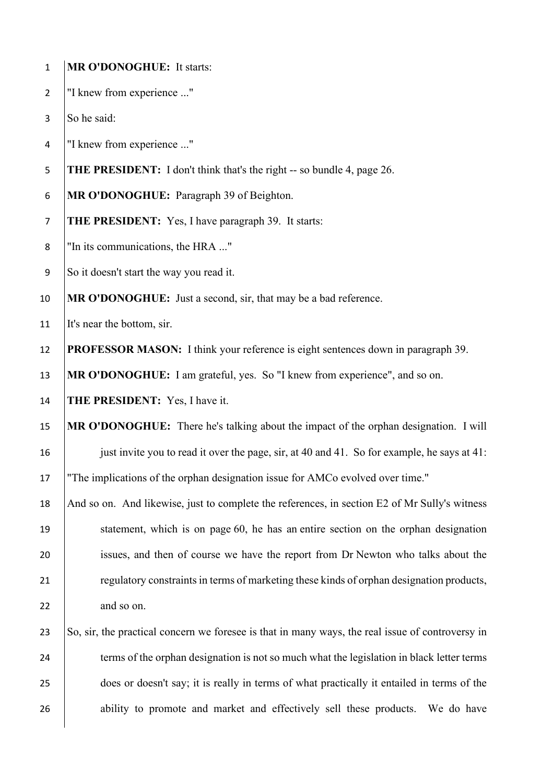| $\mathbf{1}$   | <b>MR O'DONOGHUE:</b> It starts:                                                                 |
|----------------|--------------------------------------------------------------------------------------------------|
| $\overline{2}$ | "I knew from experience "                                                                        |
| 3              | So he said:                                                                                      |
| 4              | "I knew from experience "                                                                        |
| 5              | THE PRESIDENT: I don't think that's the right -- so bundle 4, page 26.                           |
| 6              | MR O'DONOGHUE: Paragraph 39 of Beighton.                                                         |
| $\overline{7}$ | <b>THE PRESIDENT:</b> Yes, I have paragraph 39. It starts:                                       |
| 8              | "In its communications, the HRA "                                                                |
| 9              | So it doesn't start the way you read it.                                                         |
| 10             | MR O'DONOGHUE: Just a second, sir, that may be a bad reference.                                  |
| 11             | It's near the bottom, sir.                                                                       |
| 12             | <b>PROFESSOR MASON:</b> I think your reference is eight sentences down in paragraph 39.          |
| 13             | MR O'DONOGHUE: I am grateful, yes. So "I knew from experience", and so on.                       |
| 14             | <b>THE PRESIDENT:</b> Yes, I have it.                                                            |
| 15             | MR O'DONOGHUE: There he's talking about the impact of the orphan designation. I will             |
| 16             | just invite you to read it over the page, sir, at 40 and 41. So for example, he says at 41:      |
| 17             | "The implications of the orphan designation issue for AMCo evolved over time."                   |
| 18             | And so on. And likewise, just to complete the references, in section E2 of Mr Sully's witness    |
| 19             | statement, which is on page 60, he has an entire section on the orphan designation               |
| 20             | issues, and then of course we have the report from Dr Newton who talks about the                 |
| 21             | regulatory constraints in terms of marketing these kinds of orphan designation products,         |
| 22             | and so on.                                                                                       |
| 23             | So, sir, the practical concern we foresee is that in many ways, the real issue of controversy in |
| 24             | terms of the orphan designation is not so much what the legislation in black letter terms        |
| 25             | does or doesn't say; it is really in terms of what practically it entailed in terms of the       |
| 26             | ability to promote and market and effectively sell these products.<br>We do have                 |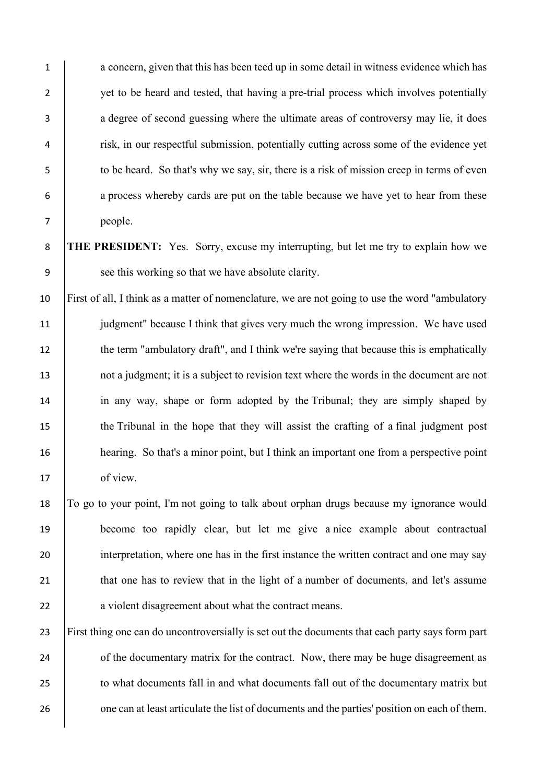1 a concern, given that this has been teed up in some detail in witness evidence which has 2 vet to be heard and tested, that having a pre-trial process which involves potentially 3 a degree of second guessing where the ultimate areas of controversy may lie, it does 4 **risk, in our respectful submission, potentially cutting across some of the evidence yet** 5 to be heard. So that's why we say, sir, there is a risk of mission creep in terms of even 6 a process whereby cards are put on the table because we have yet to hear from these 7 people.

8 **THE PRESIDENT:** Yes. Sorry, excuse my interrupting, but let me try to explain how we 9 see this working so that we have absolute clarity.

 First of all, I think as a matter of nomenclature, we are not going to use the word "ambulatory judgment" because I think that gives very much the wrong impression. We have used 12 the term "ambulatory draft", and I think we're saying that because this is emphatically 13 not a judgment; it is a subject to revision text where the words in the document are not in any way, shape or form adopted by the Tribunal; they are simply shaped by the Tribunal in the hope that they will assist the crafting of a final judgment post **hearing.** So that's a minor point, but I think an important one from a perspective point 17 of view.

18 To go to your point, I'm not going to talk about orphan drugs because my ignorance would 19 become too rapidly clear, but let me give a nice example about contractual 20 interpretation, where one has in the first instance the written contract and one may say 21 that one has to review that in the light of a number of documents, and let's assume 22 a violent disagreement about what the contract means.

23 First thing one can do uncontroversially is set out the documents that each party says form part 24 of the documentary matrix for the contract. Now, there may be huge disagreement as 25 to what documents fall in and what documents fall out of the documentary matrix but 26 one can at least articulate the list of documents and the parties' position on each of them.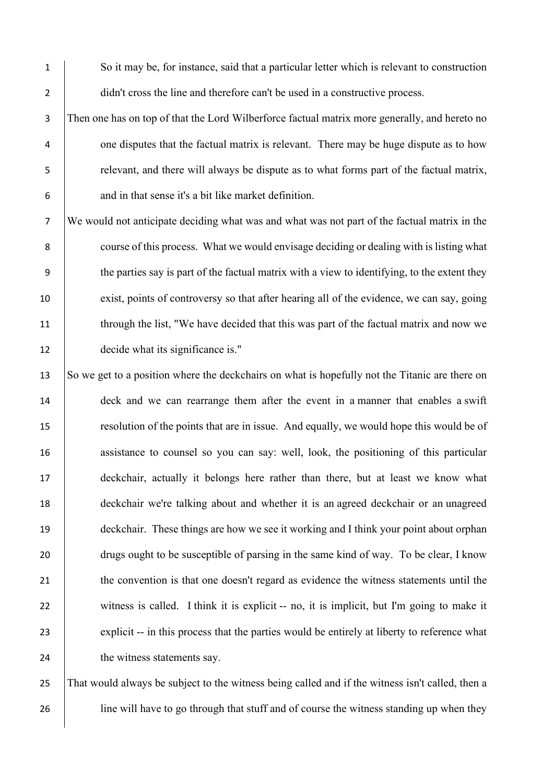1 So it may be, for instance, said that a particular letter which is relevant to construction 2 didn't cross the line and therefore can't be used in a constructive process.

3 Then one has on top of that the Lord Wilberforce factual matrix more generally, and hereto no <sup>4</sup> one disputes that the factual matrix is relevant. There may be huge dispute as to how 5 relevant, and there will always be dispute as to what forms part of the factual matrix, 6 and in that sense it's a bit like market definition.

7 We would not anticipate deciding what was and what was not part of the factual matrix in the 8 course of this process. What we would envisage deciding or dealing with is listing what 9 the parties say is part of the factual matrix with a view to identifying, to the extent they 10 exist, points of controversy so that after hearing all of the evidence, we can say, going 11 through the list, "We have decided that this was part of the factual matrix and now we 12 decide what its significance is."

13 So we get to a position where the deckchairs on what is hopefully not the Titanic are there on 14 deck and we can rearrange them after the event in a manner that enables a swift 15 resolution of the points that are in issue. And equally, we would hope this would be of 16 assistance to counsel so you can say: well, look, the positioning of this particular 17 deckchair, actually it belongs here rather than there, but at least we know what 18 deckchair we're talking about and whether it is an agreed deckchair or an unagreed 19 deckchair. These things are how we see it working and I think your point about orphan 20 drugs ought to be susceptible of parsing in the same kind of way. To be clear, I know 21 the convention is that one doesn't regard as evidence the witness statements until the 22 witness is called. I think it is explicit -- no, it is implicit, but I'm going to make it 23 explicit -- in this process that the parties would be entirely at liberty to reference what 24 the witness statements say.

25 That would always be subject to the witness being called and if the witness isn't called, then a 26 ine will have to go through that stuff and of course the witness standing up when they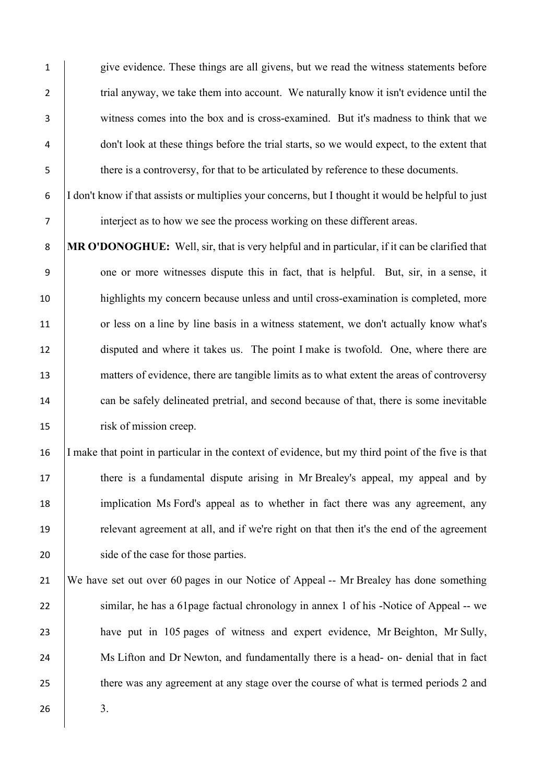give evidence. These things are all givens, but we read the witness statements before 2 trial anyway, we take them into account. We naturally know it isn't evidence until the witness comes into the box and is cross-examined. But it's madness to think that we don't look at these things before the trial starts, so we would expect, to the extent that there is a controversy, for that to be articulated by reference to these documents.

6 I don't know if that assists or multiplies your concerns, but I thought it would be helpful to just 7 interject as to how we see the process working on these different areas.

8 **MR O'DONOGHUE:** Well, sir, that is very helpful and in particular, if it can be clarified that 9 one or more witnesses dispute this in fact, that is helpful. But, sir, in a sense, it 10 highlights my concern because unless and until cross-examination is completed, more 11 or less on a line by line basis in a witness statement, we don't actually know what's 12 disputed and where it takes us. The point I make is twofold. One, where there are 13 matters of evidence, there are tangible limits as to what extent the areas of controversy 14 can be safely delineated pretrial, and second because of that, there is some inevitable 15 risk of mission creep.

 I make that point in particular in the context of evidence, but my third point of the five is that there is a fundamental dispute arising in Mr Brealey's appeal, my appeal and by implication Ms Ford's appeal as to whether in fact there was any agreement, any relevant agreement at all, and if we're right on that then it's the end of the agreement 20 side of the case for those parties.

21 We have set out over 60 pages in our Notice of Appeal -- Mr Brealey has done something 22 similar, he has a 61 page factual chronology in annex 1 of his -Notice of Appeal -- we 23 have put in 105 pages of witness and expert evidence, Mr Beighton, Mr Sully, 24 Ms Lifton and Dr Newton, and fundamentally there is a head- on- denial that in fact 25 there was any agreement at any stage over the course of what is termed periods 2 and  $26$  3.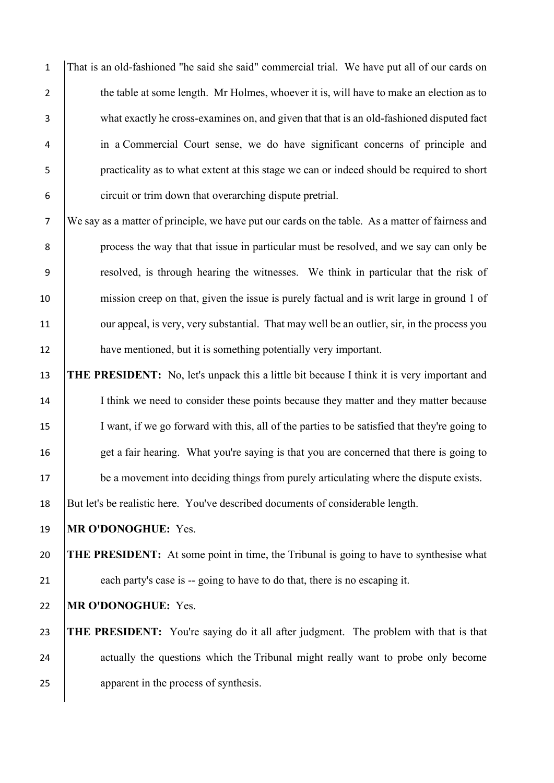That is an old-fashioned "he said she said" commercial trial. We have put all of our cards on 2 the table at some length. Mr Holmes, whoever it is, will have to make an election as to what exactly he cross-examines on, and given that that is an old-fashioned disputed fact in a Commercial Court sense, we do have significant concerns of principle and practicality as to what extent at this stage we can or indeed should be required to short circuit or trim down that overarching dispute pretrial.

7 We say as a matter of principle, we have put our cards on the table. As a matter of fairness and 8 process the way that that issue in particular must be resolved, and we say can only be 9 resolved, is through hearing the witnesses. We think in particular that the risk of 10 mission creep on that, given the issue is purely factual and is writ large in ground 1 of 11 our appeal, is very, very substantial. That may well be an outlier, sir, in the process you 12 have mentioned, but it is something potentially very important.

13 **THE PRESIDENT:** No, let's unpack this a little bit because I think it is very important and 14 I think we need to consider these points because they matter and they matter because 15 I want, if we go forward with this, all of the parties to be satisfied that they're going to 16 get a fair hearing. What you're saying is that you are concerned that there is going to 17 be a movement into deciding things from purely articulating where the dispute exists. 18 But let's be realistic here. You've described documents of considerable length.

19 **MR O'DONOGHUE:** Yes.

20 **THE PRESIDENT:** At some point in time, the Tribunal is going to have to synthesise what 21 each party's case is -- going to have to do that, there is no escaping it.

22 **MR O'DONOGHUE:** Yes.

23 **THE PRESIDENT:** You're saying do it all after judgment. The problem with that is that 24 actually the questions which the Tribunal might really want to probe only become 25 apparent in the process of synthesis.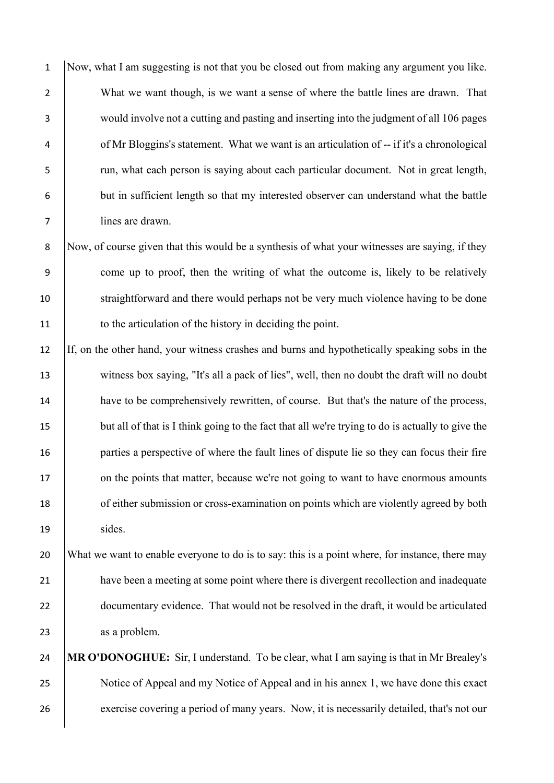Now, what I am suggesting is not that you be closed out from making any argument you like. 2 What we want though, is we want a sense of where the battle lines are drawn. That would involve not a cutting and pasting and inserting into the judgment of all 106 pages of Mr Bloggins's statement. What we want is an articulation of -- if it's a chronological run, what each person is saying about each particular document. Not in great length, but in sufficient length so that my interested observer can understand what the battle lines are drawn.

8 Now, of course given that this would be a synthesis of what your witnesses are saying, if they 9 come up to proof, then the writing of what the outcome is, likely to be relatively 10 straightforward and there would perhaps not be very much violence having to be done 11 to the articulation of the history in deciding the point.

12 If, on the other hand, your witness crashes and burns and hypothetically speaking sobs in the 13 witness box saying, "It's all a pack of lies", well, then no doubt the draft will no doubt 14 have to be comprehensively rewritten, of course. But that's the nature of the process, 15 but all of that is I think going to the fact that all we're trying to do is actually to give the 16 **parties a perspective of where the fault lines of dispute lie so they can focus their fire** 17 on the points that matter, because we're not going to want to have enormous amounts 18 of either submission or cross-examination on points which are violently agreed by both 19 | sides.

20 What we want to enable everyone to do is to say: this is a point where, for instance, there may 21 have been a meeting at some point where there is divergent recollection and inadequate 22 documentary evidence. That would not be resolved in the draft, it would be articulated 23 as a problem.

24 **MR O'DONOGHUE:** Sir, I understand. To be clear, what I am saying is that in Mr Brealey's 25 Notice of Appeal and my Notice of Appeal and in his annex 1, we have done this exact 26 exercise covering a period of many years. Now, it is necessarily detailed, that's not our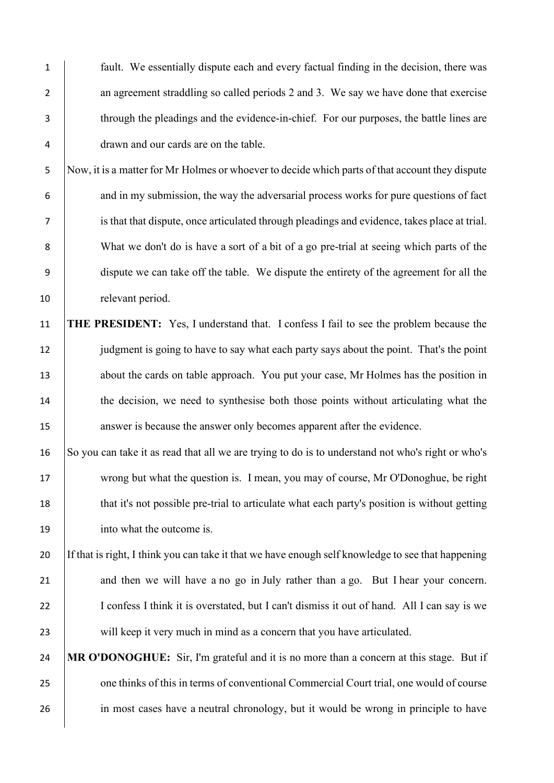fault. We essentially dispute each and every factual finding in the decision, there was 2 an agreement straddling so called periods 2 and 3. We say we have done that exercise through the pleadings and the evidence-in-chief. For our purposes, the battle lines are drawn and our cards are on the table. Now, it is a matter for Mr Holmes or whoever to decide which parts of that account they dispute 6 and in my submission, the way the adversarial process works for pure questions of fact is that that dispute, once articulated through pleadings and evidence, takes place at trial. What we don't do is have a sort of a bit of a go pre-trial at seeing which parts of the dispute we can take off the table. We dispute the entirety of the agreement for all the 10 relevant period.

11 **THE PRESIDENT:** Yes, I understand that. I confess I fail to see the problem because the 12 judgment is going to have to say what each party says about the point. That's the point 13 about the cards on table approach. You put your case, Mr Holmes has the position in 14 the decision, we need to synthesise both those points without articulating what the 15 answer is because the answer only becomes apparent after the evidence.

16 So you can take it as read that all we are trying to do is to understand not who's right or who's 17 wrong but what the question is. I mean, you may of course, Mr O'Donoghue, be right 18 that it's not possible pre-trial to articulate what each party's position is without getting 19 into what the outcome is.

20 If that is right, I think you can take it that we have enough self knowledge to see that happening 21 and then we will have a no go in July rather than a go. But I hear your concern. 22 I confess I think it is overstated, but I can't dismiss it out of hand. All I can say is we 23 will keep it very much in mind as a concern that you have articulated.

24 **MR O'DONOGHUE:** Sir, I'm grateful and it is no more than a concern at this stage. But if 25 one thinks of this in terms of conventional Commercial Court trial, one would of course 26 in most cases have a neutral chronology, but it would be wrong in principle to have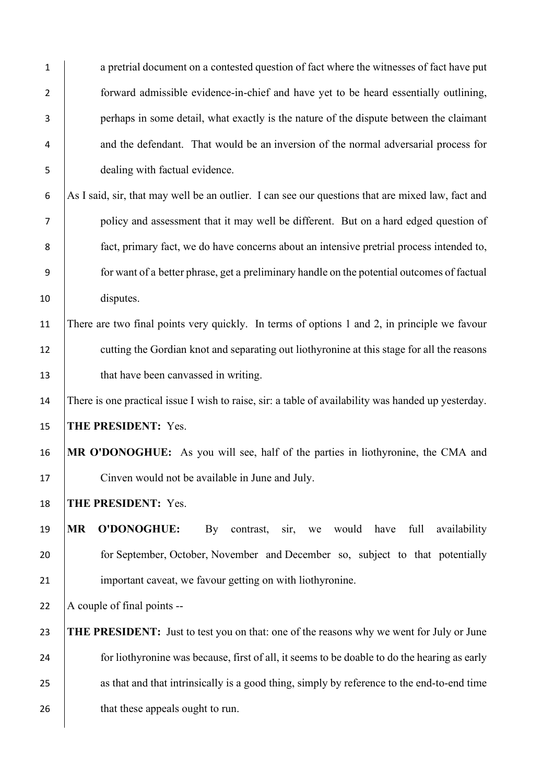| $\mathbf{1}$   | a pretrial document on a contested question of fact where the witnesses of fact have put                  |
|----------------|-----------------------------------------------------------------------------------------------------------|
| $\overline{2}$ | forward admissible evidence-in-chief and have yet to be heard essentially outlining,                      |
| 3              | perhaps in some detail, what exactly is the nature of the dispute between the claimant                    |
| 4              | and the defendant. That would be an inversion of the normal adversarial process for                       |
| 5              | dealing with factual evidence.                                                                            |
| 6              | As I said, sir, that may well be an outlier. I can see our questions that are mixed law, fact and         |
| 7              | policy and assessment that it may well be different. But on a hard edged question of                      |
| 8              | fact, primary fact, we do have concerns about an intensive pretrial process intended to,                  |
| 9              | for want of a better phrase, get a preliminary handle on the potential outcomes of factual                |
| 10             | disputes.                                                                                                 |
| 11             | There are two final points very quickly. In terms of options 1 and 2, in principle we favour              |
| 12             | cutting the Gordian knot and separating out liothyronine at this stage for all the reasons                |
| 13             | that have been canvassed in writing.                                                                      |
| 14             | There is one practical issue I wish to raise, sir: a table of availability was handed up yesterday.       |
| 15             | THE PRESIDENT: Yes.                                                                                       |
| 16             | MR O'DONOGHUE: As you will see, half of the parties in liothyronine, the CMA and                          |
| 17             | Cinven would not be available in June and July.                                                           |
| 18             | THE PRESIDENT: Yes.                                                                                       |
| 19             | <b>O'DONOGHUE:</b><br><b>MR</b><br>would<br>contrast,<br>have<br>full<br>availability<br>By<br>sir,<br>we |
| 20             | for September, October, November and December so, subject to that potentially                             |
| 21             | important caveat, we favour getting on with liothyronine.                                                 |
| 22             | A couple of final points --                                                                               |
| 23             | <b>THE PRESIDENT:</b> Just to test you on that: one of the reasons why we went for July or June           |
| 24             | for liothyronine was because, first of all, it seems to be doable to do the hearing as early              |
| 25             | as that and that intrinsically is a good thing, simply by reference to the end-to-end time                |
| 26             | that these appeals ought to run.                                                                          |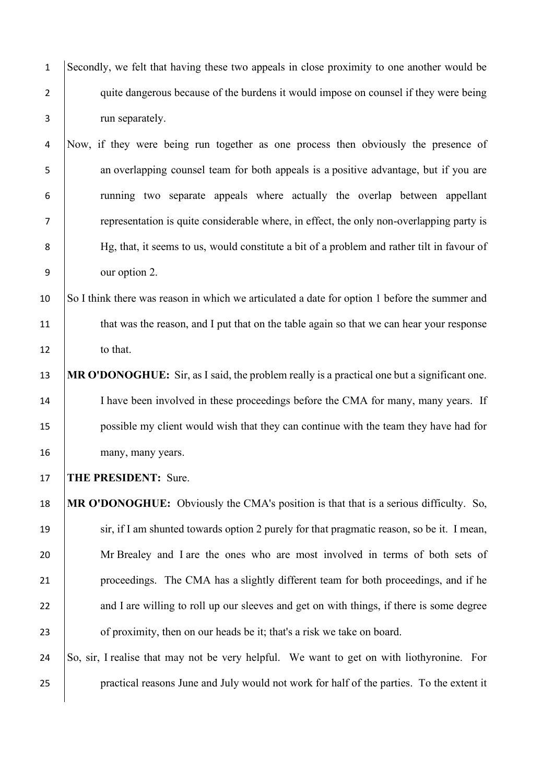Secondly, we felt that having these two appeals in close proximity to one another would be 2 quite dangerous because of the burdens it would impose on counsel if they were being run separately.

 Now, if they were being run together as one process then obviously the presence of 5 an overlapping counsel team for both appeals is a positive advantage, but if you are running two separate appeals where actually the overlap between appellant representation is quite considerable where, in effect, the only non-overlapping party is 8 | Hg, that, it seems to us, would constitute a bit of a problem and rather tilt in favour of our option 2.

 So I think there was reason in which we articulated a date for option 1 before the summer and 11 that was the reason, and I put that on the table again so that we can hear your response 12 to that.

 **MR O'DONOGHUE:** Sir, as I said, the problem really is a practical one but a significant one. 14 I have been involved in these proceedings before the CMA for many, many years. If possible my client would wish that they can continue with the team they have had for many, many years.

**THE PRESIDENT:** Sure.

 **MR O'DONOGHUE:** Obviously the CMA's position is that that is a serious difficulty. So, sir, if I am shunted towards option 2 purely for that pragmatic reason, so be it. I mean, 20 Mr Brealey and I are the ones who are most involved in terms of both sets of proceedings. The CMA has a slightly different team for both proceedings, and if he 22 and I are willing to roll up our sleeves and get on with things, if there is some degree **of proximity, then on our heads be it; that's a risk we take on board.** 

 So, sir, I realise that may not be very helpful. We want to get on with liothyronine. For practical reasons June and July would not work for half of the parties. To the extent it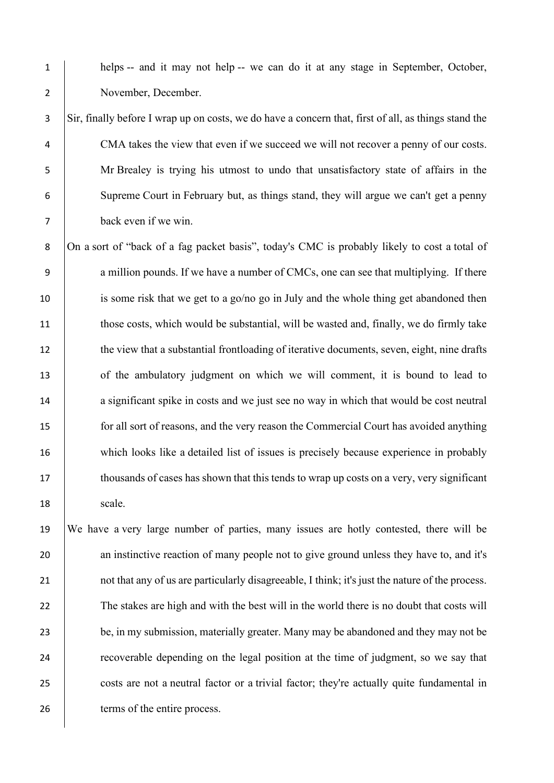1 helps -- and it may not help -- we can do it at any stage in September, October, 2 November, December.

 Sir, finally before I wrap up on costs, we do have a concern that, first of all, as things stand the 4 CMA takes the view that even if we succeed we will not recover a penny of our costs. Mr Brealey is trying his utmost to undo that unsatisfactory state of affairs in the Supreme Court in February but, as things stand, they will argue we can't get a penny back even if we win.

8 On a sort of "back of a fag packet basis", today's CMC is probably likely to cost a total of 9 a million pounds. If we have a number of CMCs, one can see that multiplying. If there 10 is some risk that we get to a go/no go in July and the whole thing get abandoned then 11 those costs, which would be substantial, will be wasted and, finally, we do firmly take 12 the view that a substantial frontloading of iterative documents, seven, eight, nine drafts 13 of the ambulatory judgment on which we will comment, it is bound to lead to 14 a significant spike in costs and we just see no way in which that would be cost neutral 15 for all sort of reasons, and the very reason the Commercial Court has avoided anything 16 which looks like a detailed list of issues is precisely because experience in probably 17 thousands of cases has shown that this tends to wrap up costs on a very, very significant 18 scale.

19 We have a very large number of parties, many issues are hotly contested, there will be 20 an instinctive reaction of many people not to give ground unless they have to, and it's 21 not that any of us are particularly disagreeable, I think; it's just the nature of the process. 22 The stakes are high and with the best will in the world there is no doubt that costs will 23 be, in my submission, materially greater. Many may be abandoned and they may not be 24 recoverable depending on the legal position at the time of judgment, so we say that 25 costs are not a neutral factor or a trivial factor; they're actually quite fundamental in 26 terms of the entire process.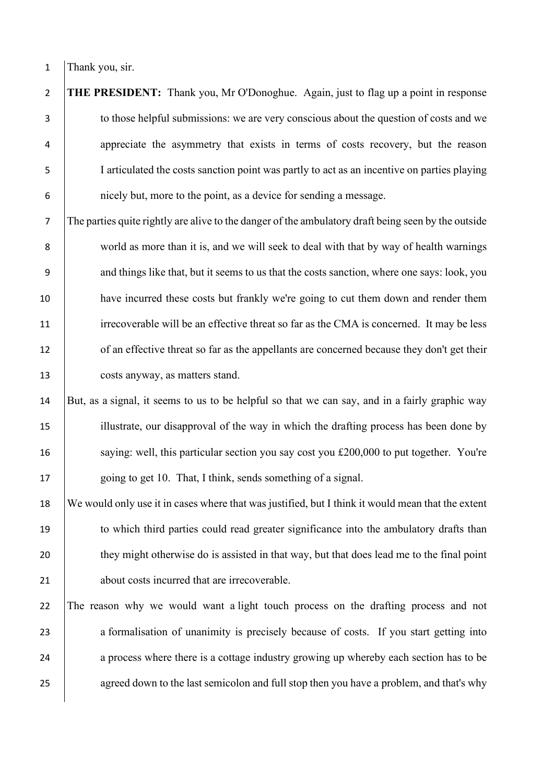1 Thank you, sir.

 **THE PRESIDENT:** Thank you, Mr O'Donoghue. Again, just to flag up a point in response 3 to those helpful submissions: we are very conscious about the question of costs and we appreciate the asymmetry that exists in terms of costs recovery, but the reason I articulated the costs sanction point was partly to act as an incentive on parties playing nicely but, more to the point, as a device for sending a message.

7 The parties quite rightly are alive to the danger of the ambulatory draft being seen by the outside 8 world as more than it is, and we will seek to deal with that by way of health warnings 9 and things like that, but it seems to us that the costs sanction, where one says: look, you 10 have incurred these costs but frankly we're going to cut them down and render them 11 irrecoverable will be an effective threat so far as the CMA is concerned. It may be less 12 of an effective threat so far as the appellants are concerned because they don't get their 13 costs anyway, as matters stand.

14 But, as a signal, it seems to us to be helpful so that we can say, and in a fairly graphic way 15 illustrate, our disapproval of the way in which the drafting process has been done by 16 saying: well, this particular section you say cost you £200,000 to put together. You're 17 | going to get 10. That, I think, sends something of a signal.

18 We would only use it in cases where that was justified, but I think it would mean that the extent 19 to which third parties could read greater significance into the ambulatory drafts than 20 they might otherwise do is assisted in that way, but that does lead me to the final point 21 about costs incurred that are irrecoverable.

22 The reason why we would want a light touch process on the drafting process and not 23 a formalisation of unanimity is precisely because of costs. If you start getting into 24 a process where there is a cottage industry growing up whereby each section has to be 25 agreed down to the last semicolon and full stop then you have a problem, and that's why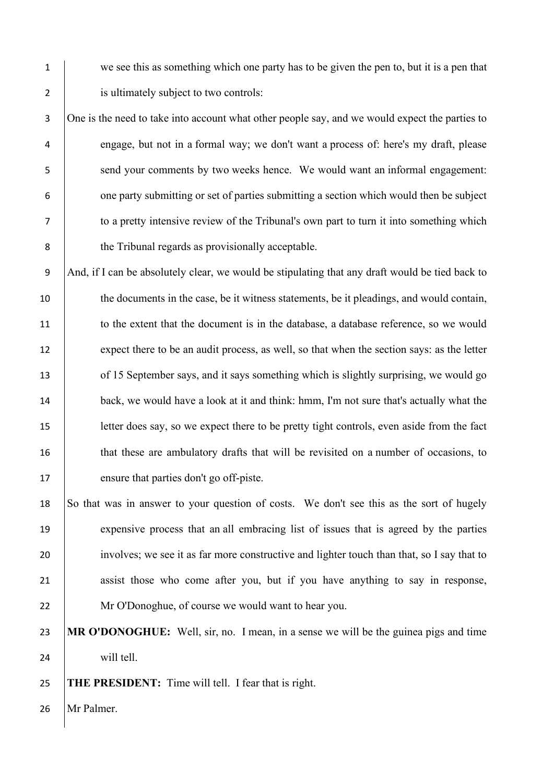1 we see this as something which one party has to be given the pen to, but it is a pen that 2 is ultimately subject to two controls:

3 One is the need to take into account what other people say, and we would expect the parties to 4 engage, but not in a formal way; we don't want a process of: here's my draft, please 5 send your comments by two weeks hence. We would want an informal engagement: 6 one party submitting or set of parties submitting a section which would then be subject 7 to a pretty intensive review of the Tribunal's own part to turn it into something which 8 the Tribunal regards as provisionally acceptable.

9 And, if I can be absolutely clear, we would be stipulating that any draft would be tied back to 10 the documents in the case, be it witness statements, be it pleadings, and would contain, 11 to the extent that the document is in the database, a database reference, so we would 12 expect there to be an audit process, as well, so that when the section says: as the letter 13 of 15 September says, and it says something which is slightly surprising, we would go 14 back, we would have a look at it and think: hmm, I'm not sure that's actually what the 15 etter does say, so we expect there to be pretty tight controls, even aside from the fact 16 that these are ambulatory drafts that will be revisited on a number of occasions, to 17 ensure that parties don't go off-piste.

18 So that was in answer to your question of costs. We don't see this as the sort of hugely 19 expensive process that an all embracing list of issues that is agreed by the parties 20 involves; we see it as far more constructive and lighter touch than that, so I say that to 21 assist those who come after you, but if you have anything to say in response, 22 Mr O'Donoghue, of course we would want to hear you.

23 **MR O'DONOGHUE:** Well, sir, no. I mean, in a sense we will be the guinea pigs and time 24 | will tell.

25 **THE PRESIDENT:** Time will tell. I fear that is right.

26 Mr Palmer.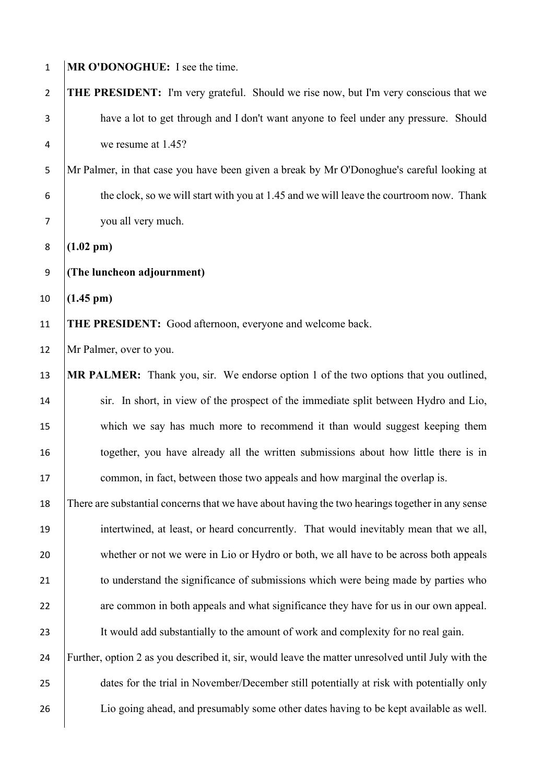| $\mathbf{1}$   | MR O'DONOGHUE: I see the time.                                                                    |
|----------------|---------------------------------------------------------------------------------------------------|
| $\overline{2}$ | <b>THE PRESIDENT:</b> I'm very grateful. Should we rise now, but I'm very conscious that we       |
| 3              | have a lot to get through and I don't want anyone to feel under any pressure. Should              |
| 4              | we resume at 1.45?                                                                                |
| 5              | Mr Palmer, in that case you have been given a break by Mr O'Donoghue's careful looking at         |
| 6              | the clock, so we will start with you at 1.45 and we will leave the courtroom now. Thank           |
| $\overline{7}$ | you all very much.                                                                                |
| $\bf 8$        | $(1.02 \text{ pm})$                                                                               |
| 9              | (The luncheon adjournment)                                                                        |
| 10             | $(1.45 \text{ pm})$                                                                               |
| 11             | THE PRESIDENT: Good afternoon, everyone and welcome back.                                         |
| 12             | Mr Palmer, over to you.                                                                           |
| 13             | MR PALMER: Thank you, sir. We endorse option 1 of the two options that you outlined,              |
| 14             | sir. In short, in view of the prospect of the immediate split between Hydro and Lio,              |
| 15             | which we say has much more to recommend it than would suggest keeping them                        |
| 16             | together, you have already all the written submissions about how little there is in               |
| 17             | common, in fact, between those two appeals and how marginal the overlap is.                       |
| 18             | There are substantial concerns that we have about having the two hearings together in any sense   |
| 19             | intertwined, at least, or heard concurrently. That would inevitably mean that we all,             |
| 20             | whether or not we were in Lio or Hydro or both, we all have to be across both appeals             |
| 21             | to understand the significance of submissions which were being made by parties who                |
| 22             | are common in both appeals and what significance they have for us in our own appeal.              |
| 23             | It would add substantially to the amount of work and complexity for no real gain.                 |
| 24             | Further, option 2 as you described it, sir, would leave the matter unresolved until July with the |
| 25             | dates for the trial in November/December still potentially at risk with potentially only          |
| 26             | Lio going ahead, and presumably some other dates having to be kept available as well.             |
|                |                                                                                                   |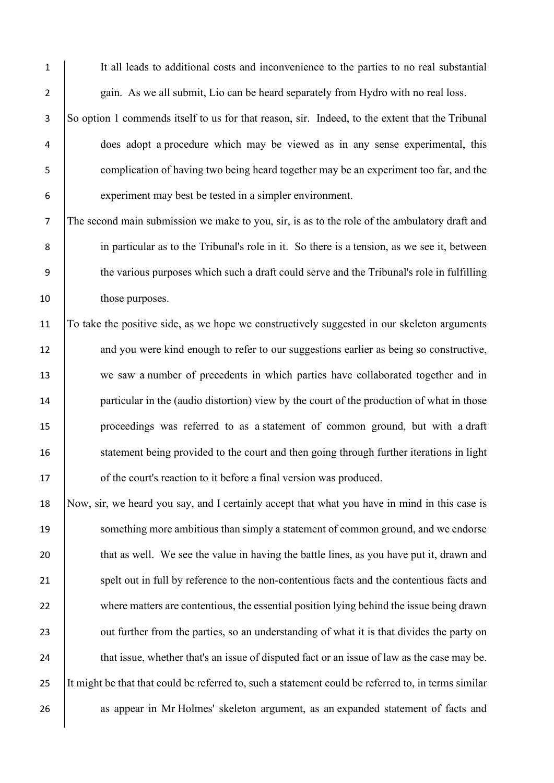1 It all leads to additional costs and inconvenience to the parties to no real substantial 2 gain. As we all submit, Lio can be heard separately from Hydro with no real loss.

 So option 1 commends itself to us for that reason, sir. Indeed, to the extent that the Tribunal does adopt a procedure which may be viewed as in any sense experimental, this 5 complication of having two being heard together may be an experiment too far, and the experiment may best be tested in a simpler environment.

7 The second main submission we make to you, sir, is as to the role of the ambulatory draft and 8 in particular as to the Tribunal's role in it. So there is a tension, as we see it, between 9 the various purposes which such a draft could serve and the Tribunal's role in fulfilling 10 those purposes.

11 To take the positive side, as we hope we constructively suggested in our skeleton arguments 12 and you were kind enough to refer to our suggestions earlier as being so constructive, 13 we saw a number of precedents in which parties have collaborated together and in 14 particular in the (audio distortion) view by the court of the production of what in those 15 proceedings was referred to as a statement of common ground, but with a draft 16 statement being provided to the court and then going through further iterations in light 17 **of the court's reaction to it before a final version was produced.** 

18 Now, sir, we heard you say, and I certainly accept that what you have in mind in this case is 19 something more ambitious than simply a statement of common ground, and we endorse 20 that as well. We see the value in having the battle lines, as you have put it, drawn and 21 spelt out in full by reference to the non-contentious facts and the contentious facts and 22 where matters are contentious, the essential position lying behind the issue being drawn 23 out further from the parties, so an understanding of what it is that divides the party on 24 that issue, whether that's an issue of disputed fact or an issue of law as the case may be. 25 It might be that that could be referred to, such a statement could be referred to, in terms similar 26 as appear in Mr Holmes' skeleton argument, as an expanded statement of facts and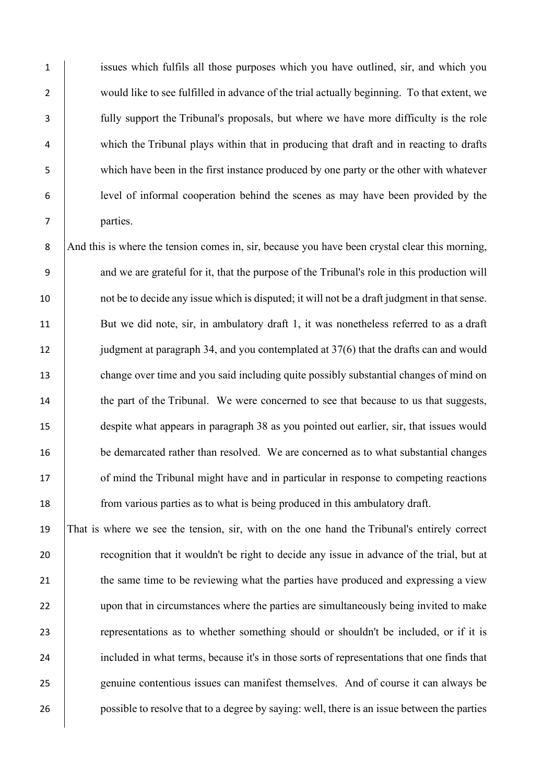issues which fulfils all those purposes which you have outlined, sir, and which you 2 would like to see fulfilled in advance of the trial actually beginning. To that extent, we fully support the Tribunal's proposals, but where we have more difficulty is the role which the Tribunal plays within that in producing that draft and in reacting to drafts which have been in the first instance produced by one party or the other with whatever level of informal cooperation behind the scenes as may have been provided by the 7 parties.

8 And this is where the tension comes in, sir, because you have been crystal clear this morning, 9 and we are grateful for it, that the purpose of the Tribunal's role in this production will 10 not be to decide any issue which is disputed; it will not be a draft judgment in that sense. 11 But we did note, sir, in ambulatory draft 1, it was nonetheless referred to as a draft 12 judgment at paragraph 34, and you contemplated at 37(6) that the drafts can and would 13 change over time and you said including quite possibly substantial changes of mind on 14 the part of the Tribunal. We were concerned to see that because to us that suggests, 15 despite what appears in paragraph 38 as you pointed out earlier, sir, that issues would 16 be demarcated rather than resolved. We are concerned as to what substantial changes 17 of mind the Tribunal might have and in particular in response to competing reactions 18 from various parties as to what is being produced in this ambulatory draft.

19 That is where we see the tension, sir, with on the one hand the Tribunal's entirely correct 20 **recognition that it wouldn't be right to decide any issue in advance of the trial, but at** 21 the same time to be reviewing what the parties have produced and expressing a view 22 upon that in circumstances where the parties are simultaneously being invited to make 23 representations as to whether something should or shouldn't be included, or if it is 24 included in what terms, because it's in those sorts of representations that one finds that 25 genuine contentious issues can manifest themselves. And of course it can always be 26 possible to resolve that to a degree by saying: well, there is an issue between the parties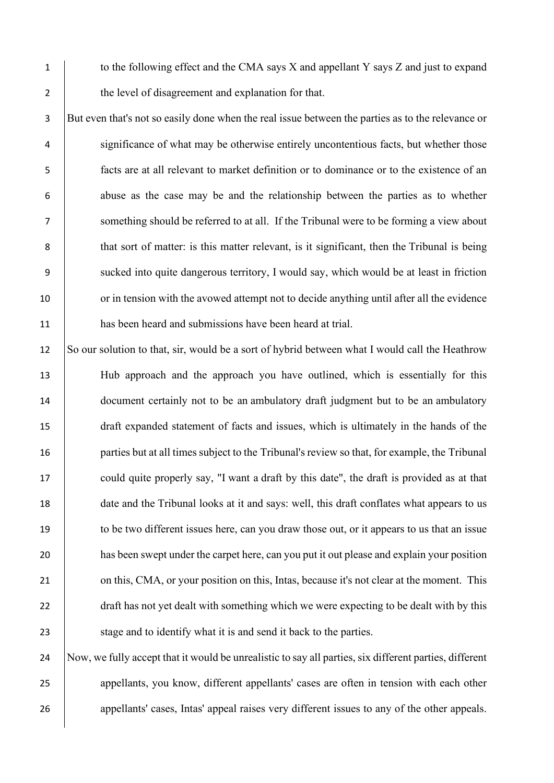1 to the following effect and the CMA says X and appellant Y says Z and just to expand 2 the level of disagreement and explanation for that.

3 But even that's not so easily done when the real issue between the parties as to the relevance or 4 significance of what may be otherwise entirely uncontentious facts, but whether those 5 facts are at all relevant to market definition or to dominance or to the existence of an 6 abuse as the case may be and the relationship between the parties as to whether 7 something should be referred to at all. If the Tribunal were to be forming a view about 8 that sort of matter: is this matter relevant, is it significant, then the Tribunal is being 9 sucked into quite dangerous territory, I would say, which would be at least in friction 10 or in tension with the avowed attempt not to decide anything until after all the evidence 11 has been heard and submissions have been heard at trial.

12 So our solution to that, sir, would be a sort of hybrid between what I would call the Heathrow 13 Hub approach and the approach you have outlined, which is essentially for this 14 document certainly not to be an ambulatory draft judgment but to be an ambulatory 15 draft expanded statement of facts and issues, which is ultimately in the hands of the 16 parties but at all times subject to the Tribunal's review so that, for example, the Tribunal 17 could quite properly say, "I want a draft by this date", the draft is provided as at that 18 date and the Tribunal looks at it and says: well, this draft conflates what appears to us 19 to be two different issues here, can you draw those out, or it appears to us that an issue 20 has been swept under the carpet here, can you put it out please and explain your position 21 on this, CMA, or your position on this, Intas, because it's not clear at the moment. This 22 draft has not yet dealt with something which we were expecting to be dealt with by this 23 Stage and to identify what it is and send it back to the parties.

24 Now, we fully accept that it would be unrealistic to say all parties, six different parties, different 25 appellants, you know, different appellants' cases are often in tension with each other 26 appellants' cases, Intas' appeal raises very different issues to any of the other appeals.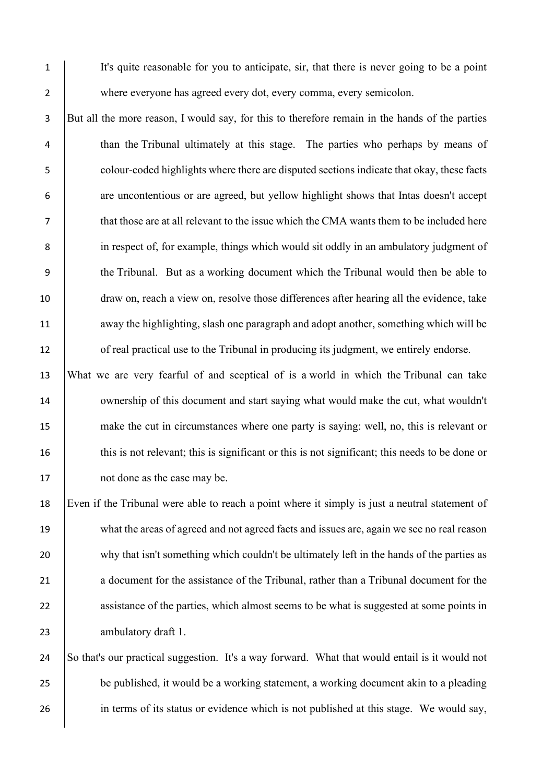1 It's quite reasonable for you to anticipate, sir, that there is never going to be a point 2 where everyone has agreed every dot, every comma, every semicolon.

 But all the more reason, I would say, for this to therefore remain in the hands of the parties than the Tribunal ultimately at this stage. The parties who perhaps by means of colour-coded highlights where there are disputed sections indicate that okay, these facts are uncontentious or are agreed, but yellow highlight shows that Intas doesn't accept that those are at all relevant to the issue which the CMA wants them to be included here in respect of, for example, things which would sit oddly in an ambulatory judgment of the Tribunal. But as a working document which the Tribunal would then be able to draw on, reach a view on, resolve those differences after hearing all the evidence, take 11 waway the highlighting, slash one paragraph and adopt another, something which will be 12 of real practical use to the Tribunal in producing its judgment, we entirely endorse.

13 What we are very fearful of and sceptical of is a world in which the Tribunal can take 14 ownership of this document and start saying what would make the cut, what wouldn't 15 make the cut in circumstances where one party is saying: well, no, this is relevant or 16 this is not relevant; this is significant or this is not significant; this needs to be done or 17 not done as the case may be.

18 Even if the Tribunal were able to reach a point where it simply is just a neutral statement of 19 what the areas of agreed and not agreed facts and issues are, again we see no real reason 20 why that isn't something which couldn't be ultimately left in the hands of the parties as 21 a document for the assistance of the Tribunal, rather than a Tribunal document for the 22 assistance of the parties, which almost seems to be what is suggested at some points in 23 **ambulatory draft 1.** 

24 So that's our practical suggestion. It's a way forward. What that would entail is it would not 25 be published, it would be a working statement, a working document akin to a pleading 26 in terms of its status or evidence which is not published at this stage. We would say,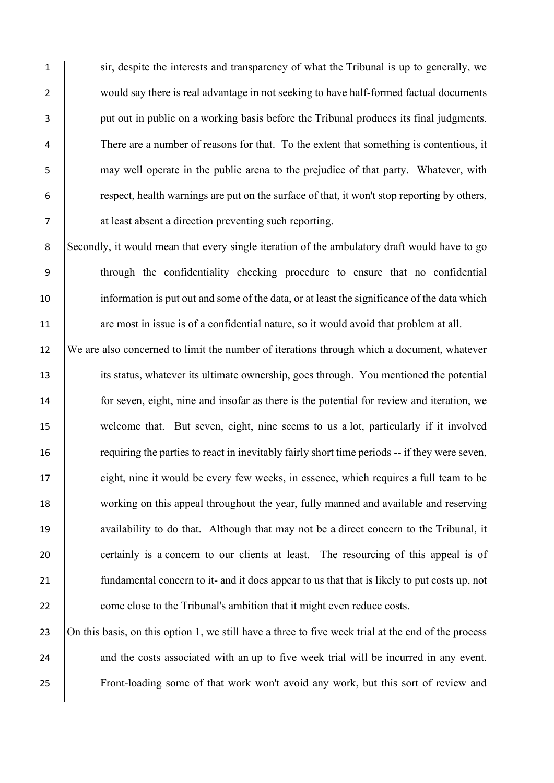1 sir, despite the interests and transparency of what the Tribunal is up to generally, we 2 would say there is real advantage in not seeking to have half-formed factual documents **put out in public on a working basis before the Tribunal produces its final judgments.**  There are a number of reasons for that. To the extent that something is contentious, it may well operate in the public arena to the prejudice of that party. Whatever, with respect, health warnings are put on the surface of that, it won't stop reporting by others, at least absent a direction preventing such reporting.

8 Secondly, it would mean that every single iteration of the ambulatory draft would have to go 9 through the confidentiality checking procedure to ensure that no confidential 10 information is put out and some of the data, or at least the significance of the data which 11 are most in issue is of a confidential nature, so it would avoid that problem at all.

12 We are also concerned to limit the number of iterations through which a document, whatever 13 its status, whatever its ultimate ownership, goes through. You mentioned the potential 14 for seven, eight, nine and insofar as there is the potential for review and iteration, we 15 welcome that. But seven, eight, nine seems to us a lot, particularly if it involved 16 requiring the parties to react in inevitably fairly short time periods -- if they were seven, 17 eight, nine it would be every few weeks, in essence, which requires a full team to be 18 working on this appeal throughout the year, fully manned and available and reserving 19 availability to do that. Although that may not be a direct concern to the Tribunal, it 20 certainly is a concern to our clients at least. The resourcing of this appeal is of 21 **fundamental concern to it- and it does appear to us that that is likely to put costs up, not** 22 come close to the Tribunal's ambition that it might even reduce costs.

23 On this basis, on this option 1, we still have a three to five week trial at the end of the process 24 and the costs associated with an up to five week trial will be incurred in any event. 25 Front-loading some of that work won't avoid any work, but this sort of review and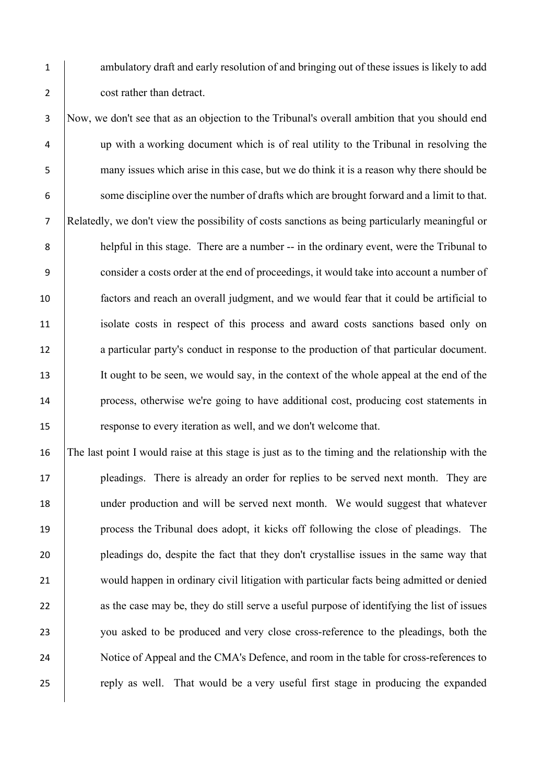1 ambulatory draft and early resolution of and bringing out of these issues is likely to add 2 cost rather than detract.

 Now, we don't see that as an objection to the Tribunal's overall ambition that you should end up with a working document which is of real utility to the Tribunal in resolving the many issues which arise in this case, but we do think it is a reason why there should be 6 some discipline over the number of drafts which are brought forward and a limit to that. Relatedly, we don't view the possibility of costs sanctions as being particularly meaningful or helpful in this stage. There are a number -- in the ordinary event, were the Tribunal to consider a costs order at the end of proceedings, it would take into account a number of factors and reach an overall judgment, and we would fear that it could be artificial to isolate costs in respect of this process and award costs sanctions based only on 12 a particular party's conduct in response to the production of that particular document. It ought to be seen, we would say, in the context of the whole appeal at the end of the process, otherwise we're going to have additional cost, producing cost statements in response to every iteration as well, and we don't welcome that.

 The last point I would raise at this stage is just as to the timing and the relationship with the **pleadings.** There is already an order for replies to be served next month. They are under production and will be served next month. We would suggest that whatever process the Tribunal does adopt, it kicks off following the close of pleadings. The pleadings do, despite the fact that they don't crystallise issues in the same way that 21 would happen in ordinary civil litigation with particular facts being admitted or denied 22 as the case may be, they do still serve a useful purpose of identifying the list of issues you asked to be produced and very close cross-reference to the pleadings, both the 24 Notice of Appeal and the CMA's Defence, and room in the table for cross-references to 25 reply as well. That would be a very useful first stage in producing the expanded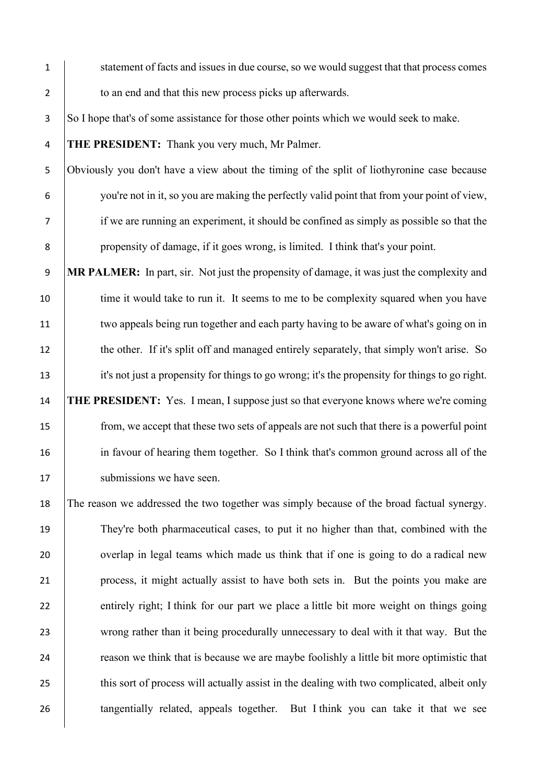1 statement of facts and issues in due course, so we would suggest that that process comes 2 to an end and that this new process picks up afterwards.

3 So I hope that's of some assistance for those other points which we would seek to make.

4 **THE PRESIDENT:** Thank you very much, Mr Palmer.

 Obviously you don't have a view about the timing of the split of liothyronine case because you're not in it, so you are making the perfectly valid point that from your point of view, if we are running an experiment, it should be confined as simply as possible so that the propensity of damage, if it goes wrong, is limited. I think that's your point.

9 **MR PALMER:** In part, sir. Not just the propensity of damage, it was just the complexity and 10 time it would take to run it. It seems to me to be complexity squared when you have 11 two appeals being run together and each party having to be aware of what's going on in 12 the other. If it's split off and managed entirely separately, that simply won't arise. So 13 it's not just a propensity for things to go wrong; it's the propensity for things to go right. 14 **THE PRESIDENT:** Yes. I mean, I suppose just so that everyone knows where we're coming 15 from, we accept that these two sets of appeals are not such that there is a powerful point 16 in favour of hearing them together. So I think that's common ground across all of the 17 | submissions we have seen.

18 The reason we addressed the two together was simply because of the broad factual synergy. 19 They're both pharmaceutical cases, to put it no higher than that, combined with the 20 verlap in legal teams which made us think that if one is going to do a radical new 21 process, it might actually assist to have both sets in. But the points you make are 22 entirely right; I think for our part we place a little bit more weight on things going 23 wrong rather than it being procedurally unnecessary to deal with it that way. But the 24 reason we think that is because we are maybe foolishly a little bit more optimistic that 25 this sort of process will actually assist in the dealing with two complicated, albeit only 26 **tangentially related, appeals together.** But I think you can take it that we see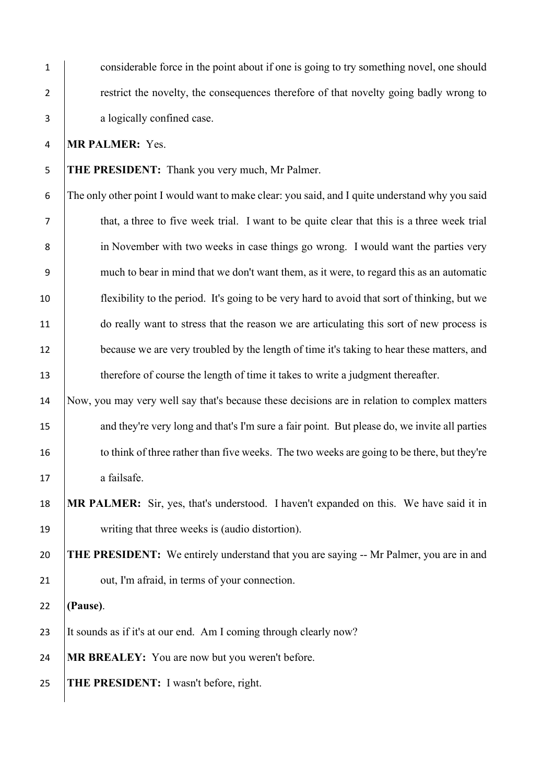considerable force in the point about if one is going to try something novel, one should 2 restrict the novelty, the consequences therefore of that novelty going badly wrong to a logically confined case.

**MR PALMER:** Yes.

**THE PRESIDENT:** Thank you very much, Mr Palmer.

 The only other point I would want to make clear: you said, and I quite understand why you said that, a three to five week trial. I want to be quite clear that this is a three week trial in November with two weeks in case things go wrong. I would want the parties very much to bear in mind that we don't want them, as it were, to regard this as an automatic flexibility to the period. It's going to be very hard to avoid that sort of thinking, but we do really want to stress that the reason we are articulating this sort of new process is 12 because we are very troubled by the length of time it's taking to hear these matters, and 13 therefore of course the length of time it takes to write a judgment thereafter.

 Now, you may very well say that's because these decisions are in relation to complex matters 15 and they're very long and that's I'm sure a fair point. But please do, we invite all parties 16 to think of three rather than five weeks. The two weeks are going to be there, but they're 17 a failsafe.

 **MR PALMER:** Sir, yes, that's understood. I haven't expanded on this. We have said it in 19 writing that three weeks is (audio distortion).

 **THE PRESIDENT:** We entirely understand that you are saying -- Mr Palmer, you are in and **July 21** out, I'm afraid, in terms of your connection.

**(Pause)**.

23 It sounds as if it's at our end. Am I coming through clearly now?

**MR BREALEY:** You are now but you weren't before.

**THE PRESIDENT:** I wasn't before, right.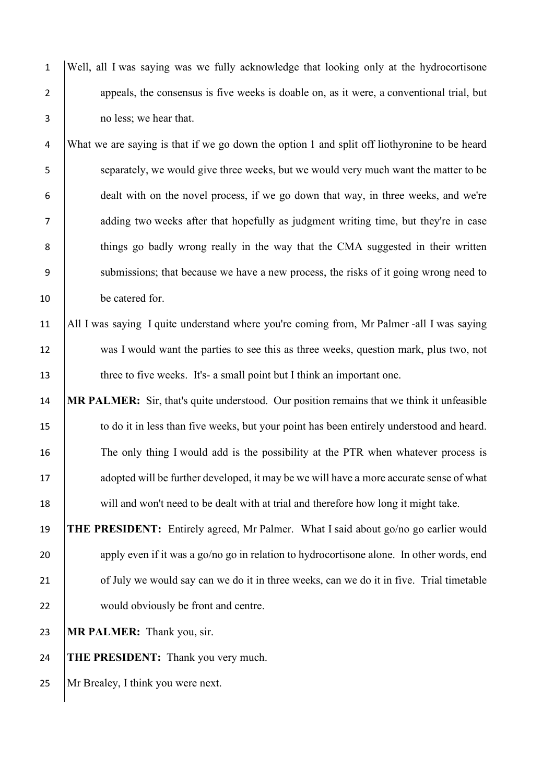1 Well, all I was saying was we fully acknowledge that looking only at the hydrocortisone 2 appeals, the consensus is five weeks is doable on, as it were, a conventional trial, but 3 no less; we hear that.

4 What we are saying is that if we go down the option 1 and split off liothyronine to be heard 5 separately, we would give three weeks, but we would very much want the matter to be 6 dealt with on the novel process, if we go down that way, in three weeks, and we're 7 adding two weeks after that hopefully as judgment writing time, but they're in case 8 things go badly wrong really in the way that the CMA suggested in their written 9 submissions; that because we have a new process, the risks of it going wrong need to 10 be catered for.

## 11 All I was saying I quite understand where you're coming from, Mr Palmer -all I was saying 12 was I would want the parties to see this as three weeks, question mark, plus two, not 13 three to five weeks. It's- a small point but I think an important one.

14 **MR PALMER:** Sir, that's quite understood. Our position remains that we think it unfeasible 15 to do it in less than five weeks, but your point has been entirely understood and heard. 16 The only thing I would add is the possibility at the PTR when whatever process is 17 adopted will be further developed, it may be we will have a more accurate sense of what 18 will and won't need to be dealt with at trial and therefore how long it might take.

19 **THE PRESIDENT:** Entirely agreed, Mr Palmer. What I said about go/no go earlier would 20 apply even if it was a go/no go in relation to hydrocortisone alone. In other words, end 21 of July we would say can we do it in three weeks, can we do it in five. Trial timetable 22 would obviously be front and centre.

23 **MR PALMER:** Thank you, sir.

24 **THE PRESIDENT:** Thank you very much.

25 Mr Brealey, I think you were next.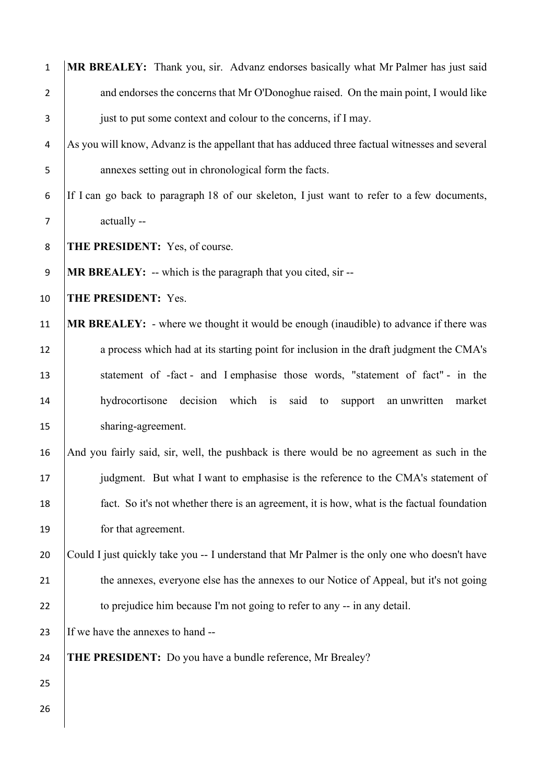| $\mathbf 1$      | MR BREALEY: Thank you, sir. Advanz endorses basically what Mr Palmer has just said             |
|------------------|------------------------------------------------------------------------------------------------|
| $\overline{2}$   | and endorses the concerns that Mr O'Donoghue raised. On the main point, I would like           |
| 3                | just to put some context and colour to the concerns, if I may.                                 |
| 4                | As you will know, Advanz is the appellant that has adduced three factual witnesses and several |
| 5                | annexes setting out in chronological form the facts.                                           |
| 6                | If I can go back to paragraph 18 of our skeleton, I just want to refer to a few documents,     |
| $\overline{7}$   | actually --                                                                                    |
| 8                | THE PRESIDENT: Yes, of course.                                                                 |
| $\boldsymbol{9}$ | <b>MR BREALEY:</b> -- which is the paragraph that you cited, sir --                            |
| 10               | THE PRESIDENT: Yes.                                                                            |
| 11               | <b>MR BREALEY:</b> - where we thought it would be enough (inaudible) to advance if there was   |
| 12               | a process which had at its starting point for inclusion in the draft judgment the CMA's        |
| 13               | statement of -fact - and I emphasise those words, "statement of fact" - in the                 |
| 14               | hydrocortisone decision which is said to support an unwritten<br>market                        |
| 15               | sharing-agreement.                                                                             |
| 16               | And you fairly said, sir, well, the pushback is there would be no agreement as such in the     |
| 17               | judgment. But what I want to emphasise is the reference to the CMA's statement of              |
| 18               | fact. So it's not whether there is an agreement, it is how, what is the factual foundation     |
| 19               | for that agreement.                                                                            |
| 20               | Could I just quickly take you -- I understand that Mr Palmer is the only one who doesn't have  |
| 21               | the annexes, everyone else has the annexes to our Notice of Appeal, but it's not going         |
| 22               | to prejudice him because I'm not going to refer to any -- in any detail.                       |
| 23               | If we have the annexes to hand --                                                              |
| 24               | <b>THE PRESIDENT:</b> Do you have a bundle reference, Mr Brealey?                              |
| 25               |                                                                                                |
| 26               |                                                                                                |
|                  |                                                                                                |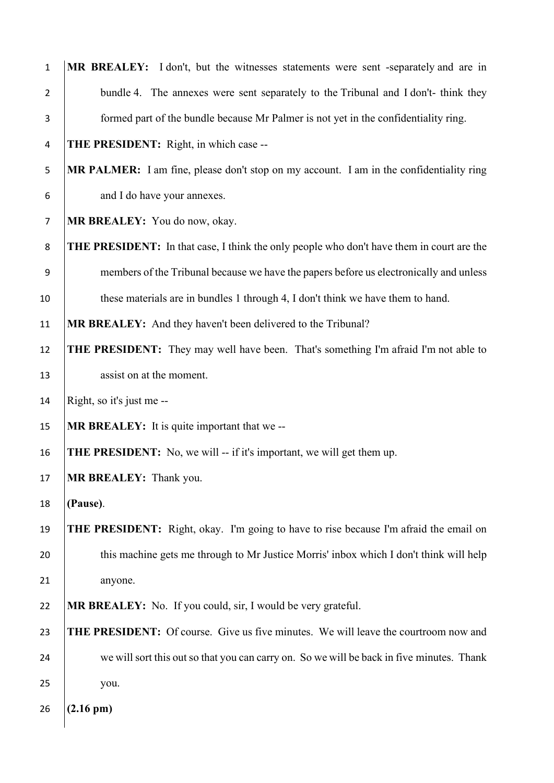| $\mathbf{1}$   | MR BREALEY: I don't, but the witnesses statements were sent -separately and are in               |
|----------------|--------------------------------------------------------------------------------------------------|
| $\overline{2}$ | bundle 4. The annexes were sent separately to the Tribunal and I don't- think they               |
| 3              | formed part of the bundle because Mr Palmer is not yet in the confidentiality ring.              |
| 4              | <b>THE PRESIDENT:</b> Right, in which case --                                                    |
| 5              | MR PALMER: I am fine, please don't stop on my account. I am in the confidentiality ring          |
| 6              | and I do have your annexes.                                                                      |
| $\overline{7}$ | MR BREALEY: You do now, okay.                                                                    |
| 8              | <b>THE PRESIDENT:</b> In that case, I think the only people who don't have them in court are the |
| 9              | members of the Tribunal because we have the papers before us electronically and unless           |
| 10             | these materials are in bundles 1 through 4, I don't think we have them to hand.                  |
| 11             | MR BREALEY: And they haven't been delivered to the Tribunal?                                     |
| 12             | <b>THE PRESIDENT:</b> They may well have been. That's something I'm afraid I'm not able to       |
| 13             | assist on at the moment.                                                                         |
| 14             | Right, so it's just me --                                                                        |
| 15             | <b>MR BREALEY:</b> It is quite important that we --                                              |
| 16             | <b>THE PRESIDENT:</b> No, we will -- if it's important, we will get them up.                     |
| 17             | <b>MR BREALEY:</b> Thank you.                                                                    |
| 18             | (Pause).                                                                                         |
| 19             | <b>THE PRESIDENT:</b> Right, okay. I'm going to have to rise because I'm afraid the email on     |
| 20             | this machine gets me through to Mr Justice Morris' inbox which I don't think will help           |
| 21             | anyone.                                                                                          |
| 22             | <b>MR BREALEY:</b> No. If you could, sir, I would be very grateful.                              |
| 23             | THE PRESIDENT: Of course. Give us five minutes. We will leave the courtroom now and              |
| 24             | we will sort this out so that you can carry on. So we will be back in five minutes. Thank        |
| 25             | you.                                                                                             |
| 26             | $(2.16 \text{ pm})$                                                                              |
|                |                                                                                                  |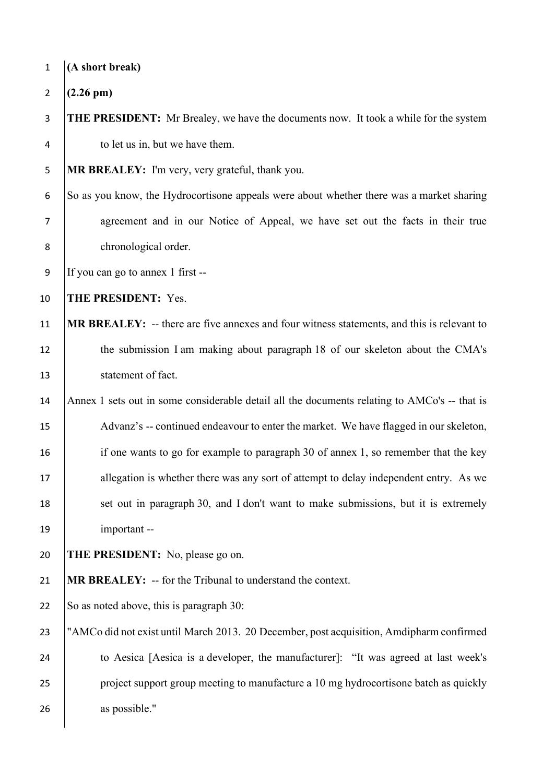| $\mathbf{1}$   | (A short break)                                                                              |
|----------------|----------------------------------------------------------------------------------------------|
| $\overline{2}$ | $(2.26 \text{ pm})$                                                                          |
| 3              | <b>THE PRESIDENT:</b> Mr Brealey, we have the documents now. It took a while for the system  |
| 4              | to let us in, but we have them.                                                              |
| 5              | MR BREALEY: I'm very, very grateful, thank you.                                              |
| 6              | So as you know, the Hydrocortisone appeals were about whether there was a market sharing     |
| $\overline{7}$ | agreement and in our Notice of Appeal, we have set out the facts in their true               |
| 8              | chronological order.                                                                         |
| 9              | If you can go to annex 1 first --                                                            |
| 10             | THE PRESIDENT: Yes.                                                                          |
| 11             | MR BREALEY: -- there are five annexes and four witness statements, and this is relevant to   |
| 12             | the submission I am making about paragraph 18 of our skeleton about the CMA's                |
| 13             | statement of fact.                                                                           |
| 14             | Annex 1 sets out in some considerable detail all the documents relating to AMCo's -- that is |
| 15             | Advanz's -- continued endeavour to enter the market. We have flagged in our skeleton,        |
| 16             | if one wants to go for example to paragraph 30 of annex 1, so remember that the key          |
| 17             | allegation is whether there was any sort of attempt to delay independent entry. As we        |
| 18             | set out in paragraph 30, and I don't want to make submissions, but it is extremely           |
| 19             | important --                                                                                 |
| 20             | <b>THE PRESIDENT:</b> No, please go on.                                                      |
| 21             | MR BREALEY: -- for the Tribunal to understand the context.                                   |
| 22             | So as noted above, this is paragraph 30:                                                     |
| 23             | "AMCo did not exist until March 2013. 20 December, post acquisition, Amdipharm confirmed     |
| 24             | to Aesica [Aesica is a developer, the manufacturer]: "It was agreed at last week's           |
| 25             | project support group meeting to manufacture a 10 mg hydrocortisone batch as quickly         |
| 26             | as possible."                                                                                |
|                |                                                                                              |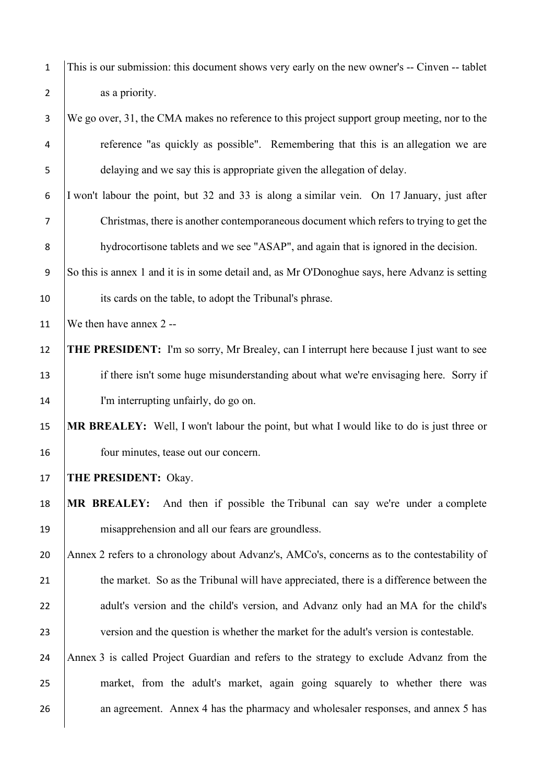| $\mathbf{1}$     | This is our submission: this document shows very early on the new owner's -- Cinven -- tablet  |
|------------------|------------------------------------------------------------------------------------------------|
| $\overline{2}$   | as a priority.                                                                                 |
| 3                | We go over, 31, the CMA makes no reference to this project support group meeting, nor to the   |
| 4                | reference "as quickly as possible". Remembering that this is an allegation we are              |
| 5                | delaying and we say this is appropriate given the allegation of delay.                         |
| 6                | I won't labour the point, but 32 and 33 is along a similar vein. On 17 January, just after     |
| 7                | Christmas, there is another contemporaneous document which refers to trying to get the         |
| 8                | hydrocortisone tablets and we see "ASAP", and again that is ignored in the decision.           |
| $\boldsymbol{9}$ | So this is annex 1 and it is in some detail and, as Mr O'Donoghue says, here Advanz is setting |
| 10               | its cards on the table, to adopt the Tribunal's phrase.                                        |
| 11               | We then have annex 2 --                                                                        |
| 12               | THE PRESIDENT: I'm so sorry, Mr Brealey, can I interrupt here because I just want to see       |
| 13               | if there isn't some huge misunderstanding about what we're envisaging here. Sorry if           |
| 14               | I'm interrupting unfairly, do go on.                                                           |
| 15               | MR BREALEY: Well, I won't labour the point, but what I would like to do is just three or       |
| 16               | four minutes, tease out our concern.                                                           |
| 17               | THE PRESIDENT: Okay.                                                                           |
| 18               | And then if possible the Tribunal can say we're under a complete<br><b>MR BREALEY:</b>         |
| 19               | misapprehension and all our fears are groundless.                                              |
| 20               | Annex 2 refers to a chronology about Advanz's, AMCo's, concerns as to the contestability of    |
| 21               | the market. So as the Tribunal will have appreciated, there is a difference between the        |
| 22               | adult's version and the child's version, and Advanz only had an MA for the child's             |
| 23               | version and the question is whether the market for the adult's version is contestable.         |
| 24               | Annex 3 is called Project Guardian and refers to the strategy to exclude Advanz from the       |
| 25               | market, from the adult's market, again going squarely to whether there was                     |
| 26               | an agreement. Annex 4 has the pharmacy and wholesaler responses, and annex 5 has               |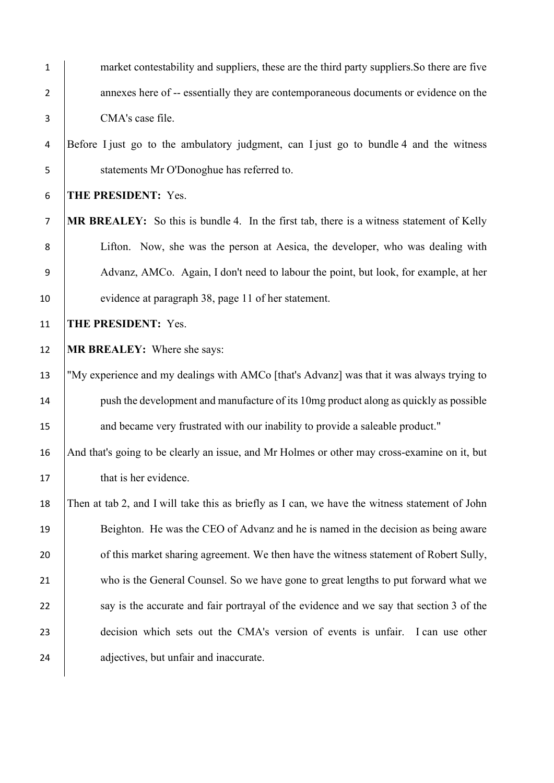| $\mathbf{1}$   | market contestability and suppliers, these are the third party suppliers. So there are five     |
|----------------|-------------------------------------------------------------------------------------------------|
| $\overline{2}$ | annexes here of -- essentially they are contemporaneous documents or evidence on the            |
| 3              | CMA's case file.                                                                                |
| 4              | Before I just go to the ambulatory judgment, can I just go to bundle 4 and the witness          |
| 5              | statements Mr O'Donoghue has referred to.                                                       |
| 6              | THE PRESIDENT: Yes.                                                                             |
| $\overline{7}$ | <b>MR BREALEY:</b> So this is bundle 4. In the first tab, there is a witness statement of Kelly |
| 8              | Lifton. Now, she was the person at Aesica, the developer, who was dealing with                  |
| 9              | Advanz, AMCo. Again, I don't need to labour the point, but look, for example, at her            |
| 10             | evidence at paragraph 38, page 11 of her statement.                                             |
| 11             | THE PRESIDENT: Yes.                                                                             |
| 12             | <b>MR BREALEY:</b> Where she says:                                                              |
| 13             | "My experience and my dealings with AMCo [that's Advanz] was that it was always trying to       |
| 14             | push the development and manufacture of its 10mg product along as quickly as possible           |
| 15             | and became very frustrated with our inability to provide a saleable product."                   |
| 16             | And that's going to be clearly an issue, and Mr Holmes or other may cross-examine on it, but    |
| 17             | that is her evidence.                                                                           |
| 18             | Then at tab 2, and I will take this as briefly as I can, we have the witness statement of John  |
| 19             | Beighton. He was the CEO of Advanz and he is named in the decision as being aware               |
| 20             | of this market sharing agreement. We then have the witness statement of Robert Sully,           |
| 21             | who is the General Counsel. So we have gone to great lengths to put forward what we             |
| 22             | say is the accurate and fair portrayal of the evidence and we say that section 3 of the         |
| 23             | decision which sets out the CMA's version of events is unfair. I can use other                  |
| 24             | adjectives, but unfair and inaccurate.                                                          |
|                |                                                                                                 |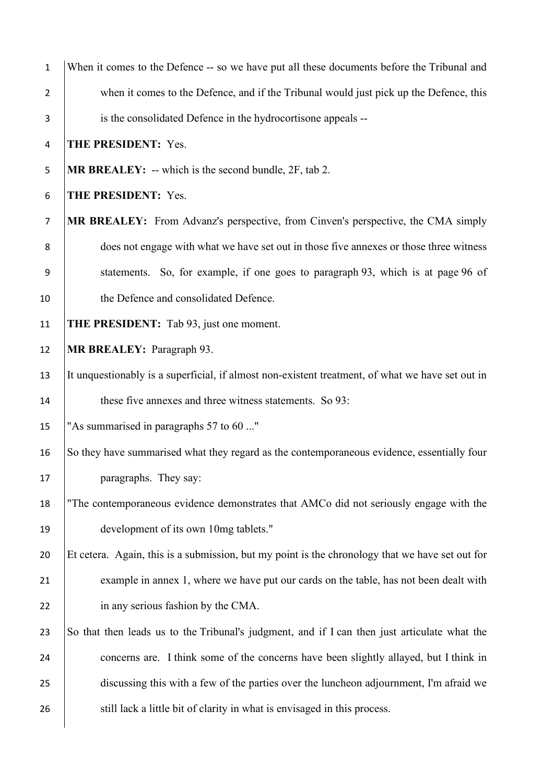| $\mathbf{1}$   | When it comes to the Defence -- so we have put all these documents before the Tribunal and       |
|----------------|--------------------------------------------------------------------------------------------------|
| $\overline{2}$ | when it comes to the Defence, and if the Tribunal would just pick up the Defence, this           |
| 3              | is the consolidated Defence in the hydrocortisone appeals --                                     |
| 4              | THE PRESIDENT: Yes.                                                                              |
| 5              | <b>MR BREALEY:</b> $-$ which is the second bundle, $2F$ , tab 2.                                 |
| 6              | THE PRESIDENT: Yes.                                                                              |
| $\overline{7}$ | MR BREALEY: From Advanz's perspective, from Cinven's perspective, the CMA simply                 |
| 8              | does not engage with what we have set out in those five annexes or those three witness           |
| 9              | statements. So, for example, if one goes to paragraph 93, which is at page 96 of                 |
| 10             | the Defence and consolidated Defence.                                                            |
| 11             | THE PRESIDENT: Tab 93, just one moment.                                                          |
| 12             | MR BREALEY: Paragraph 93.                                                                        |
| 13             | It unquestionably is a superficial, if almost non-existent treatment, of what we have set out in |
| 14             | these five annexes and three witness statements. So 93:                                          |
| 15             | "As summarised in paragraphs 57 to 60 "                                                          |
| 16             | So they have summarised what they regard as the contemporaneous evidence, essentially four       |
| 17             | paragraphs. They say:                                                                            |
| 18             | "The contemporaneous evidence demonstrates that AMCo did not seriously engage with the           |
| 19             | development of its own 10mg tablets."                                                            |
| 20             | Et cetera. Again, this is a submission, but my point is the chronology that we have set out for  |
| 21             | example in annex 1, where we have put our cards on the table, has not been dealt with            |
| 22             | in any serious fashion by the CMA.                                                               |
| 23             | So that then leads us to the Tribunal's judgment, and if I can then just articulate what the     |
| 24             | concerns are. I think some of the concerns have been slightly allayed, but I think in            |
| 25             | discussing this with a few of the parties over the luncheon adjournment, I'm afraid we           |
| 26             | still lack a little bit of clarity in what is envisaged in this process.                         |
|                |                                                                                                  |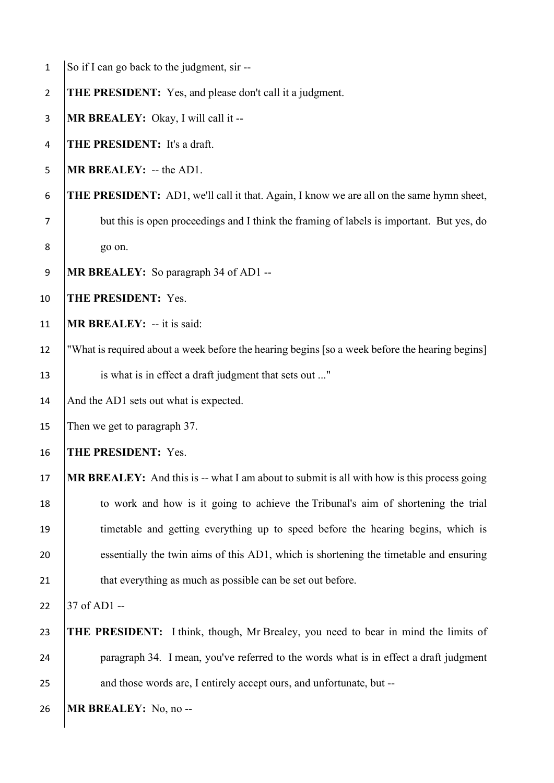| $\mathbf{1}$   | So if I can go back to the judgment, sir --                                                     |
|----------------|-------------------------------------------------------------------------------------------------|
| $\overline{2}$ | <b>THE PRESIDENT:</b> Yes, and please don't call it a judgment.                                 |
| 3              | MR BREALEY: Okay, I will call it --                                                             |
| 4              | THE PRESIDENT: It's a draft.                                                                    |
| 5              | MR BREALEY: -- the AD1.                                                                         |
| 6              | <b>THE PRESIDENT:</b> AD1, we'll call it that. Again, I know we are all on the same hymn sheet, |
| $\overline{7}$ | but this is open proceedings and I think the framing of labels is important. But yes, do        |
| 8              | go on.                                                                                          |
| 9              | MR BREALEY: So paragraph 34 of AD1 --                                                           |
| 10             | THE PRESIDENT: Yes.                                                                             |
| 11             | <b>MR BREALEY:</b> -- it is said:                                                               |
| 12             | "What is required about a week before the hearing begins [so a week before the hearing begins]  |
| 13             | is what is in effect a draft judgment that sets out "                                           |
| 14             | And the AD1 sets out what is expected.                                                          |
| 15             | Then we get to paragraph 37.                                                                    |
| 16             | THE PRESIDENT: Yes.                                                                             |
| 17             | MR BREALEY: And this is -- what I am about to submit is all with how is this process going      |
| 18             | to work and how is it going to achieve the Tribunal's aim of shortening the trial               |
| 19             | timetable and getting everything up to speed before the hearing begins, which is                |
| 20             | essentially the twin aims of this AD1, which is shortening the timetable and ensuring           |
| 21             | that everything as much as possible can be set out before.                                      |
| 22             | 37 of AD1 --                                                                                    |
| 23             | <b>THE PRESIDENT:</b> I think, though, Mr Brealey, you need to bear in mind the limits of       |
| 24             | paragraph 34. I mean, you've referred to the words what is in effect a draft judgment           |
| 25             | and those words are, I entirely accept ours, and unfortunate, but --                            |
| 26             | MR BREALEY: No, no --                                                                           |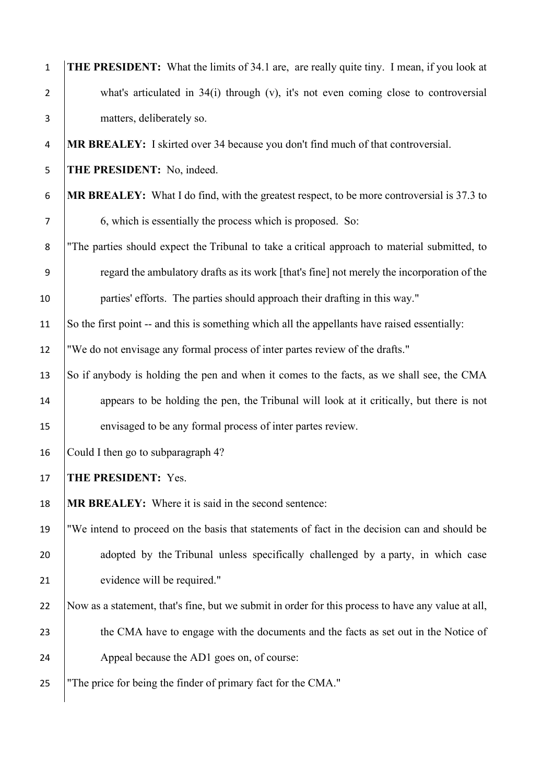| $\mathbf 1$    | <b>THE PRESIDENT:</b> What the limits of 34.1 are, are really quite tiny. I mean, if you look at   |
|----------------|----------------------------------------------------------------------------------------------------|
| $\overline{2}$ | what's articulated in 34(i) through (v), it's not even coming close to controversial               |
| 3              | matters, deliberately so.                                                                          |
| 4              | MR BREALEY: I skirted over 34 because you don't find much of that controversial.                   |
| 5              | THE PRESIDENT: No, indeed.                                                                         |
| 6              | <b>MR BREALEY:</b> What I do find, with the greatest respect, to be more controversial is 37.3 to  |
| 7              | 6, which is essentially the process which is proposed. So:                                         |
| 8              | "The parties should expect the Tribunal to take a critical approach to material submitted, to      |
| 9              | regard the ambulatory drafts as its work [that's fine] not merely the incorporation of the         |
| 10             | parties' efforts. The parties should approach their drafting in this way."                         |
| 11             | So the first point -- and this is something which all the appellants have raised essentially:      |
| 12             | "We do not envisage any formal process of inter partes review of the drafts."                      |
| 13             | So if anybody is holding the pen and when it comes to the facts, as we shall see, the CMA          |
| 14             | appears to be holding the pen, the Tribunal will look at it critically, but there is not           |
| 15             | envisaged to be any formal process of inter partes review.                                         |
| 16             | Could I then go to subparagraph 4?                                                                 |
| 17             | THE PRESIDENT: Yes.                                                                                |
| 18             | <b>MR BREALEY:</b> Where it is said in the second sentence:                                        |
| 19             | "We intend to proceed on the basis that statements of fact in the decision can and should be       |
| 20             | adopted by the Tribunal unless specifically challenged by a party, in which case                   |
| 21             | evidence will be required."                                                                        |
| 22             | Now as a statement, that's fine, but we submit in order for this process to have any value at all, |
| 23             | the CMA have to engage with the documents and the facts as set out in the Notice of                |
| 24             | Appeal because the AD1 goes on, of course:                                                         |
| 25             | "The price for being the finder of primary fact for the CMA."                                      |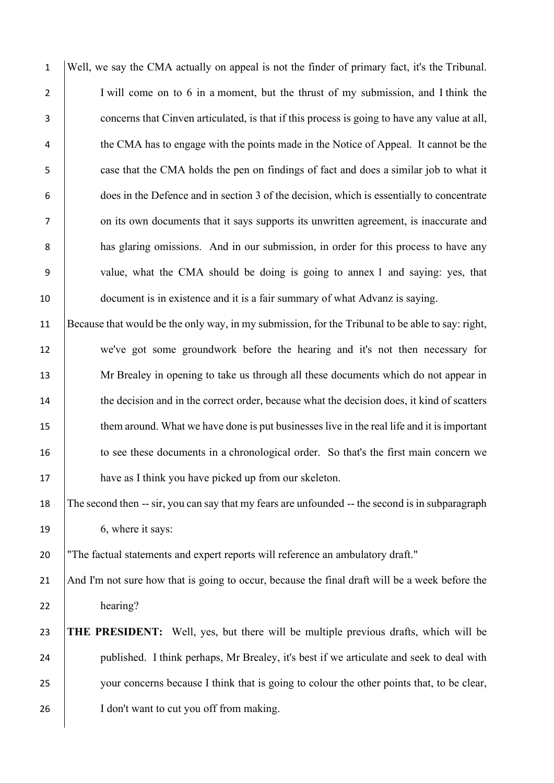Well, we say the CMA actually on appeal is not the finder of primary fact, it's the Tribunal. 2 I will come on to 6 in a moment, but the thrust of my submission, and I think the concerns that Cinven articulated, is that if this process is going to have any value at all, <sup>4</sup> the CMA has to engage with the points made in the Notice of Appeal. It cannot be the case that the CMA holds the pen on findings of fact and does a similar job to what it does in the Defence and in section 3 of the decision, which is essentially to concentrate 7 on its own documents that it says supports its unwritten agreement, is inaccurate and **has glaring omissions.** And in our submission, in order for this process to have any value, what the CMA should be doing is going to annex 1 and saying: yes, that document is in existence and it is a fair summary of what Advanz is saying.

11 Because that would be the only way, in my submission, for the Tribunal to be able to say: right, 12 we've got some groundwork before the hearing and it's not then necessary for 13 Mr Brealey in opening to take us through all these documents which do not appear in 14 the decision and in the correct order, because what the decision does, it kind of scatters 15 them around. What we have done is put businesses live in the real life and it is important 16 to see these documents in a chronological order. So that's the first main concern we 17 have as I think you have picked up from our skeleton.

18 The second then -- sir, you can say that my fears are unfounded -- the second is in subparagraph 19 6, where it says:

20 "The factual statements and expert reports will reference an ambulatory draft."

21 And I'm not sure how that is going to occur, because the final draft will be a week before the 22 hearing?

## 23 **THE PRESIDENT:** Well, yes, but there will be multiple previous drafts, which will be 24 published. I think perhaps, Mr Brealey, it's best if we articulate and seek to deal with 25 your concerns because I think that is going to colour the other points that, to be clear, 26 | I don't want to cut you off from making.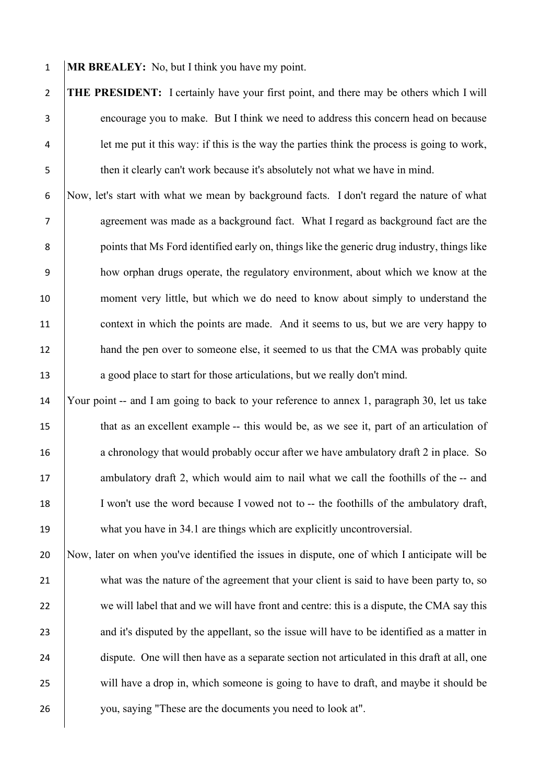1 **MR BREALEY:** No, but I think you have my point.

 **THE PRESIDENT:** I certainly have your first point, and there may be others which I will encourage you to make. But I think we need to address this concern head on because let me put it this way: if this is the way the parties think the process is going to work, 5 then it clearly can't work because it's absolutely not what we have in mind.

 Now, let's start with what we mean by background facts. I don't regard the nature of what agreement was made as a background fact. What I regard as background fact are the **points that Ms Ford identified early on, things like the generic drug industry, things like**  how orphan drugs operate, the regulatory environment, about which we know at the moment very little, but which we do need to know about simply to understand the 11 context in which the points are made. And it seems to us, but we are very happy to 12 hand the pen over to someone else, it seemed to us that the CMA was probably quite 13 a good place to start for those articulations, but we really don't mind.

14 Your point -- and I am going to back to your reference to annex 1, paragraph 30, let us take 15 that as an excellent example -- this would be, as we see it, part of an articulation of 16 a chronology that would probably occur after we have ambulatory draft 2 in place. So 17 ambulatory draft 2, which would aim to nail what we call the foothills of the -- and 18 I won't use the word because I vowed not to -- the foothills of the ambulatory draft, 19 what you have in 34.1 are things which are explicitly uncontroversial.

20 Now, later on when you've identified the issues in dispute, one of which I anticipate will be 21 what was the nature of the agreement that your client is said to have been party to, so 22 we will label that and we will have front and centre: this is a dispute, the CMA say this 23 and it's disputed by the appellant, so the issue will have to be identified as a matter in 24 dispute. One will then have as a separate section not articulated in this draft at all, one 25 will have a drop in, which someone is going to have to draft, and maybe it should be 26 you, saying "These are the documents you need to look at".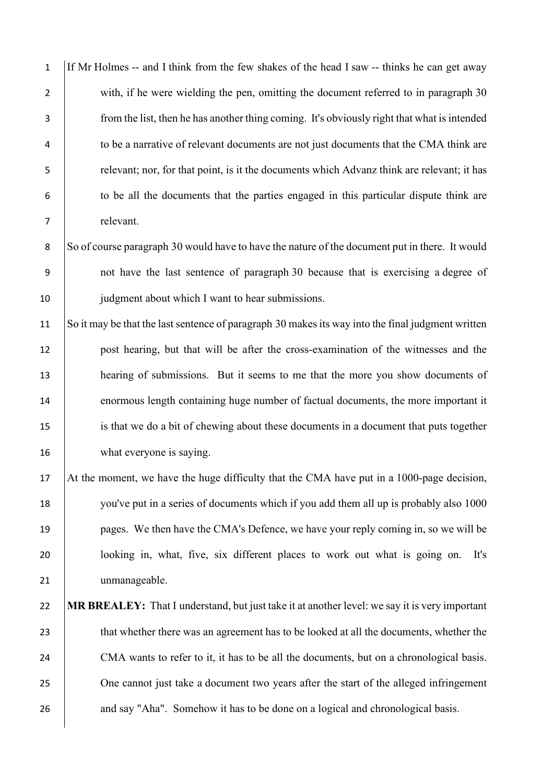If Mr Holmes -- and I think from the few shakes of the head I saw -- thinks he can get away 2 with, if he were wielding the pen, omitting the document referred to in paragraph 30 from the list, then he has another thing coming. It's obviously right that what is intended <sup>4</sup> to be a narrative of relevant documents are not just documents that the CMA think are relevant; nor, for that point, is it the documents which Advanz think are relevant; it has to be all the documents that the parties engaged in this particular dispute think are relevant. 8 So of course paragraph 30 would have to have the nature of the document put in there. It would not have the last sentence of paragraph 30 because that is exercising a degree of 10 judgment about which I want to hear submissions. So it may be that the last sentence of paragraph 30 makes its way into the final judgment written post hearing, but that will be after the cross-examination of the witnesses and the hearing of submissions. But it seems to me that the more you show documents of enormous length containing huge number of factual documents, the more important it is that we do a bit of chewing about these documents in a document that puts together what everyone is saying. At the moment, we have the huge difficulty that the CMA have put in a 1000-page decision, you've put in a series of documents which if you add them all up is probably also 1000 19 pages. We then have the CMA's Defence, we have your reply coming in, so we will be looking in, what, five, six different places to work out what is going on. It's 21 | unmanageable. **MR BREALEY:** That I understand, but just take it at another level: we say it is very important 23 that whether there was an agreement has to be looked at all the documents, whether the 24 CMA wants to refer to it, it has to be all the documents, but on a chronological basis. 25 One cannot just take a document two years after the start of the alleged infringement 26 and say "Aha". Somehow it has to be done on a logical and chronological basis.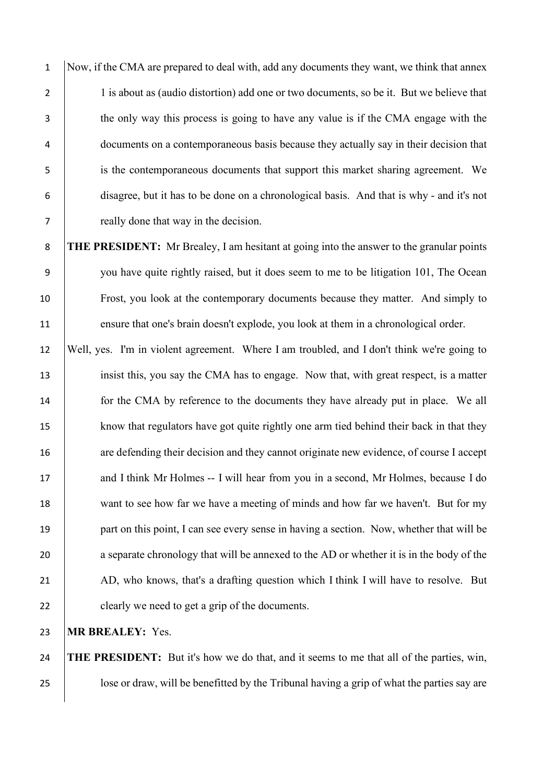Now, if the CMA are prepared to deal with, add any documents they want, we think that annex 2 1 is about as (audio distortion) add one or two documents, so be it. But we believe that the only way this process is going to have any value is if the CMA engage with the documents on a contemporaneous basis because they actually say in their decision that is the contemporaneous documents that support this market sharing agreement. We disagree, but it has to be done on a chronological basis. And that is why - and it's not really done that way in the decision.

 **THE PRESIDENT:** Mr Brealey, I am hesitant at going into the answer to the granular points you have quite rightly raised, but it does seem to me to be litigation 101, The Ocean Frost, you look at the contemporary documents because they matter. And simply to ensure that one's brain doesn't explode, you look at them in a chronological order.

12 Well, yes. I'm in violent agreement. Where I am troubled, and I don't think we're going to 13 insist this, you say the CMA has to engage. Now that, with great respect, is a matter 14 for the CMA by reference to the documents they have already put in place. We all 15 know that regulators have got quite rightly one arm tied behind their back in that they 16 are defending their decision and they cannot originate new evidence, of course I accept 17 and I think Mr Holmes -- I will hear from you in a second, Mr Holmes, because I do 18 want to see how far we have a meeting of minds and how far we haven't. But for my 19 part on this point, I can see every sense in having a section. Now, whether that will be 20 a separate chronology that will be annexed to the AD or whether it is in the body of the 21 AD, who knows, that's a drafting question which I think I will have to resolve. But 22 clearly we need to get a grip of the documents.

23 **MR BREALEY:** Yes.

24 **THE PRESIDENT:** But it's how we do that, and it seems to me that all of the parties, win, 25 Supersity 25 lose or draw, will be benefitted by the Tribunal having a grip of what the parties say are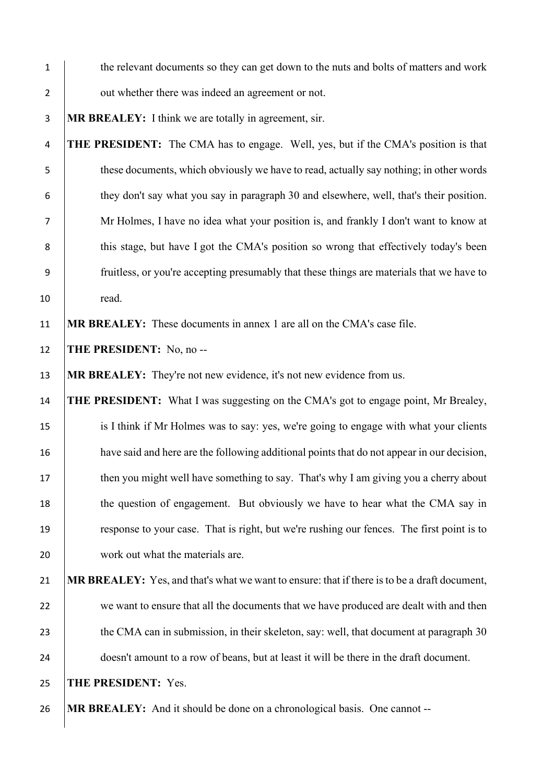| $\mathbf{1}$   | the relevant documents so they can get down to the nuts and bolts of matters and work        |
|----------------|----------------------------------------------------------------------------------------------|
| $\overline{2}$ | out whether there was indeed an agreement or not.                                            |
| 3              | MR BREALEY: I think we are totally in agreement, sir.                                        |
| 4              | <b>THE PRESIDENT:</b> The CMA has to engage. Well, yes, but if the CMA's position is that    |
| 5              | these documents, which obviously we have to read, actually say nothing; in other words       |
| 6              | they don't say what you say in paragraph 30 and elsewhere, well, that's their position.      |
| 7              | Mr Holmes, I have no idea what your position is, and frankly I don't want to know at         |
| 8              | this stage, but have I got the CMA's position so wrong that effectively today's been         |
| 9              | fruitless, or you're accepting presumably that these things are materials that we have to    |
| 10             | read.                                                                                        |
| 11             | MR BREALEY: These documents in annex 1 are all on the CMA's case file.                       |
| 12             | <b>THE PRESIDENT:</b> No, no --                                                              |
| 13             | <b>MR BREALEY:</b> They're not new evidence, it's not new evidence from us.                  |
| 14             | <b>THE PRESIDENT:</b> What I was suggesting on the CMA's got to engage point, Mr Brealey,    |
| 15             | is I think if Mr Holmes was to say: yes, we're going to engage with what your clients        |
| 16             | have said and here are the following additional points that do not appear in our decision,   |
| 17             | then you might well have something to say. That's why I am giving you a cherry about         |
| 18             | the question of engagement. But obviously we have to hear what the CMA say in                |
| 19             | response to your case. That is right, but we're rushing our fences. The first point is to    |
| 20             | work out what the materials are.                                                             |
| 21             | MR BREALEY: Yes, and that's what we want to ensure: that if there is to be a draft document, |
| 22             | we want to ensure that all the documents that we have produced are dealt with and then       |
| 23             | the CMA can in submission, in their skeleton, say: well, that document at paragraph 30       |
| 24             | doesn't amount to a row of beans, but at least it will be there in the draft document.       |
| 25             | THE PRESIDENT: Yes.                                                                          |
| 26             | MR BREALEY: And it should be done on a chronological basis. One cannot --                    |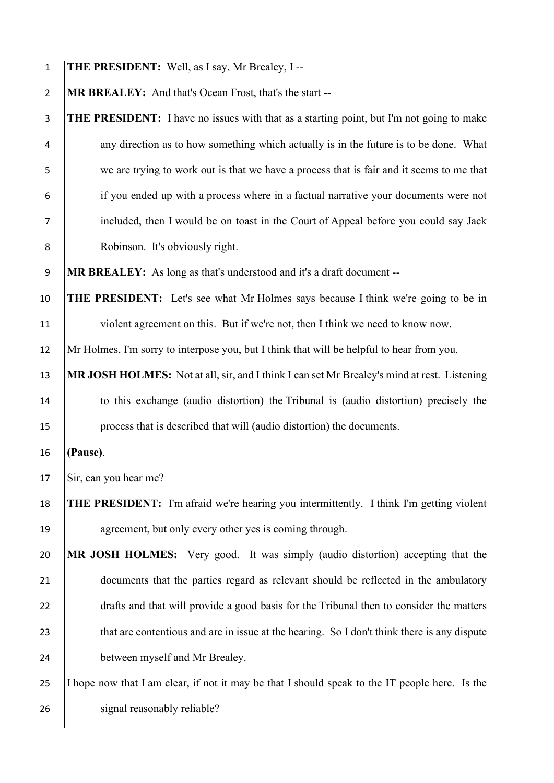| $\mathbf{1}$   | THE PRESIDENT: Well, as I say, Mr Brealey, I --                                                |
|----------------|------------------------------------------------------------------------------------------------|
| $\overline{2}$ | MR BREALEY: And that's Ocean Frost, that's the start --                                        |
| 3              | THE PRESIDENT: I have no issues with that as a starting point, but I'm not going to make       |
| 4              | any direction as to how something which actually is in the future is to be done. What          |
| 5              | we are trying to work out is that we have a process that is fair and it seems to me that       |
| 6              | if you ended up with a process where in a factual narrative your documents were not            |
| 7              | included, then I would be on toast in the Court of Appeal before you could say Jack            |
| 8              | Robinson. It's obviously right.                                                                |
| 9              | MR BREALEY: As long as that's understood and it's a draft document --                          |
| 10             | <b>THE PRESIDENT:</b> Let's see what Mr Holmes says because I think we're going to be in       |
| 11             | violent agreement on this. But if we're not, then I think we need to know now.                 |
| 12             | Mr Holmes, I'm sorry to interpose you, but I think that will be helpful to hear from you.      |
| 13             | MR JOSH HOLMES: Not at all, sir, and I think I can set Mr Brealey's mind at rest. Listening    |
| 14             | to this exchange (audio distortion) the Tribunal is (audio distortion) precisely the           |
| 15             | process that is described that will (audio distortion) the documents.                          |
| 16             | (Pause).                                                                                       |
| 17             | Sir, can you hear me?                                                                          |
| 18             | THE PRESIDENT: I'm afraid we're hearing you intermittently. I think I'm getting violent        |
| 19             | agreement, but only every other yes is coming through.                                         |
| 20             | MR JOSH HOLMES: Very good. It was simply (audio distortion) accepting that the                 |
| 21             | documents that the parties regard as relevant should be reflected in the ambulatory            |
| 22             | drafts and that will provide a good basis for the Tribunal then to consider the matters        |
| 23             | that are contentious and are in issue at the hearing. So I don't think there is any dispute    |
| 24             | between myself and Mr Brealey.                                                                 |
| 25             | I hope now that I am clear, if not it may be that I should speak to the IT people here. Is the |
| 26             | signal reasonably reliable?                                                                    |
|                |                                                                                                |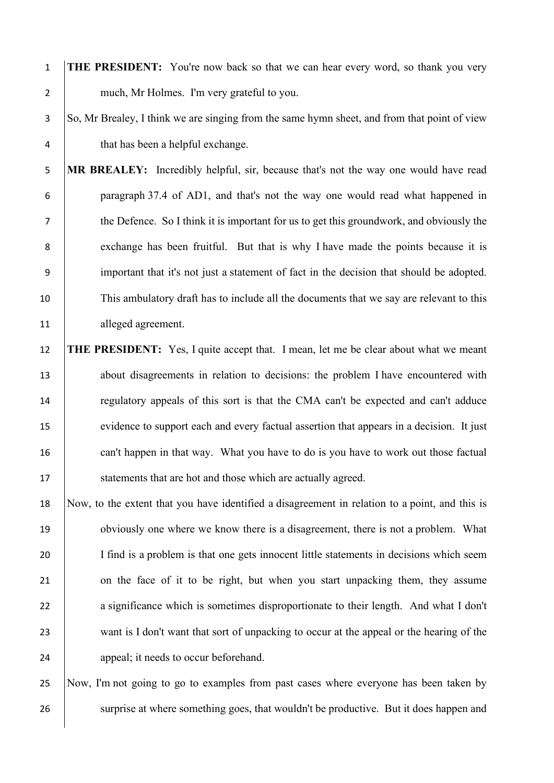1 **THE PRESIDENT:** You're now back so that we can hear every word, so thank you very 2 much, Mr Holmes. I'm very grateful to you.

## 3 So, Mr Brealey, I think we are singing from the same hymn sheet, and from that point of view 4 that has been a helpful exchange.

5 **MR BREALEY:** Incredibly helpful, sir, because that's not the way one would have read 6 paragraph 37.4 of AD1, and that's not the way one would read what happened in 7 the Defence. So I think it is important for us to get this groundwork, and obviously the 8 exchange has been fruitful. But that is why I have made the points because it is 9 important that it's not just a statement of fact in the decision that should be adopted. 10 This ambulatory draft has to include all the documents that we say are relevant to this 11 alleged agreement.

12 **THE PRESIDENT:** Yes, I quite accept that. I mean, let me be clear about what we meant 13 about disagreements in relation to decisions: the problem I have encountered with 14 regulatory appeals of this sort is that the CMA can't be expected and can't adduce 15 evidence to support each and every factual assertion that appears in a decision. It just 16 can't happen in that way. What you have to do is you have to work out those factual 17 Statements that are hot and those which are actually agreed.

18 Now, to the extent that you have identified a disagreement in relation to a point, and this is 19 obviously one where we know there is a disagreement, there is not a problem. What 20 I find is a problem is that one gets innocent little statements in decisions which seem 21 on the face of it to be right, but when you start unpacking them, they assume 22 a significance which is sometimes disproportionate to their length. And what I don't 23 want is I don't want that sort of unpacking to occur at the appeal or the hearing of the 24 appeal; it needs to occur beforehand.

25 Now, I'm not going to go to examples from past cases where everyone has been taken by 26 surprise at where something goes, that wouldn't be productive. But it does happen and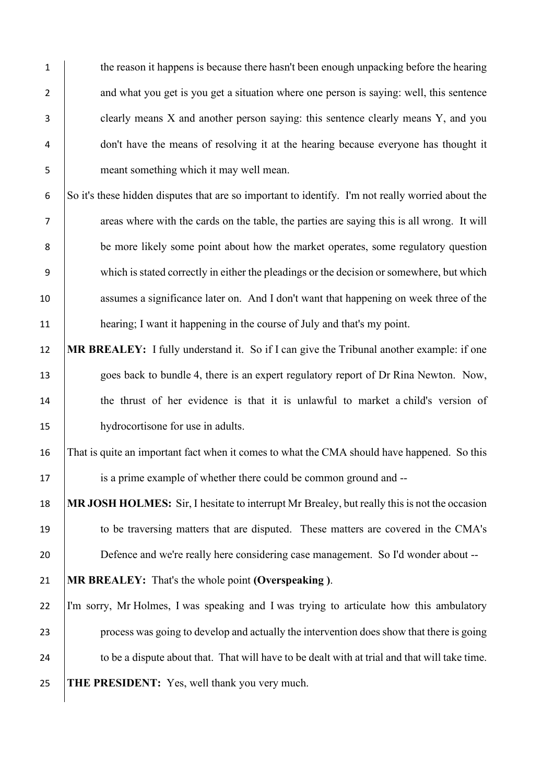1 the reason it happens is because there hasn't been enough unpacking before the hearing 2 and what you get is you get a situation where one person is saying: well, this sentence 3 clearly means X and another person saying: this sentence clearly means Y, and you 4 don't have the means of resolving it at the hearing because everyone has thought it 5 meant something which it may well mean. 6 So it's these hidden disputes that are so important to identify. I'm not really worried about the 7 areas where with the cards on the table, the parties are saying this is all wrong. It will 8 be more likely some point about how the market operates, some regulatory question 9 which is stated correctly in either the pleadings or the decision or somewhere, but which 10 assumes a significance later on. And I don't want that happening on week three of the 11 **hearing**; I want it happening in the course of July and that's my point. 12 **MR BREALEY:** I fully understand it. So if I can give the Tribunal another example: if one 13 goes back to bundle 4, there is an expert regulatory report of Dr Rina Newton. Now, 14 the thrust of her evidence is that it is unlawful to market a child's version of

15 hydrocortisone for use in adults.

16 That is quite an important fact when it comes to what the CMA should have happened. So this 17 is a prime example of whether there could be common ground and --

18 **MR JOSH HOLMES:** Sir, I hesitate to interrupt Mr Brealey, but really this is not the occasion 19 to be traversing matters that are disputed. These matters are covered in the CMA's 20 Defence and we're really here considering case management. So I'd wonder about --

21 **MR BREALEY:** That's the whole point **(Overspeaking )**.

 I'm sorry, Mr Holmes, I was speaking and I was trying to articulate how this ambulatory process was going to develop and actually the intervention does show that there is going 24 to be a dispute about that. That will have to be dealt with at trial and that will take time. **THE PRESIDENT:** Yes, well thank you very much.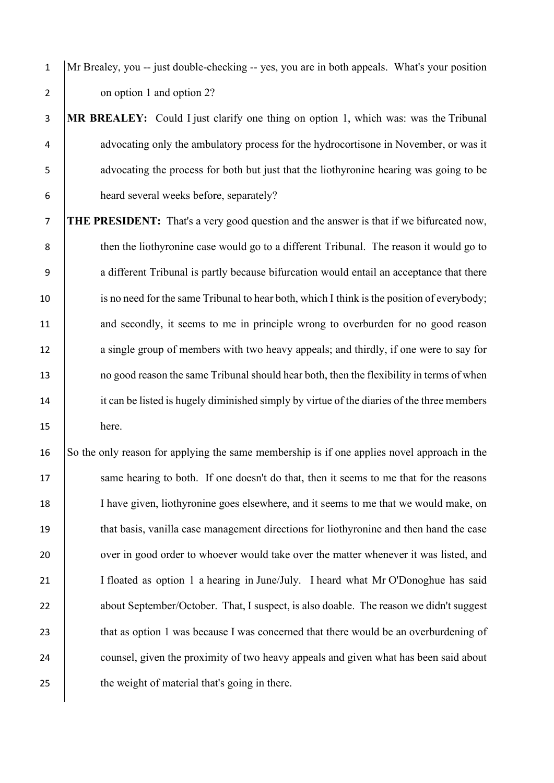1 Mr Brealey, you -- just double-checking -- yes, you are in both appeals. What's your position 2 on option 1 and option 2?

 **MR BREALEY:** Could I just clarify one thing on option 1, which was: was the Tribunal 4 advocating only the ambulatory process for the hydrocortisone in November, or was it advocating the process for both but just that the liothyronine hearing was going to be heard several weeks before, separately?

7 **THE PRESIDENT:** That's a very good question and the answer is that if we bifurcated now, 8 then the liothyronine case would go to a different Tribunal. The reason it would go to 9 a different Tribunal is partly because bifurcation would entail an acceptance that there 10 is no need for the same Tribunal to hear both, which I think is the position of everybody; 11 and secondly, it seems to me in principle wrong to overburden for no good reason 12 a single group of members with two heavy appeals; and thirdly, if one were to say for 13 no good reason the same Tribunal should hear both, then the flexibility in terms of when 14 it can be listed is hugely diminished simply by virtue of the diaries of the three members 15 here.

16 So the only reason for applying the same membership is if one applies novel approach in the 17 same hearing to both. If one doesn't do that, then it seems to me that for the reasons 18 I have given, liothyronine goes elsewhere, and it seems to me that we would make, on 19 that basis, vanilla case management directions for liothyronine and then hand the case 20 ver in good order to whoever would take over the matter whenever it was listed, and 21 I floated as option 1 a hearing in June/July. I heard what Mr O'Donoghue has said 22 about September/October. That, I suspect, is also doable. The reason we didn't suggest 23 that as option 1 was because I was concerned that there would be an overburdening of 24 counsel, given the proximity of two heavy appeals and given what has been said about 25 the weight of material that's going in there.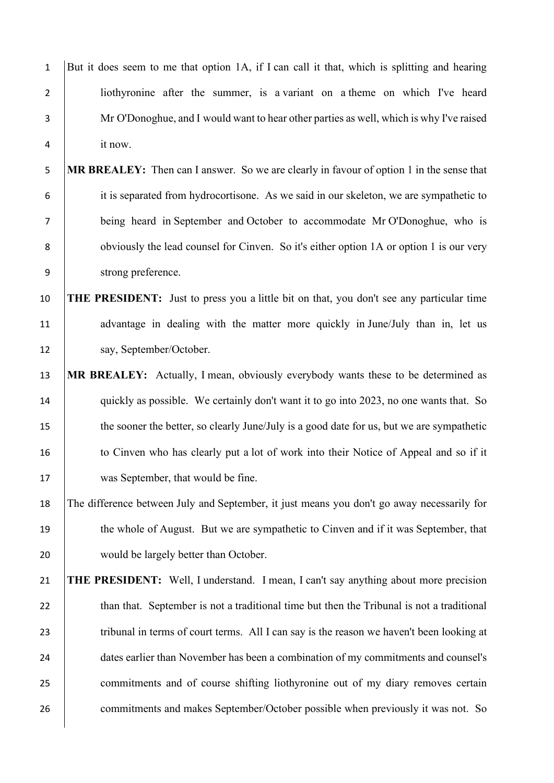| $\mathbf{1}$   | But it does seem to me that option 1A, if I can call it that, which is splitting and hearing    |
|----------------|-------------------------------------------------------------------------------------------------|
| $\overline{2}$ | liothyronine after the summer, is a variant on a theme on which I've heard                      |
| 3              | Mr O'Donoghue, and I would want to hear other parties as well, which is why I've raised         |
| 4              | it now.                                                                                         |
| 5              | MR BREALEY: Then can I answer. So we are clearly in favour of option 1 in the sense that        |
| 6              | it is separated from hydrocortisone. As we said in our skeleton, we are sympathetic to          |
| $\overline{7}$ | being heard in September and October to accommodate Mr O'Donoghue, who is                       |
| 8              | obviously the lead counsel for Cinven. So it's either option 1A or option 1 is our very         |
| 9              | strong preference.                                                                              |
| 10             | <b>THE PRESIDENT:</b> Just to press you a little bit on that, you don't see any particular time |
| 11             | advantage in dealing with the matter more quickly in June/July than in, let us                  |
| 12             | say, September/October.                                                                         |
| 13             | MR BREALEY: Actually, I mean, obviously everybody wants these to be determined as               |
| 14             | quickly as possible. We certainly don't want it to go into 2023, no one wants that. So          |
| 15             | the sooner the better, so clearly June/July is a good date for us, but we are sympathetic       |
| 16             | to Cinven who has clearly put a lot of work into their Notice of Appeal and so if it            |
| 17             | was September, that would be fine.                                                              |
| 18             | The difference between July and September, it just means you don't go away necessarily for      |
| 19             | the whole of August. But we are sympathetic to Cinven and if it was September, that             |
| 20             | would be largely better than October.                                                           |
| 21             | <b>THE PRESIDENT:</b> Well, I understand. I mean, I can't say anything about more precision     |
| 22             | than that. September is not a traditional time but then the Tribunal is not a traditional       |
| 23             | tribunal in terms of court terms. All I can say is the reason we haven't been looking at        |
| 24             | dates earlier than November has been a combination of my commitments and counsel's              |
| 25             | commitments and of course shifting liothyronine out of my diary removes certain                 |
| 26             | commitments and makes September/October possible when previously it was not. So                 |
|                |                                                                                                 |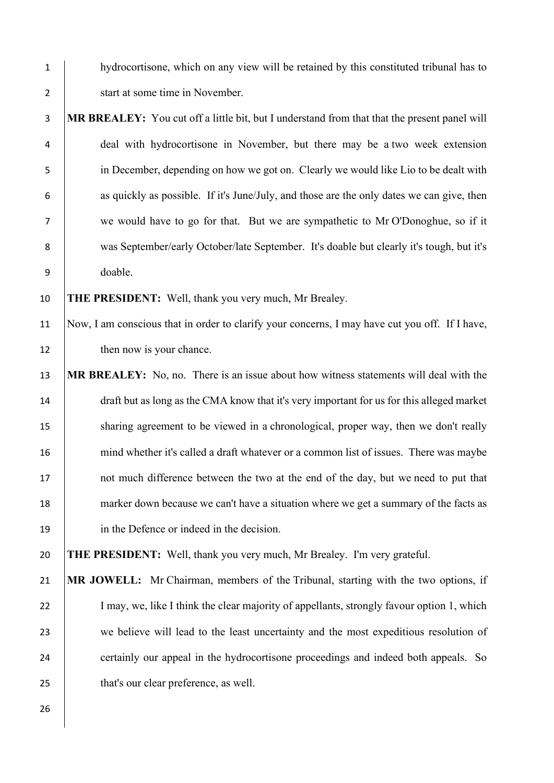- 1 hydrocortisone, which on any view will be retained by this constituted tribunal has to 2 start at some time in November.
- 3 **MR BREALEY:** You cut off a little bit, but I understand from that that the present panel will 4 deal with hydrocortisone in November, but there may be a two week extension 5 in December, depending on how we got on. Clearly we would like Lio to be dealt with 6 as quickly as possible. If it's June/July, and those are the only dates we can give, then 7 we would have to go for that. But we are sympathetic to Mr O'Donoghue, so if it 8 was September/early October/late September. It's doable but clearly it's tough, but it's 9 doable.

10 **THE PRESIDENT:** Well, thank you very much, Mr Brealey.

- 11 Now, I am conscious that in order to clarify your concerns, I may have cut you off. If I have, 12 then now is your chance.
- 13 **MR BREALEY:** No, no. There is an issue about how witness statements will deal with the 14 draft but as long as the CMA know that it's very important for us for this alleged market 15 sharing agreement to be viewed in a chronological, proper way, then we don't really 16 mind whether it's called a draft whatever or a common list of issues. There was maybe 17 not much difference between the two at the end of the day, but we need to put that 18 marker down because we can't have a situation where we get a summary of the facts as 19 in the Defence or indeed in the decision.

20 **THE PRESIDENT:** Well, thank you very much, Mr Brealey. I'm very grateful.

26

21 **MR JOWELL:** Mr Chairman, members of the Tribunal, starting with the two options, if 22 I may, we, like I think the clear majority of appellants, strongly favour option 1, which 23 we believe will lead to the least uncertainty and the most expeditious resolution of 24 certainly our appeal in the hydrocortisone proceedings and indeed both appeals. So 25 **that's our clear preference**, as well.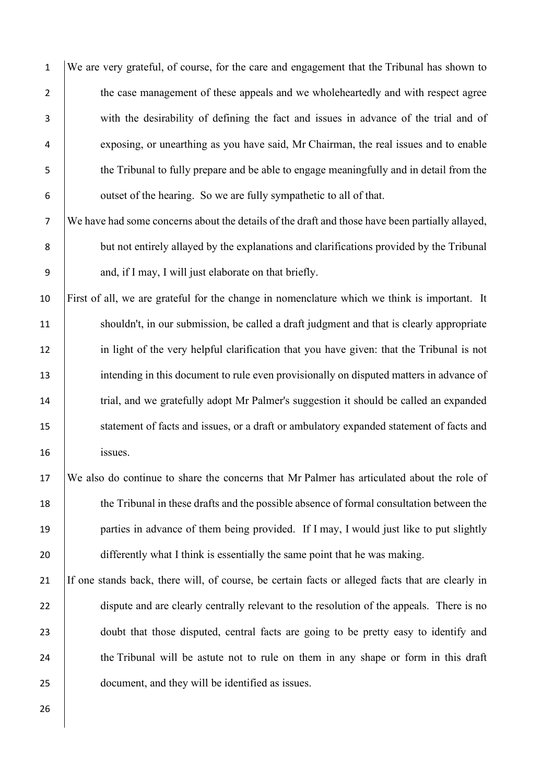We are very grateful, of course, for the care and engagement that the Tribunal has shown to 2 the case management of these appeals and we wholeheartedly and with respect agree with the desirability of defining the fact and issues in advance of the trial and of exposing, or unearthing as you have said, Mr Chairman, the real issues and to enable the Tribunal to fully prepare and be able to engage meaningfully and in detail from the 6 outset of the hearing. So we are fully sympathetic to all of that.

7 We have had some concerns about the details of the draft and those have been partially allayed, 8 but not entirely allayed by the explanations and clarifications provided by the Tribunal 9 and, if I may, I will just elaborate on that briefly.

10 First of all, we are grateful for the change in nomenclature which we think is important. It 11 shouldn't, in our submission, be called a draft judgment and that is clearly appropriate 12 in light of the very helpful clarification that you have given: that the Tribunal is not 13 intending in this document to rule even provisionally on disputed matters in advance of 14 trial, and we gratefully adopt Mr Palmer's suggestion it should be called an expanded 15 statement of facts and issues, or a draft or ambulatory expanded statement of facts and 16 issues.

17 We also do continue to share the concerns that Mr Palmer has articulated about the role of 18 the Tribunal in these drafts and the possible absence of formal consultation between the 19 parties in advance of them being provided. If I may, I would just like to put slightly 20 differently what I think is essentially the same point that he was making.

21 If one stands back, there will, of course, be certain facts or alleged facts that are clearly in 22 dispute and are clearly centrally relevant to the resolution of the appeals. There is no 23 doubt that those disputed, central facts are going to be pretty easy to identify and 24 the Tribunal will be astute not to rule on them in any shape or form in this draft 25 document, and they will be identified as issues.

26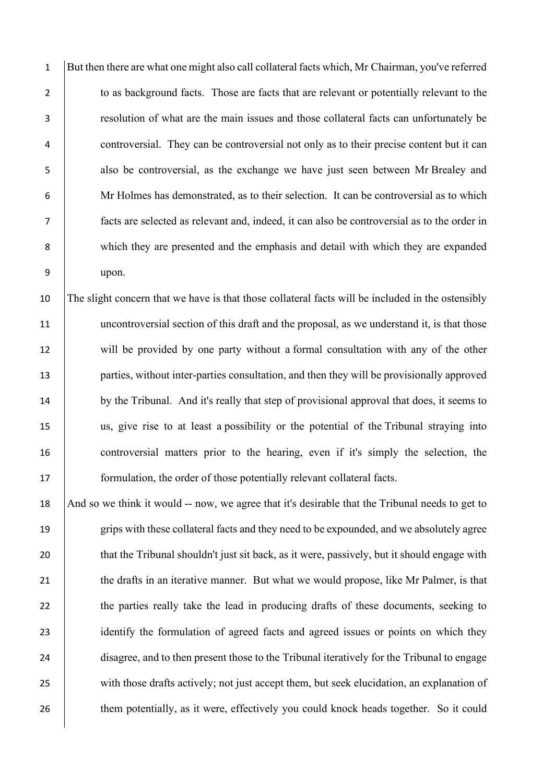But then there are what one might also call collateral facts which, Mr Chairman, you've referred 2 to as background facts. Those are facts that are relevant or potentially relevant to the resolution of what are the main issues and those collateral facts can unfortunately be controversial. They can be controversial not only as to their precise content but it can also be controversial, as the exchange we have just seen between Mr Brealey and Mr Holmes has demonstrated, as to their selection. It can be controversial as to which facts are selected as relevant and, indeed, it can also be controversial as to the order in which they are presented and the emphasis and detail with which they are expanded 9 upon.

 The slight concern that we have is that those collateral facts will be included in the ostensibly 11 uncontroversial section of this draft and the proposal, as we understand it, is that those will be provided by one party without a formal consultation with any of the other **parties, without inter-parties consultation, and then they will be provisionally approved** 14 by the Tribunal. And it's really that step of provisional approval that does, it seems to us, give rise to at least a possibility or the potential of the Tribunal straying into controversial matters prior to the hearing, even if it's simply the selection, the **formulation**, the order of those potentially relevant collateral facts.

18 And so we think it would -- now, we agree that it's desirable that the Tribunal needs to get to 19 grips with these collateral facts and they need to be expounded, and we absolutely agree 20 that the Tribunal shouldn't just sit back, as it were, passively, but it should engage with 21 the drafts in an iterative manner. But what we would propose, like Mr Palmer, is that 22 the parties really take the lead in producing drafts of these documents, seeking to 23 identify the formulation of agreed facts and agreed issues or points on which they 24 disagree, and to then present those to the Tribunal iteratively for the Tribunal to engage 25 with those drafts actively; not just accept them, but seek elucidation, an explanation of 26 them potentially, as it were, effectively you could knock heads together. So it could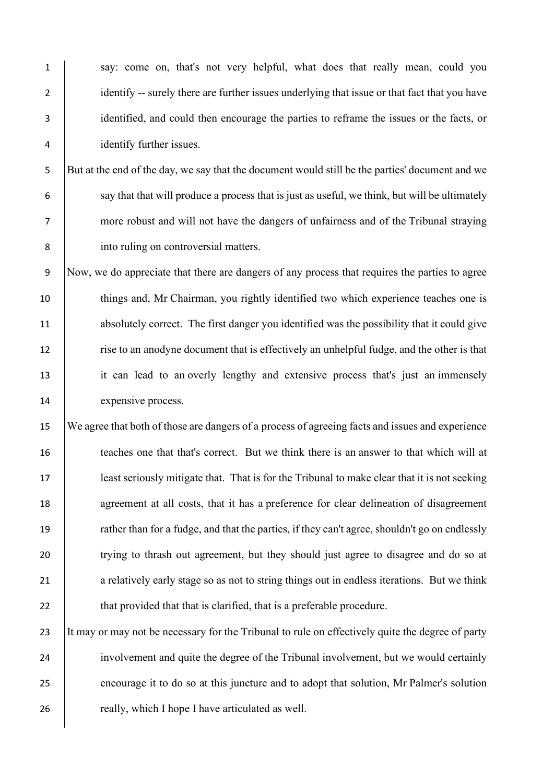say: come on, that's not very helpful, what does that really mean, could you 2 identify -- surely there are further issues underlying that issue or that fact that you have identified, and could then encourage the parties to reframe the issues or the facts, or identify further issues.

5 But at the end of the day, we say that the document would still be the parties' document and we 6 say that that will produce a process that is just as useful, we think, but will be ultimately 7 more robust and will not have the dangers of unfairness and of the Tribunal straying 8 into ruling on controversial matters.

 Now, we do appreciate that there are dangers of any process that requires the parties to agree 10 things and, Mr Chairman, you rightly identified two which experience teaches one is absolutely correct. The first danger you identified was the possibility that it could give rise to an anodyne document that is effectively an unhelpful fudge, and the other is that it can lead to an overly lengthy and extensive process that's just an immensely 14 expensive process.

15 We agree that both of those are dangers of a process of agreeing facts and issues and experience 16 teaches one that that's correct. But we think there is an answer to that which will at 17 least seriously mitigate that. That is for the Tribunal to make clear that it is not seeking 18 agreement at all costs, that it has a preference for clear delineation of disagreement 19 rather than for a fudge, and that the parties, if they can't agree, shouldn't go on endlessly 20 trying to thrash out agreement, but they should just agree to disagree and do so at 21 a relatively early stage so as not to string things out in endless iterations. But we think 22 that provided that that is clarified, that is a preferable procedure.

23 It may or may not be necessary for the Tribunal to rule on effectively quite the degree of party 24 involvement and quite the degree of the Tribunal involvement, but we would certainly 25 encourage it to do so at this juncture and to adopt that solution, Mr Palmer's solution 26 **really, which I hope I have articulated as well.**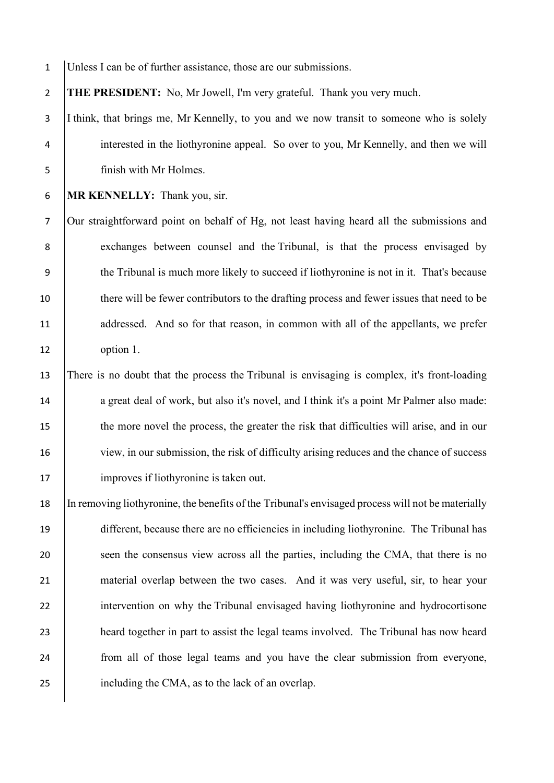Unless I can be of further assistance, those are our submissions. **THE PRESIDENT:** No, Mr Jowell, I'm very grateful. Thank you very much. 3 I think, that brings me, Mr Kennelly, to you and we now transit to someone who is solely interested in the liothyronine appeal. So over to you, Mr Kennelly, and then we will finish with Mr Holmes. **MR KENNELLY:** Thank you, sir. Our straightforward point on behalf of Hg, not least having heard all the submissions and 8 exchanges between counsel and the Tribunal, is that the process envisaged by the Tribunal is much more likely to succeed if liothyronine is not in it. That's because there will be fewer contributors to the drafting process and fewer issues that need to be 11 addressed. And so for that reason, in common with all of the appellants, we prefer option 1. There is no doubt that the process the Tribunal is envisaging is complex, it's front-loading 14 a great deal of work, but also it's novel, and I think it's a point Mr Palmer also made: 15 the more novel the process, the greater the risk that difficulties will arise, and in our 16 view, in our submission, the risk of difficulty arising reduces and the chance of success 17 | improves if liothyronine is taken out. In removing liothyronine, the benefits of the Tribunal's envisaged process will not be materially different, because there are no efficiencies in including liothyronine. The Tribunal has 20 seen the consensus view across all the parties, including the CMA, that there is no material overlap between the two cases. And it was very useful, sir, to hear your

22 intervention on why the Tribunal envisaged having liothyronine and hydrocortisone 23 **heard together in part to assist the legal teams involved.** The Tribunal has now heard 24 from all of those legal teams and you have the clear submission from everyone, 25 including the CMA, as to the lack of an overlap.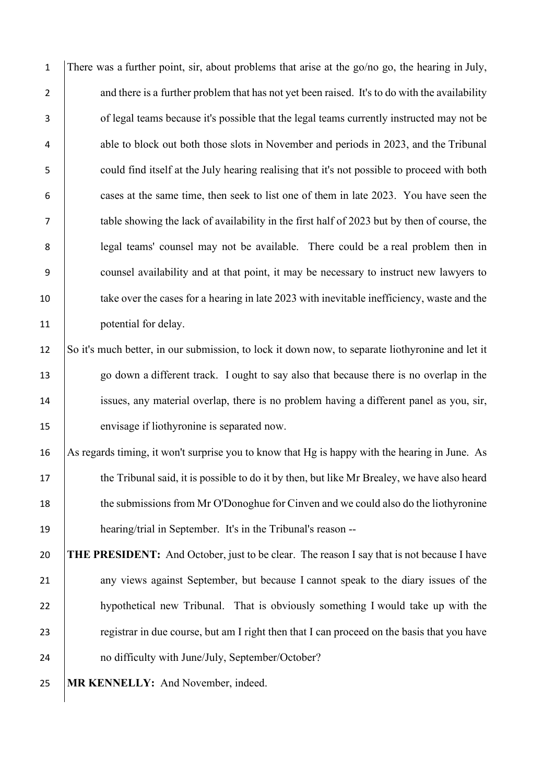1 There was a further point, sir, about problems that arise at the go/no go, the hearing in July, 2 and there is a further problem that has not yet been raised. It's to do with the availability 3 of legal teams because it's possible that the legal teams currently instructed may not be 4 able to block out both those slots in November and periods in 2023, and the Tribunal 5 could find itself at the July hearing realising that it's not possible to proceed with both 6 cases at the same time, then seek to list one of them in late 2023. You have seen the 7 table showing the lack of availability in the first half of 2023 but by then of course, the 8 | legal teams' counsel may not be available. There could be a real problem then in 9 counsel availability and at that point, it may be necessary to instruct new lawyers to 10 take over the cases for a hearing in late 2023 with inevitable inefficiency, waste and the 11 **potential for delay.** 

 So it's much better, in our submission, to lock it down now, to separate liothyronine and let it go down a different track. I ought to say also that because there is no overlap in the issues, any material overlap, there is no problem having a different panel as you, sir, envisage if liothyronine is separated now.

16 As regards timing, it won't surprise you to know that Hg is happy with the hearing in June. As 17 the Tribunal said, it is possible to do it by then, but like Mr Brealey, we have also heard 18 the submissions from Mr O'Donoghue for Cinven and we could also do the liothyronine 19 hearing/trial in September. It's in the Tribunal's reason --

20 **THE PRESIDENT:** And October, just to be clear. The reason I say that is not because I have 21 any views against September, but because I cannot speak to the diary issues of the 22 hypothetical new Tribunal. That is obviously something I would take up with the 23 extending a registrar in due course, but am I right then that I can proceed on the basis that you have 24 no difficulty with June/July, September/October?

25 **MR KENNELLY:** And November, indeed.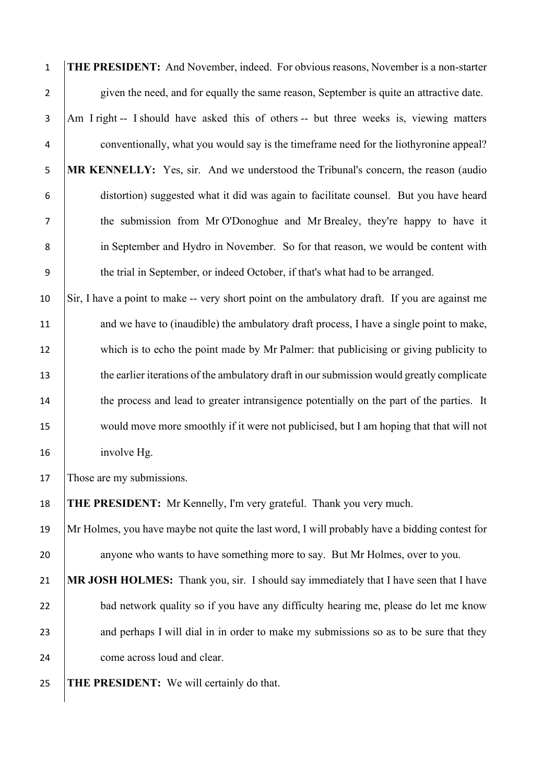| $\mathbf 1$    | THE PRESIDENT: And November, indeed. For obvious reasons, November is a non-starter            |
|----------------|------------------------------------------------------------------------------------------------|
| $\overline{2}$ | given the need, and for equally the same reason, September is quite an attractive date.        |
| 3              | Am I right -- I should have asked this of others -- but three weeks is, viewing matters        |
| 4              | conventionally, what you would say is the timeframe need for the liothyronine appeal?          |
| 5              | MR KENNELLY: Yes, sir. And we understood the Tribunal's concern, the reason (audio             |
| 6              | distortion) suggested what it did was again to facilitate counsel. But you have heard          |
| 7              | the submission from Mr O'Donoghue and Mr Brealey, they're happy to have it                     |
| 8              | in September and Hydro in November. So for that reason, we would be content with               |
| 9              | the trial in September, or indeed October, if that's what had to be arranged.                  |
| 10             | Sir, I have a point to make -- very short point on the ambulatory draft. If you are against me |
| 11             | and we have to (inaudible) the ambulatory draft process, I have a single point to make,        |
| 12             | which is to echo the point made by Mr Palmer: that publicising or giving publicity to          |
| 13             | the earlier iterations of the ambulatory draft in our submission would greatly complicate      |
| 14             | the process and lead to greater intransigence potentially on the part of the parties. It       |
| 15             | would move more smoothly if it were not publicised, but I am hoping that that will not         |
| 16             | involve Hg.                                                                                    |
| 17             | Those are my submissions.                                                                      |
| 18             | <b>THE PRESIDENT:</b> Mr Kennelly, I'm very grateful. Thank you very much.                     |
| 19             | Mr Holmes, you have maybe not quite the last word, I will probably have a bidding contest for  |
| 20             | anyone who wants to have something more to say. But Mr Holmes, over to you.                    |
| 21             | MR JOSH HOLMES: Thank you, sir. I should say immediately that I have seen that I have          |
| 22             | bad network quality so if you have any difficulty hearing me, please do let me know            |
| 23             | and perhaps I will dial in in order to make my submissions so as to be sure that they          |
| 24             | come across loud and clear.                                                                    |
| 25             | THE PRESIDENT: We will certainly do that.                                                      |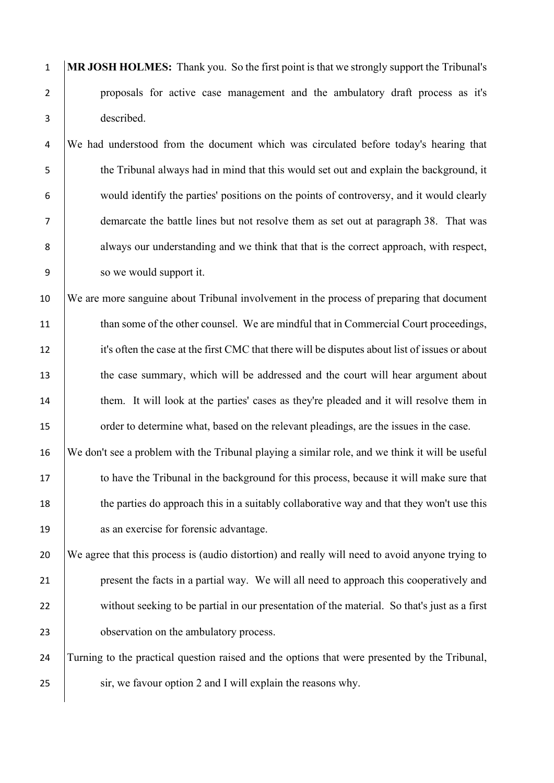1 **MR JOSH HOLMES:** Thank you. So the first point is that we strongly support the Tribunal's 2 proposals for active case management and the ambulatory draft process as it's 3 described.

4 We had understood from the document which was circulated before today's hearing that the Tribunal always had in mind that this would set out and explain the background, it would identify the parties' positions on the points of controversy, and it would clearly demarcate the battle lines but not resolve them as set out at paragraph 38. That was 8 always our understanding and we think that that is the correct approach, with respect, so we would support it.

10 We are more sanguine about Tribunal involvement in the process of preparing that document 11  $\parallel$  than some of the other counsel. We are mindful that in Commercial Court proceedings, 12 it's often the case at the first CMC that there will be disputes about list of issues or about 13 the case summary, which will be addressed and the court will hear argument about 14 them. It will look at the parties' cases as they're pleaded and it will resolve them in 15 order to determine what, based on the relevant pleadings, are the issues in the case.

16 We don't see a problem with the Tribunal playing a similar role, and we think it will be useful 17 to have the Tribunal in the background for this process, because it will make sure that 18 the parties do approach this in a suitably collaborative way and that they won't use this 19 as an exercise for forensic advantage.

 We agree that this process is (audio distortion) and really will need to avoid anyone trying to present the facts in a partial way. We will all need to approach this cooperatively and 22 without seeking to be partial in our presentation of the material. So that's just as a first **b** observation on the ambulatory process.

24 Turning to the practical question raised and the options that were presented by the Tribunal, 25 sir, we favour option 2 and I will explain the reasons why.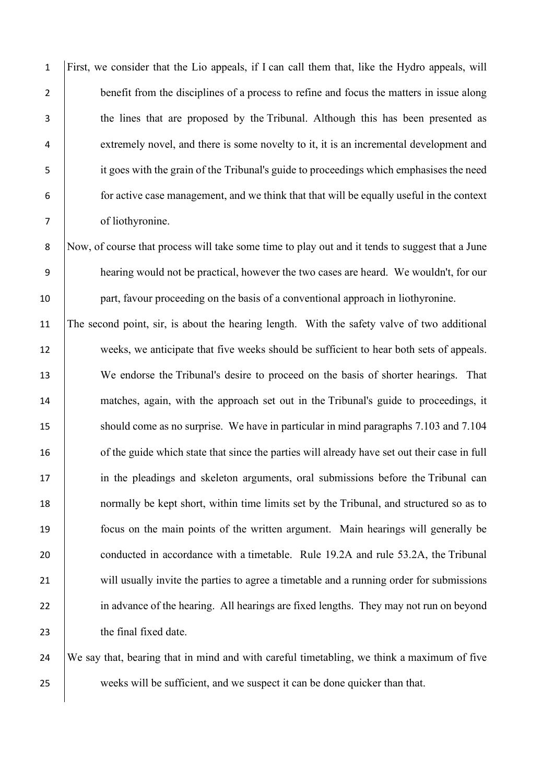First, we consider that the Lio appeals, if I can call them that, like the Hydro appeals, will 2 benefit from the disciplines of a process to refine and focus the matters in issue along the lines that are proposed by the Tribunal. Although this has been presented as 4 extremely novel, and there is some novelty to it, it is an incremental development and it goes with the grain of the Tribunal's guide to proceedings which emphasises the need for active case management, and we think that that will be equally useful in the context of liothyronine.

8 Now, of course that process will take some time to play out and it tends to suggest that a June 9 hearing would not be practical, however the two cases are heard. We wouldn't, for our 10 part, favour proceeding on the basis of a conventional approach in liothyronine.

11 The second point, sir, is about the hearing length. With the safety valve of two additional 12 weeks, we anticipate that five weeks should be sufficient to hear both sets of appeals. 13 We endorse the Tribunal's desire to proceed on the basis of shorter hearings. That 14 matches, again, with the approach set out in the Tribunal's guide to proceedings, it 15 should come as no surprise. We have in particular in mind paragraphs 7.103 and 7.104 16 of the guide which state that since the parties will already have set out their case in full 17 in the pleadings and skeleton arguments, oral submissions before the Tribunal can 18 normally be kept short, within time limits set by the Tribunal, and structured so as to 19 focus on the main points of the written argument. Main hearings will generally be 20 conducted in accordance with a timetable. Rule 19.2A and rule 53.2A, the Tribunal 21 will usually invite the parties to agree a timetable and a running order for submissions 22 in advance of the hearing. All hearings are fixed lengths. They may not run on beyond 23 the final fixed date.

24 We say that, bearing that in mind and with careful timetabling, we think a maximum of five 25 weeks will be sufficient, and we suspect it can be done quicker than that.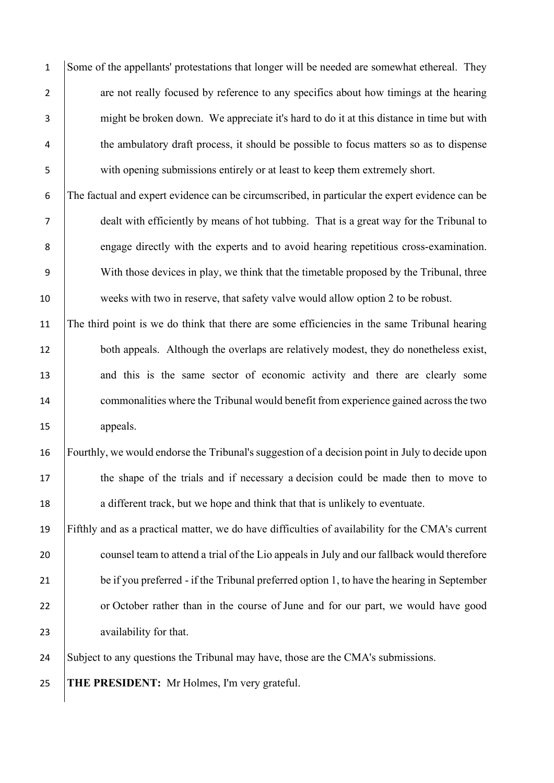1 Some of the appellants' protestations that longer will be needed are somewhat ethereal. They 2 are not really focused by reference to any specifics about how timings at the hearing 3 might be broken down. We appreciate it's hard to do it at this distance in time but with <sup>4</sup> the ambulatory draft process, it should be possible to focus matters so as to dispense 5 with opening submissions entirely or at least to keep them extremely short.

6 The factual and expert evidence can be circumscribed, in particular the expert evidence can be 7 dealt with efficiently by means of hot tubbing. That is a great way for the Tribunal to 8 engage directly with the experts and to avoid hearing repetitious cross-examination. 9 With those devices in play, we think that the timetable proposed by the Tribunal, three 10 weeks with two in reserve, that safety valve would allow option 2 to be robust.

11 The third point is we do think that there are some efficiencies in the same Tribunal hearing 12 both appeals. Although the overlaps are relatively modest, they do nonetheless exist, 13 and this is the same sector of economic activity and there are clearly some 14 commonalities where the Tribunal would benefit from experience gained across the two 15 appeals.

16 Fourthly, we would endorse the Tribunal's suggestion of a decision point in July to decide upon 17 the shape of the trials and if necessary a decision could be made then to move to 18 a different track, but we hope and think that that is unlikely to eventuate.

19 Fifthly and as a practical matter, we do have difficulties of availability for the CMA's current 20 counsel team to attend a trial of the Lio appeals in July and our fallback would therefore 21 be if you preferred - if the Tribunal preferred option 1, to have the hearing in September 22 or October rather than in the course of June and for our part, we would have good 23 availability for that.

24 Subject to any questions the Tribunal may have, those are the CMA's submissions.

25 **THE PRESIDENT:** Mr Holmes, I'm very grateful.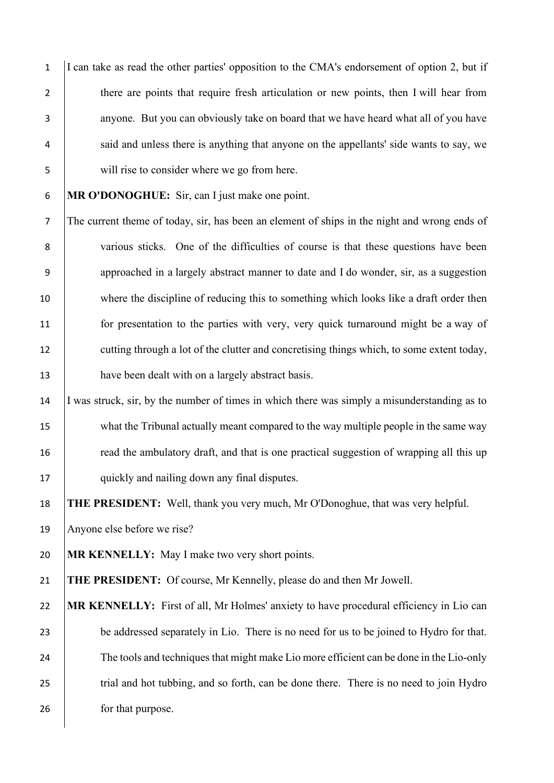I can take as read the other parties' opposition to the CMA's endorsement of option 2, but if 2 there are points that require fresh articulation or new points, then I will hear from 3 anyone. But you can obviously take on board that we have heard what all of you have 4 said and unless there is anything that anyone on the appellants' side wants to say, we will rise to consider where we go from here.

**MR O'DONOGHUE:** Sir, can I just make one point.

 The current theme of today, sir, has been an element of ships in the night and wrong ends of various sticks. One of the difficulties of course is that these questions have been approached in a largely abstract manner to date and I do wonder, sir, as a suggestion where the discipline of reducing this to something which looks like a draft order then for presentation to the parties with very, very quick turnaround might be a way of 12 cutting through a lot of the clutter and concretising things which, to some extent today, 13 have been dealt with on a largely abstract basis.

 I was struck, sir, by the number of times in which there was simply a misunderstanding as to 15 what the Tribunal actually meant compared to the way multiple people in the same way **read the ambulatory draft, and that is one practical suggestion of wrapping all this up** 17 quickly and nailing down any final disputes.

**THE PRESIDENT:** Well, thank you very much, Mr O'Donoghue, that was very helpful.

Anyone else before we rise?

**MR KENNELLY:** May I make two very short points.

**THE PRESIDENT:** Of course, Mr Kennelly, please do and then Mr Jowell.

 **MR KENNELLY:** First of all, Mr Holmes' anxiety to have procedural efficiency in Lio can 23 be addressed separately in Lio. There is no need for us to be joined to Hydro for that. 24 The tools and techniques that might make Lio more efficient can be done in the Lio-only 25 trial and hot tubbing, and so forth, can be done there. There is no need to join Hydro **for that purpose.**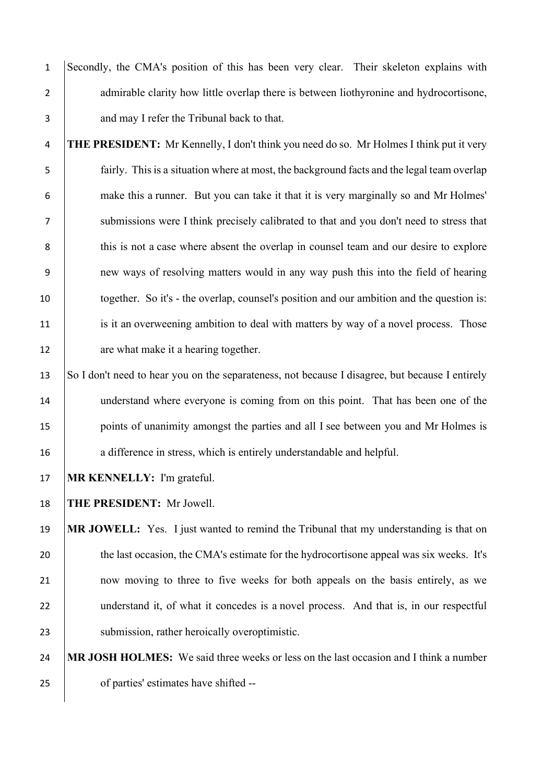1 Secondly, the CMA's position of this has been very clear. Their skeleton explains with 2 admirable clarity how little overlap there is between liothyronine and hydrocortisone, 3 and may I refer the Tribunal back to that.

 **THE PRESIDENT:** Mr Kennelly, I don't think you need do so. Mr Holmes I think put it very fairly. This is a situation where at most, the background facts and the legal team overlap make this a runner. But you can take it that it is very marginally so and Mr Holmes' submissions were I think precisely calibrated to that and you don't need to stress that 8 this is not a case where absent the overlap in counsel team and our desire to explore new ways of resolving matters would in any way push this into the field of hearing together. So it's - the overlap, counsel's position and our ambition and the question is: 11 is it an overweening ambition to deal with matters by way of a novel process. Those 12 are what make it a hearing together.

13 So I don't need to hear you on the separateness, not because I disagree, but because I entirely 14 understand where everyone is coming from on this point. That has been one of the 15 points of unanimity amongst the parties and all I see between you and Mr Holmes is 16 a difference in stress, which is entirely understandable and helpful.

17 **MR KENNELLY:** I'm grateful.

18 **THE PRESIDENT:** Mr Jowell.

19 **MR JOWELL:** Yes. I just wanted to remind the Tribunal that my understanding is that on 20 the last occasion, the CMA's estimate for the hydrocortisone appeal was six weeks. It's 21 now moving to three to five weeks for both appeals on the basis entirely, as we 22 understand it, of what it concedes is a novel process. And that is, in our respectful 23 Submission, rather heroically overoptimistic.

24 **MR JOSH HOLMES:** We said three weeks or less on the last occasion and I think a number 25 of parties' estimates have shifted --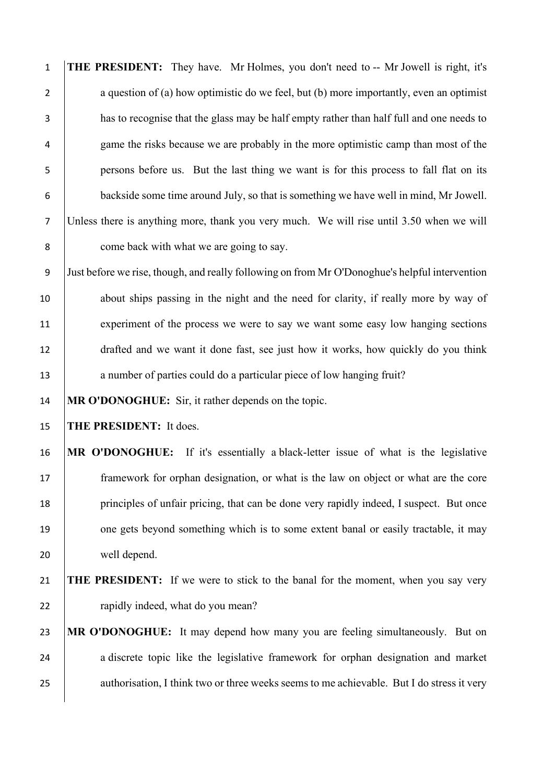**THE PRESIDENT:** They have. Mr Holmes, you don't need to -- Mr Jowell is right, it's 2 a question of (a) how optimistic do we feel, but (b) more importantly, even an optimist has to recognise that the glass may be half empty rather than half full and one needs to game the risks because we are probably in the more optimistic camp than most of the persons before us. But the last thing we want is for this process to fall flat on its backside some time around July, so that is something we have well in mind, Mr Jowell. Unless there is anything more, thank you very much. We will rise until 3.50 when we will **come back with what we are going to say.** 

 Just before we rise, though, and really following on from Mr O'Donoghue's helpful intervention 10 about ships passing in the night and the need for clarity, if really more by way of experiment of the process we were to say we want some easy low hanging sections drafted and we want it done fast, see just how it works, how quickly do you think 13 a number of parties could do a particular piece of low hanging fruit?

**MR O'DONOGHUE:** Sir, it rather depends on the topic.

**THE PRESIDENT:** It does.

 **MR O'DONOGHUE:** If it's essentially a black-letter issue of what is the legislative framework for orphan designation, or what is the law on object or what are the core 18 principles of unfair pricing, that can be done very rapidly indeed, I suspect. But once 19 one gets beyond something which is to some extent banal or easily tractable, it may well depend.

 **THE PRESIDENT:** If we were to stick to the banal for the moment, when you say very **hadded** approach value of the rapidly indeed, what do you mean?

 **MR O'DONOGHUE:** It may depend how many you are feeling simultaneously. But on 24 a discrete topic like the legislative framework for orphan designation and market 25 authorisation, I think two or three weeks seems to me achievable. But I do stress it very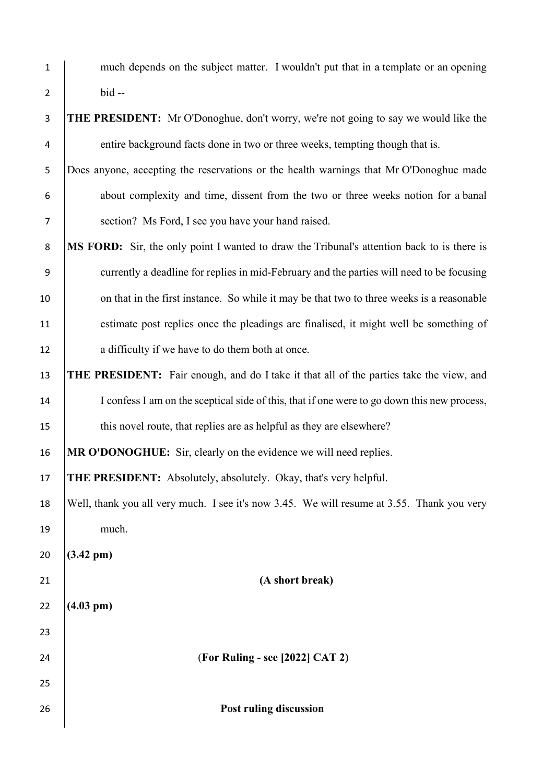| $\mathbf 1$      | much depends on the subject matter. I wouldn't put that in a template or an opening            |  |  |
|------------------|------------------------------------------------------------------------------------------------|--|--|
| $\overline{2}$   | $bid -$                                                                                        |  |  |
| $\mathsf 3$      | <b>THE PRESIDENT:</b> Mr O'Donoghue, don't worry, we're not going to say we would like the     |  |  |
| 4                | entire background facts done in two or three weeks, tempting though that is.                   |  |  |
| 5                | Does anyone, accepting the reservations or the health warnings that Mr O'Donoghue made         |  |  |
| 6                | about complexity and time, dissent from the two or three weeks notion for a banal              |  |  |
| $\overline{7}$   | section? Ms Ford, I see you have your hand raised.                                             |  |  |
| $\,8\,$          | MS FORD: Sir, the only point I wanted to draw the Tribunal's attention back to is there is     |  |  |
| $\boldsymbol{9}$ | currently a deadline for replies in mid-February and the parties will need to be focusing      |  |  |
| 10               | on that in the first instance. So while it may be that two to three weeks is a reasonable      |  |  |
| 11               | estimate post replies once the pleadings are finalised, it might well be something of          |  |  |
| 12               | a difficulty if we have to do them both at once.                                               |  |  |
| 13               | <b>THE PRESIDENT:</b> Fair enough, and do I take it that all of the parties take the view, and |  |  |
| 14               | I confess I am on the sceptical side of this, that if one were to go down this new process,    |  |  |
| 15               | this novel route, that replies are as helpful as they are elsewhere?                           |  |  |
| 16               | MR O'DONOGHUE: Sir, clearly on the evidence we will need replies.                              |  |  |
| 17               | THE PRESIDENT: Absolutely, absolutely. Okay, that's very helpful.                              |  |  |
| 18               | Well, thank you all very much. I see it's now 3.45. We will resume at 3.55. Thank you very     |  |  |
| 19               | much.                                                                                          |  |  |
| 20               | $(3.42 \text{ pm})$                                                                            |  |  |
| 21               | (A short break)                                                                                |  |  |
| 22               | $(4.03 \text{ pm})$                                                                            |  |  |
| 23               |                                                                                                |  |  |
| 24               | (For Ruling - see [2022] CAT 2)                                                                |  |  |
| 25               |                                                                                                |  |  |
| 26               | Post ruling discussion                                                                         |  |  |
|                  |                                                                                                |  |  |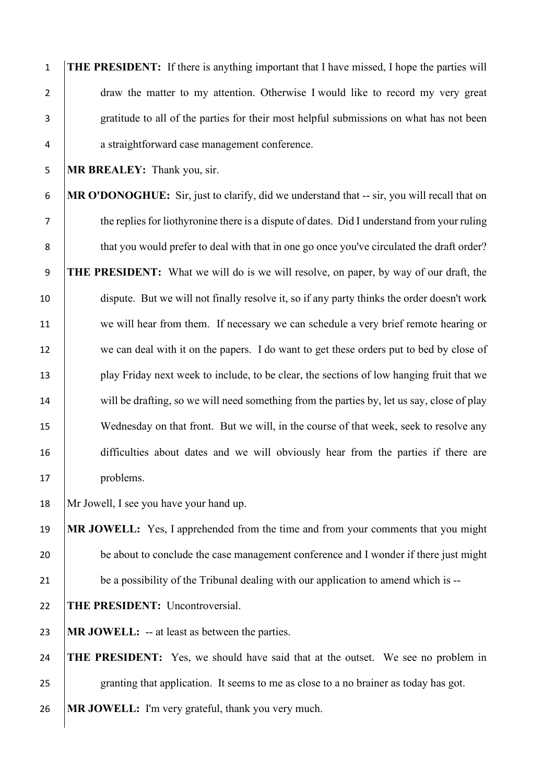**THE PRESIDENT:** If there is anything important that I have missed, I hope the parties will 2 draw the matter to my attention. Otherwise I would like to record my very great gratitude to all of the parties for their most helpful submissions on what has not been a straightforward case management conference.

**MR BREALEY:** Thank you, sir.

 **MR O'DONOGHUE:** Sir, just to clarify, did we understand that -- sir, you will recall that on 7 the replies for liothyronine there is a dispute of dates. Did I understand from your ruling 8 that you would prefer to deal with that in one go once you've circulated the draft order? **THE PRESIDENT:** What we will do is we will resolve, on paper, by way of our draft, the dispute. But we will not finally resolve it, so if any party thinks the order doesn't work we will hear from them. If necessary we can schedule a very brief remote hearing or 12 we can deal with it on the papers. I do want to get these orders put to bed by close of play Friday next week to include, to be clear, the sections of low hanging fruit that we 14 will be drafting, so we will need something from the parties by, let us say, close of play 15 Wednesday on that front. But we will, in the course of that week, seek to resolve any difficulties about dates and we will obviously hear from the parties if there are 17 | problems.

Mr Jowell, I see you have your hand up.

 **MR JOWELL:** Yes, I apprehended from the time and from your comments that you might 20 be about to conclude the case management conference and I wonder if there just might 21 be a possibility of the Tribunal dealing with our application to amend which is --

**THE PRESIDENT:** Uncontroversial.

**MR JOWELL:** -- at least as between the parties.

 **THE PRESIDENT:** Yes, we should have said that at the outset. We see no problem in 25 granting that application. It seems to me as close to a no brainer as today has got.

**MR JOWELL:** I'm very grateful, thank you very much.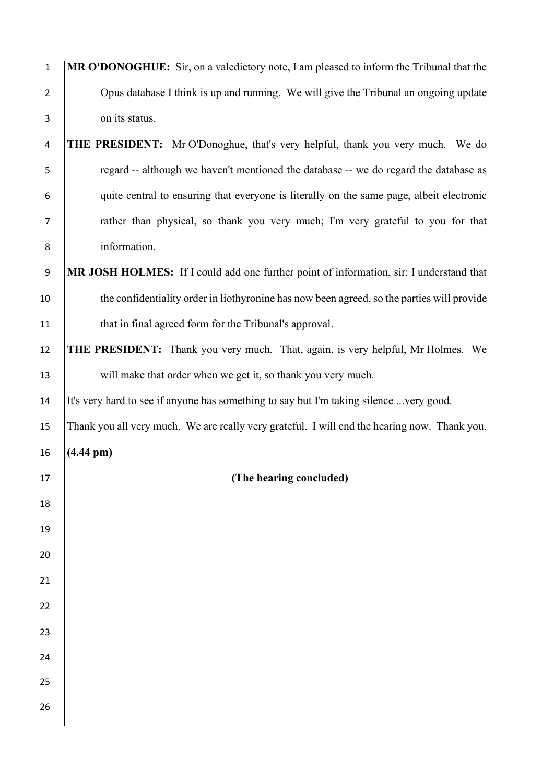| $\mathbf 1$      | MR O'DONOGHUE: Sir, on a valedictory note, I am pleased to inform the Tribunal that the      |
|------------------|----------------------------------------------------------------------------------------------|
| $\overline{2}$   | Opus database I think is up and running. We will give the Tribunal an ongoing update         |
| 3                | on its status.                                                                               |
| 4                | <b>THE PRESIDENT:</b> Mr O'Donoghue, that's very helpful, thank you very much. We do         |
| 5                | regard -- although we haven't mentioned the database -- we do regard the database as         |
| 6                | quite central to ensuring that everyone is literally on the same page, albeit electronic     |
| $\overline{7}$   | rather than physical, so thank you very much; I'm very grateful to you for that              |
| 8                | information.                                                                                 |
| $\boldsymbol{9}$ | MR JOSH HOLMES: If I could add one further point of information, sir: I understand that      |
| 10               | the confidentiality order in liothyronine has now been agreed, so the parties will provide   |
| 11               | that in final agreed form for the Tribunal's approval.                                       |
| 12               | <b>THE PRESIDENT:</b> Thank you very much. That, again, is very helpful, Mr Holmes. We       |
| 13               | will make that order when we get it, so thank you very much.                                 |
| 14               | It's very hard to see if anyone has something to say but I'm taking silence very good.       |
| 15               | Thank you all very much. We are really very grateful. I will end the hearing now. Thank you. |
| 16               | $(4.44 \text{ pm})$                                                                          |
| 17               | (The hearing concluded)                                                                      |
| 18               |                                                                                              |
| 19               |                                                                                              |
| 20               |                                                                                              |
| 21               |                                                                                              |
| 22               |                                                                                              |
| 23               |                                                                                              |
| 24               |                                                                                              |
| 25               |                                                                                              |
| 26               |                                                                                              |